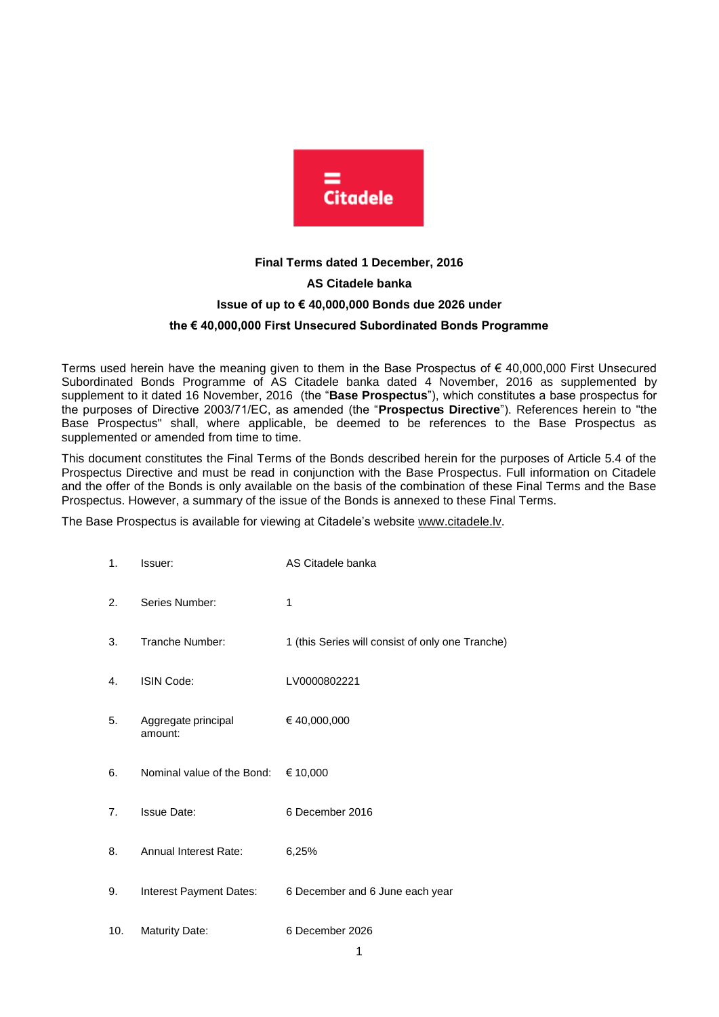

# **Final Terms dated 1 December, 2016 AS Citadele banka Issue of up to € 40,000,000 Bonds due 2026 under the € 40,000,000 First Unsecured Subordinated Bonds Programme**

Terms used herein have the meaning given to them in the Base Prospectus of € 40,000,000 First Unsecured Subordinated Bonds Programme of AS Citadele banka dated 4 November, 2016 as supplemented by supplement to it dated 16 November, 2016 (the "**Base Prospectus**"), which constitutes a base prospectus for the purposes of Directive 2003/71/EC, as amended (the "**Prospectus Directive**"). References herein to "the Base Prospectus" shall, where applicable, be deemed to be references to the Base Prospectus as supplemented or amended from time to time.

This document constitutes the Final Terms of the Bonds described herein for the purposes of Article 5.4 of the Prospectus Directive and must be read in conjunction with the Base Prospectus. Full information on Citadele and the offer of the Bonds is only available on the basis of the combination of these Final Terms and the Base Prospectus. However, a summary of the issue of the Bonds is annexed to these Final Terms.

The Base Prospectus is available for viewing at Citadele's website [www.citadele.lv.](http://www.citadele.lv/)

| 1.  | Issuer:                                      | AS Citadele banka                                |
|-----|----------------------------------------------|--------------------------------------------------|
| 2.  | Series Number:                               | 1                                                |
| 3.  | Tranche Number:                              | 1 (this Series will consist of only one Tranche) |
| 4.  | <b>ISIN Code:</b>                            | LV0000802221                                     |
| 5.  | Aggregate principal<br>amount:               | € 40,000,000                                     |
| 6.  | Nominal value of the Bond: $\epsilon$ 10,000 |                                                  |
| 7.  | <b>Issue Date:</b>                           | 6 December 2016                                  |
| 8.  | Annual Interest Rate:                        | 6,25%                                            |
| 9.  | Interest Payment Dates:                      | 6 December and 6 June each year                  |
| 10. | <b>Maturity Date:</b>                        | 6 December 2026                                  |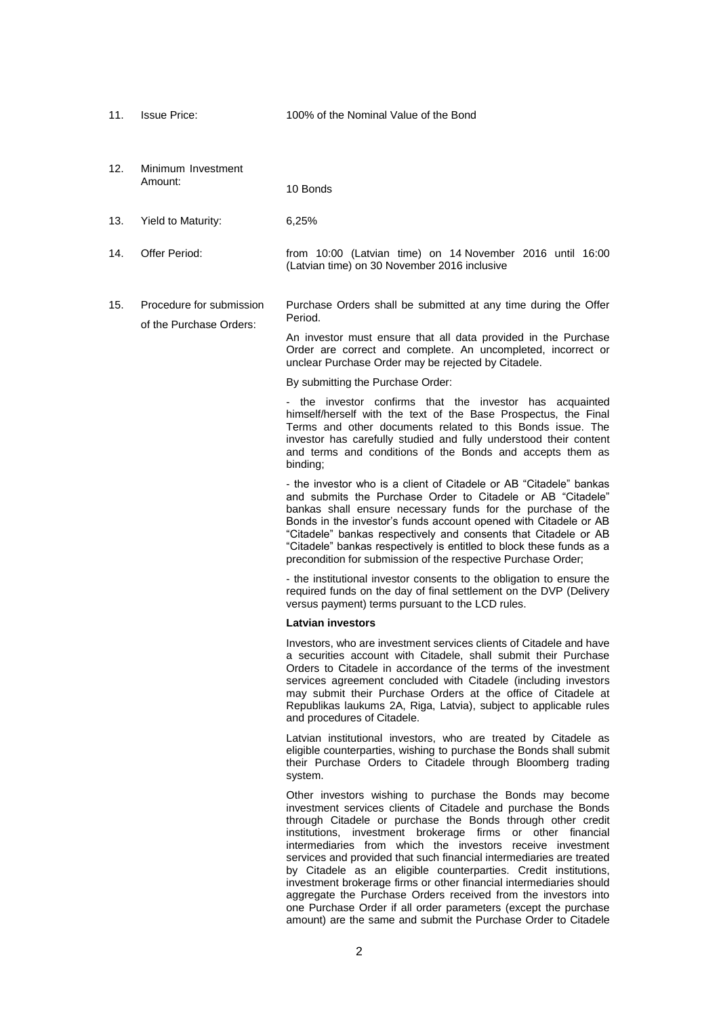11. Issue Price: 100% of the Nominal Value of the Bond

12. Minimum Investment Amount: 10 Bonds

- 13. Yield to Maturity: 6,25%
- 14. Offer Period: from 10:00 (Latvian time) on 14 November 2016 until 16:00 (Latvian time) on 30 November 2016 inclusive
- 15. Procedure for submission of the Purchase Orders: Purchase Orders shall be submitted at any time during the Offer Period.

An investor must ensure that all data provided in the Purchase Order are correct and complete. An uncompleted, incorrect or unclear Purchase Order may be rejected by Citadele.

By submitting the Purchase Order:

- the investor confirms that the investor has acquainted himself/herself with the text of the Base Prospectus, the Final Terms and other documents related to this Bonds issue. The investor has carefully studied and fully understood their content and terms and conditions of the Bonds and accepts them as binding;

- the investor who is a client of Citadele or AB "Citadele" bankas and submits the Purchase Order to Citadele or AB "Citadele" bankas shall ensure necessary funds for the purchase of the Bonds in the investor's funds account opened with Citadele or AB "Citadele" bankas respectively and consents that Citadele or AB "Citadele" bankas respectively is entitled to block these funds as a precondition for submission of the respective Purchase Order;

- the institutional investor consents to the obligation to ensure the required funds on the day of final settlement on the DVP (Delivery versus payment) terms pursuant to the LCD rules.

#### **Latvian investors**

Investors, who are investment services clients of Citadele and have a securities account with Citadele, shall submit their Purchase Orders to Citadele in accordance of the terms of the investment services agreement concluded with Citadele (including investors may submit their Purchase Orders at the office of Citadele at Republikas laukums 2A, Riga, Latvia), subject to applicable rules and procedures of Citadele.

Latvian institutional investors, who are treated by Citadele as eligible counterparties, wishing to purchase the Bonds shall submit their Purchase Orders to Citadele through Bloomberg trading system.

Other investors wishing to purchase the Bonds may become investment services clients of Citadele and purchase the Bonds through Citadele or purchase the Bonds through other credit institutions, investment brokerage firms or other financial intermediaries from which the investors receive investment services and provided that such financial intermediaries are treated by Citadele as an eligible counterparties. Credit institutions, investment brokerage firms or other financial intermediaries should aggregate the Purchase Orders received from the investors into one Purchase Order if all order parameters (except the purchase amount) are the same and submit the Purchase Order to Citadele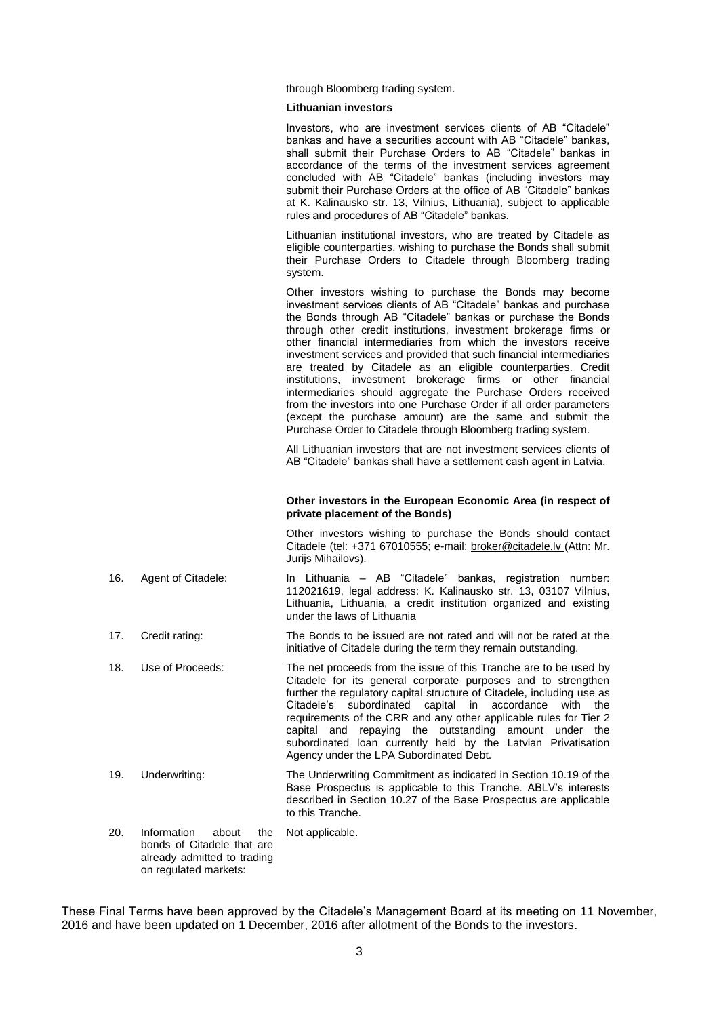through Bloomberg trading system.

#### **Lithuanian investors**

Investors, who are investment services clients of AB "Citadele" bankas and have a securities account with AB "Citadele" bankas, shall submit their Purchase Orders to AB "Citadele" bankas in accordance of the terms of the investment services agreement concluded with AB "Citadele" bankas (including investors may submit their Purchase Orders at the office of AB "Citadele" bankas at K. Kalinausko str. 13, Vilnius, Lithuania), subject to applicable rules and procedures of AB "Citadele" bankas.

Lithuanian institutional investors, who are treated by Citadele as eligible counterparties, wishing to purchase the Bonds shall submit their Purchase Orders to Citadele through Bloomberg trading system.

Other investors wishing to purchase the Bonds may become investment services clients of AB "Citadele" bankas and purchase the Bonds through AB "Citadele" bankas or purchase the Bonds through other credit institutions, investment brokerage firms or other financial intermediaries from which the investors receive investment services and provided that such financial intermediaries are treated by Citadele as an eligible counterparties. Credit institutions, investment brokerage firms or other financial intermediaries should aggregate the Purchase Orders received from the investors into one Purchase Order if all order parameters (except the purchase amount) are the same and submit the Purchase Order to Citadele through Bloomberg trading system.

All Lithuanian investors that are not investment services clients of AB "Citadele" bankas shall have a settlement cash agent in Latvia.

#### **Other investors in the European Economic Area (in respect of private placement of the Bonds)**

Other investors wishing to purchase the Bonds should contact Citadele (tel: +371 67010555; e-mail: [broker@citadele.lv](mailto:broker@citadele.lv) (Attn: Mr. Jurijs Mihailovs).

- 16. Agent of Citadele: In Lithuania AB "Citadele" bankas, registration number: 112021619, legal address: K. Kalinausko str. 13, 03107 Vilnius, Lithuania, Lithuania, a credit institution organized and existing under the laws of Lithuania
- 17. Credit rating: The Bonds to be issued are not rated and will not be rated at the initiative of Citadele during the term they remain outstanding.
- 18. Use of Proceeds: The net proceeds from the issue of this Tranche are to be used by Citadele for its general corporate purposes and to strengthen further the regulatory capital structure of Citadele, including use as Citadele's subordinated capital in accordance with the requirements of the CRR and any other applicable rules for Tier 2 capital and repaying the outstanding amount under the subordinated loan currently held by the Latvian Privatisation Agency under the LPA Subordinated Debt.
- 19. Underwriting: The Underwriting Commitment as indicated in Section 10.19 of the Base Prospectus is applicable to this Tranche. ABLV's interests described in Section 10.27 of the Base Prospectus are applicable to this Tranche.
- 20. Information about the bonds of Citadele that are already admitted to trading on regulated markets: Not applicable.

These Final Terms have been approved by the Citadele's Management Board at its meeting on 11 November, 2016 and have been updated on 1 December, 2016 after allotment of the Bonds to the investors.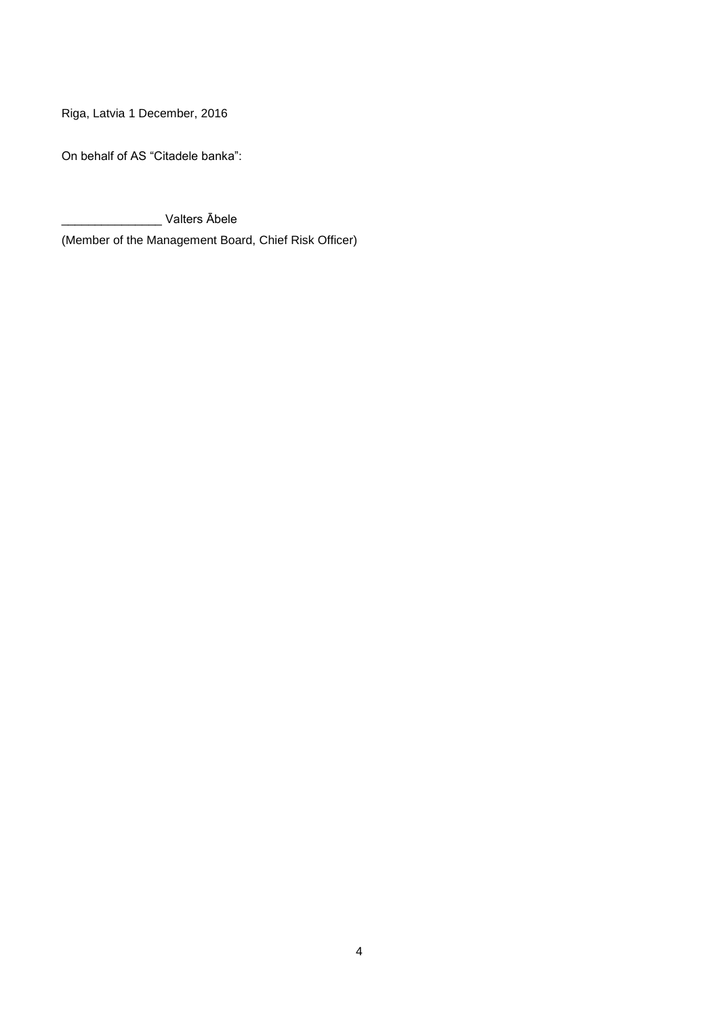Riga, Latvia 1 December, 2016

On behalf of AS "Citadele banka":

\_\_\_\_\_\_\_\_\_\_\_\_\_\_\_ Valters Ābele

(Member of the Management Board, Chief Risk Officer)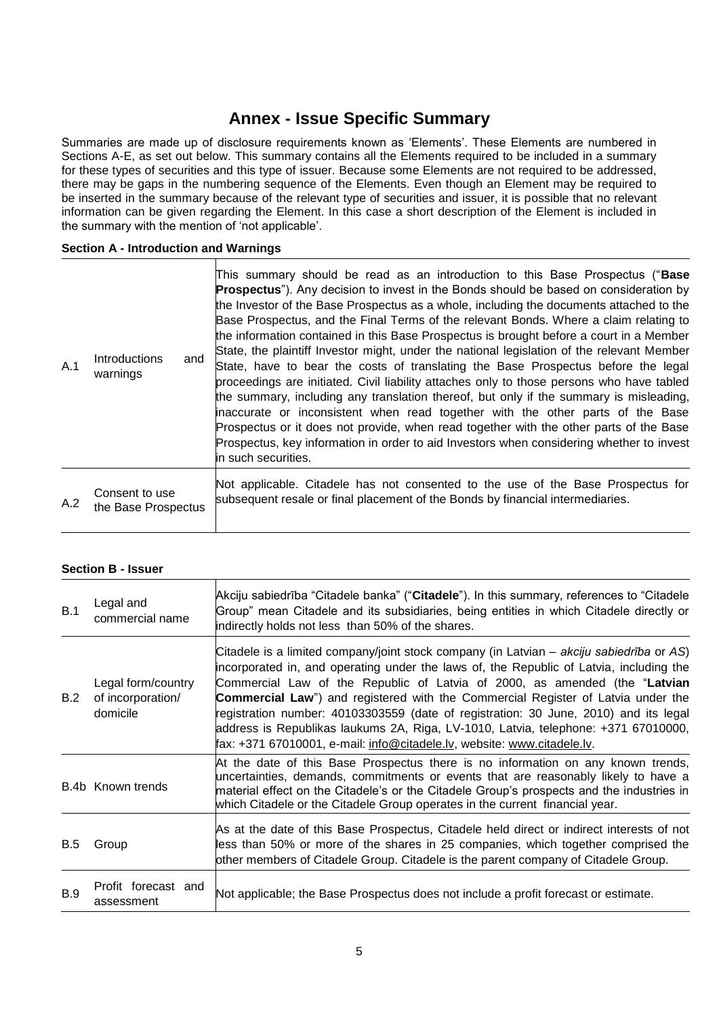# **Annex - Issue Specific Summary**

Summaries are made up of disclosure requirements known as 'Elements'. These Elements are numbered in Sections A-E, as set out below. This summary contains all the Elements required to be included in a summary for these types of securities and this type of issuer. Because some Elements are not required to be addressed, there may be gaps in the numbering sequence of the Elements. Even though an Element may be required to be inserted in the summary because of the relevant type of securities and issuer, it is possible that no relevant information can be given regarding the Element. In this case a short description of the Element is included in the summary with the mention of 'not applicable'.

## **Section A - Introduction and Warnings**

| A.1 | Introductions<br>and<br>warnings      | This summary should be read as an introduction to this Base Prospectus ("Base<br><b>Prospectus</b> "). Any decision to invest in the Bonds should be based on consideration by<br>the Investor of the Base Prospectus as a whole, including the documents attached to the<br>Base Prospectus, and the Final Terms of the relevant Bonds. Where a claim relating to<br>the information contained in this Base Prospectus is brought before a court in a Member<br>State, the plaintiff Investor might, under the national legislation of the relevant Member<br>State, have to bear the costs of translating the Base Prospectus before the legal<br>proceedings are initiated. Civil liability attaches only to those persons who have tabled<br>the summary, including any translation thereof, but only if the summary is misleading,<br>inaccurate or inconsistent when read together with the other parts of the Base<br>Prospectus or it does not provide, when read together with the other parts of the Base<br>Prospectus, key information in order to aid Investors when considering whether to invest<br>lin such securities. |
|-----|---------------------------------------|-----------------------------------------------------------------------------------------------------------------------------------------------------------------------------------------------------------------------------------------------------------------------------------------------------------------------------------------------------------------------------------------------------------------------------------------------------------------------------------------------------------------------------------------------------------------------------------------------------------------------------------------------------------------------------------------------------------------------------------------------------------------------------------------------------------------------------------------------------------------------------------------------------------------------------------------------------------------------------------------------------------------------------------------------------------------------------------------------------------------------------------------|
| A.2 | Consent to use<br>the Base Prospectus | Not applicable. Citadele has not consented to the use of the Base Prospectus for<br>subsequent resale or final placement of the Bonds by financial intermediaries.                                                                                                                                                                                                                                                                                                                                                                                                                                                                                                                                                                                                                                                                                                                                                                                                                                                                                                                                                                      |

## **Section B - Issuer**

| B.1        | Legal and<br>commercial name                        | Akciju sabiedrība "Citadele banka" ("Citadele"). In this summary, references to "Citadele<br>Group" mean Citadele and its subsidiaries, being entities in which Citadele directly or<br>indirectly holds not less than 50% of the shares.                                                                                                                                                                                                                                                                                                                                                                              |
|------------|-----------------------------------------------------|------------------------------------------------------------------------------------------------------------------------------------------------------------------------------------------------------------------------------------------------------------------------------------------------------------------------------------------------------------------------------------------------------------------------------------------------------------------------------------------------------------------------------------------------------------------------------------------------------------------------|
| B.2        | Legal form/country<br>of incorporation/<br>domicile | Citadele is a limited company/joint stock company (in Latvian – akciju sabiedrība or AS)<br>incorporated in, and operating under the laws of, the Republic of Latvia, including the<br>Commercial Law of the Republic of Latvia of 2000, as amended (the "Latvian<br><b>Commercial Law</b> ") and registered with the Commercial Register of Latvia under the<br>registration number: 40103303559 (date of registration: 30 June, 2010) and its legal<br>address is Republikas laukums 2A, Riga, LV-1010, Latvia, telephone: +371 67010000,<br>fax: +371 67010001, e-mail: info@citadele.lv, website: www.citadele.lv. |
|            | B.4b Known trends                                   | At the date of this Base Prospectus there is no information on any known trends,<br>uncertainties, demands, commitments or events that are reasonably likely to have a<br>material effect on the Citadele's or the Citadele Group's prospects and the industries in<br>which Citadele or the Citadele Group operates in the current financial year.                                                                                                                                                                                                                                                                    |
| <b>B.5</b> | Group                                               | As at the date of this Base Prospectus, Citadele held direct or indirect interests of not<br>less than 50% or more of the shares in 25 companies, which together comprised the<br>other members of Citadele Group. Citadele is the parent company of Citadele Group.                                                                                                                                                                                                                                                                                                                                                   |
| <b>B.9</b> | Profit forecast and<br>assessment                   | Not applicable; the Base Prospectus does not include a profit forecast or estimate.                                                                                                                                                                                                                                                                                                                                                                                                                                                                                                                                    |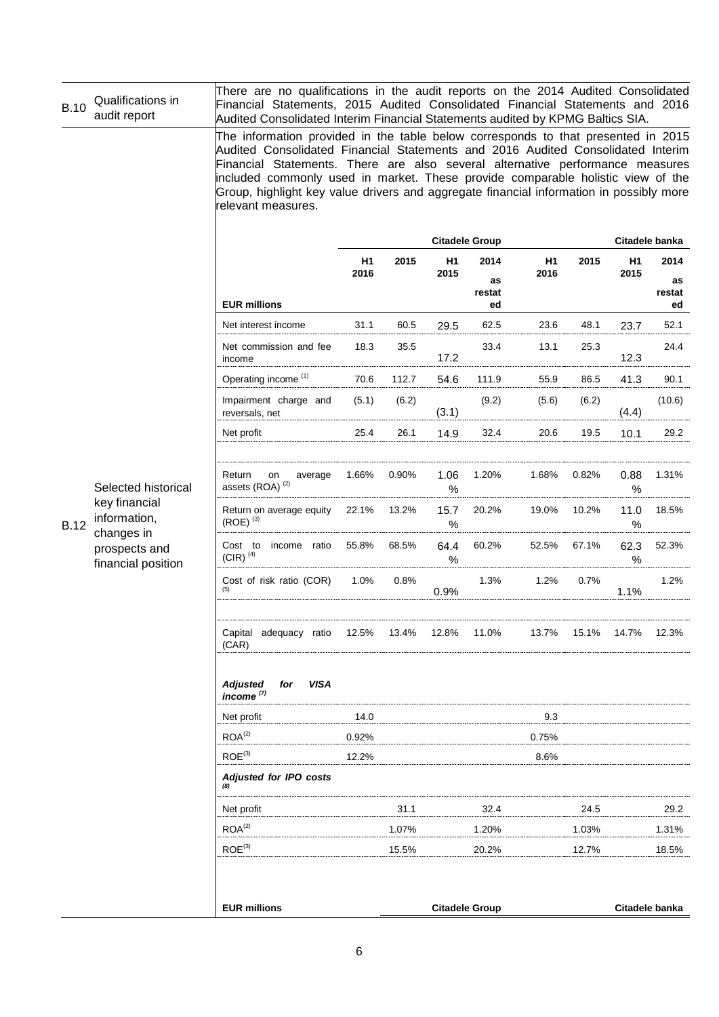| <b>B.10</b> | Qualifications in<br>audit report                                                                         | There are no qualifications in the audit reports on the 2014 Audited Consolidated<br>Financial Statements, 2015 Audited Consolidated Financial Statements and 2016<br>Audited Consolidated Interim Financial Statements audited by KPMG Baltics SIA.                                                                                                                                                                                                      |            |       |                        |                            |            |       |              |                            |
|-------------|-----------------------------------------------------------------------------------------------------------|-----------------------------------------------------------------------------------------------------------------------------------------------------------------------------------------------------------------------------------------------------------------------------------------------------------------------------------------------------------------------------------------------------------------------------------------------------------|------------|-------|------------------------|----------------------------|------------|-------|--------------|----------------------------|
|             |                                                                                                           | The information provided in the table below corresponds to that presented in 2015<br>Audited Consolidated Financial Statements and 2016 Audited Consolidated Interim<br>Financial Statements. There are also several alternative performance measures<br>included commonly used in market. These provide comparable holistic view of the<br>Group, highlight key value drivers and aggregate financial information in possibly more<br>relevant measures. |            |       |                        |                            |            |       |              |                            |
|             |                                                                                                           |                                                                                                                                                                                                                                                                                                                                                                                                                                                           |            |       |                        | <b>Citadele Group</b>      |            |       |              | Citadele banka             |
|             |                                                                                                           | <b>EUR millions</b>                                                                                                                                                                                                                                                                                                                                                                                                                                       | H1<br>2016 | 2015  | H <sub>1</sub><br>2015 | 2014<br>as<br>restat<br>ed | H1<br>2016 | 2015  | H1<br>2015   | 2014<br>as<br>restat<br>ed |
|             |                                                                                                           | Net interest income                                                                                                                                                                                                                                                                                                                                                                                                                                       | 31.1       | 60.5  | 29.5                   | 62.5                       | 23.6       | 48.1  | 23.7         | 52.1                       |
|             |                                                                                                           | Net commission and fee<br>income                                                                                                                                                                                                                                                                                                                                                                                                                          | 18.3       | 35.5  | 17.2                   | 33.4                       | 13.1       | 25.3  | 12.3         | 24.4                       |
|             |                                                                                                           | Operating income <sup>(1)</sup>                                                                                                                                                                                                                                                                                                                                                                                                                           | 70.6       | 112.7 | 54.6                   | 111.9                      | 55.9       | 86.5  | 41.3         | 90.1                       |
|             |                                                                                                           | Impairment charge and<br>reversals, net                                                                                                                                                                                                                                                                                                                                                                                                                   | (5.1)      | (6.2) | (3.1)                  | (9.2)                      | (5.6)      | (6.2) | (4.4)        | (10.6)                     |
|             |                                                                                                           | Net profit                                                                                                                                                                                                                                                                                                                                                                                                                                                | 25.4       | 26.1  | 14.9                   | 32.4                       | 20.6       | 19.5  | 10.1         | 29.2                       |
|             | Selected historical<br>key financial<br>information,<br>changes in<br>prospects and<br>financial position | Return<br>on<br>average<br>assets (ROA) <sup>(2)</sup>                                                                                                                                                                                                                                                                                                                                                                                                    | 1.66%      | 0.90% | 1.06<br>$\%$           | 1.20%                      | 1.68%      | 0.82% | 0.88<br>$\%$ | 1.31%                      |
| <b>B.12</b> |                                                                                                           | Return on average equity<br>$(ROE)$ <sup>(3)</sup>                                                                                                                                                                                                                                                                                                                                                                                                        | 22.1%      | 13.2% | 15.7<br>$\%$           | 20.2%                      | 19.0%      | 10.2% | 11.0<br>$\%$ | 18.5%                      |
|             |                                                                                                           | Cost to<br>income<br>ratio<br>$(CIR)^{(4)}$                                                                                                                                                                                                                                                                                                                                                                                                               | 55.8%      | 68.5% | 64.4<br>$\%$           | 60.2%                      | 52.5%      | 67.1% | 62.3<br>$\%$ | 52.3%                      |
|             |                                                                                                           | Cost of risk ratio (COR)                                                                                                                                                                                                                                                                                                                                                                                                                                  | 1.0%       | 0.8%  | 0.9%                   | 1.3%                       | 1.2%       | 0.7%  | 1.1%         | 1.2%                       |
|             |                                                                                                           | Capital<br>adequacy ratio<br>(CAR)                                                                                                                                                                                                                                                                                                                                                                                                                        | 12.5%      | 13.4% | 12.8%                  | 11.0%                      | 13.7%      | 15.1% | 14.7%        | 12.3%                      |
|             |                                                                                                           | <b>VISA</b><br><b>Adjusted</b><br>for<br>income $(7)$                                                                                                                                                                                                                                                                                                                                                                                                     |            |       |                        |                            |            |       |              |                            |
|             |                                                                                                           | Net profit                                                                                                                                                                                                                                                                                                                                                                                                                                                | 14.0       |       |                        |                            | 9.3        |       |              |                            |
|             |                                                                                                           | ROA <sup>(2)</sup>                                                                                                                                                                                                                                                                                                                                                                                                                                        | 0.92%      |       |                        |                            | 0.75%      |       |              |                            |
|             |                                                                                                           | ROE <sup>(3)</sup>                                                                                                                                                                                                                                                                                                                                                                                                                                        | 12.2%      |       |                        |                            | 8.6%       |       |              |                            |
|             |                                                                                                           | Adjusted for IPO costs                                                                                                                                                                                                                                                                                                                                                                                                                                    |            |       |                        |                            |            |       |              |                            |
|             |                                                                                                           | Net profit                                                                                                                                                                                                                                                                                                                                                                                                                                                |            | 31.1  |                        | 32.4                       |            | 24.5  |              | 29.2                       |
|             |                                                                                                           | ROA <sup>(2)</sup>                                                                                                                                                                                                                                                                                                                                                                                                                                        |            | 1.07% |                        | 1.20%                      |            | 1.03% |              | 1.31%                      |
|             |                                                                                                           | $ROE^{(3)}$                                                                                                                                                                                                                                                                                                                                                                                                                                               |            | 15.5% |                        | 20.2%                      |            | 12.7% |              | 18.5%                      |
|             |                                                                                                           | <b>EUR millions</b>                                                                                                                                                                                                                                                                                                                                                                                                                                       |            |       |                        | <b>Citadele Group</b>      |            |       |              | Citadele banka             |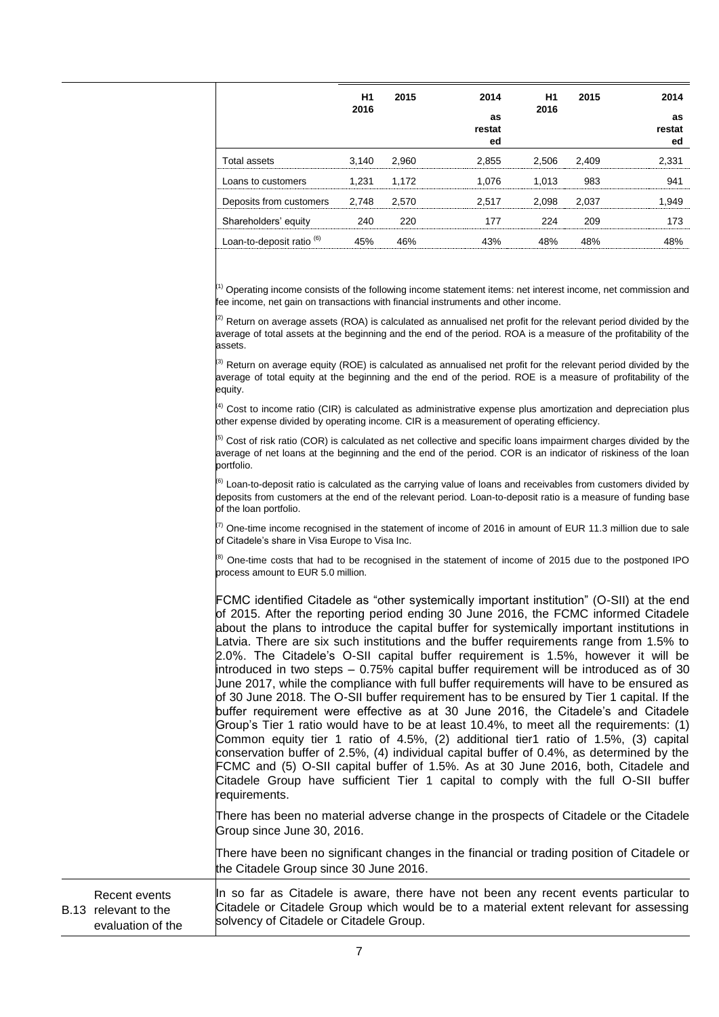|                                      | H1    | 2015        | 2014   | H1    | 2015  | 2014   |
|--------------------------------------|-------|-------------|--------|-------|-------|--------|
|                                      | 2016  |             | as     | 2016  |       | as     |
|                                      |       |             | restat |       |       | restat |
|                                      |       |             | ed     |       |       | ed     |
| Total assets                         |       | 3.140 2.960 | 2.855  | 2.506 | 2.409 | 2.331  |
| Loans to customers                   | 1.231 | 1.172       | 1.076  | 1.013 | 983   |        |
| Deposits from customers 2,748 2,570  |       |             | 2.517  | 2.098 | 2.037 | .949   |
| Shareholders' equity                 | 240   |             |        |       |       |        |
| Loan-to-deposit ratio <sup>(6)</sup> |       |             | 43%    | 48%   | 48%   |        |
|                                      |       |             |        |       |       |        |

 $\binom{n}{1}$  Operating income consists of the following income statement items: net interest income, net commission and fee income, net gain on transactions with financial instruments and other income.

 $^{(2)}$  Return on average assets (ROA) is calculated as annualised net profit for the relevant period divided by the average of total assets at the beginning and the end of the period. ROA is a measure of the profitability of the assets.

 $\frac{1}{3}$  Return on average equity (ROE) is calculated as annualised net profit for the relevant period divided by the average of total equity at the beginning and the end of the period. ROE is a measure of profitability of the equity.

 $\binom{4}{4}$  Cost to income ratio (CIR) is calculated as administrative expense plus amortization and depreciation plus other expense divided by operating income. CIR is a measurement of operating efficiency.

 $\frac{1}{5}$  Cost of risk ratio (COR) is calculated as net collective and specific loans impairment charges divided by the average of net loans at the beginning and the end of the period. COR is an indicator of riskiness of the loan portfolio.

 $^{[6)}$  Loan-to-deposit ratio is calculated as the carrying value of loans and receivables from customers divided by deposits from customers at the end of the relevant period. Loan-to-deposit ratio is a measure of funding base of the loan portfolio.

 $\sqrt{7}$  One-time income recognised in the statement of income of 2016 in amount of EUR 11.3 million due to sale of Citadele's share in Visa Europe to Visa Inc.

 $^{(8)}$  One-time costs that had to be recognised in the statement of income of 2015 due to the postponed IPO process amount to EUR 5.0 million.

| FCMC identified Citadele as "other systemically important institution" (O-SII) at the end<br>of 2015. After the reporting period ending 30 June 2016, the FCMC informed Citadele<br>about the plans to introduce the capital buffer for systemically important institutions in<br>Latvia. There are six such institutions and the buffer requirements range from 1.5% to<br>2.0%. The Citadele's O-SII capital buffer requirement is 1.5%, however it will be<br>introduced in two steps $-0.75\%$ capital buffer requirement will be introduced as of 30<br>June 2017, while the compliance with full buffer requirements will have to be ensured as<br>of 30 June 2018. The O-SII buffer requirement has to be ensured by Tier 1 capital. If the<br>buffer requirement were effective as at 30 June 2016, the Citadele's and Citadele<br>Group's Tier 1 ratio would have to be at least 10.4%, to meet all the requirements: (1)<br>Common equity tier 1 ratio of 4.5%, (2) additional tier1 ratio of 1.5%, (3) capital<br>conservation buffer of 2.5%, (4) individual capital buffer of 0.4%, as determined by the |
|-----------------------------------------------------------------------------------------------------------------------------------------------------------------------------------------------------------------------------------------------------------------------------------------------------------------------------------------------------------------------------------------------------------------------------------------------------------------------------------------------------------------------------------------------------------------------------------------------------------------------------------------------------------------------------------------------------------------------------------------------------------------------------------------------------------------------------------------------------------------------------------------------------------------------------------------------------------------------------------------------------------------------------------------------------------------------------------------------------------------------|
| FCMC and (5) O-SII capital buffer of 1.5%. As at 30 June 2016, both, Citadele and<br>Citadele Group have sufficient Tier 1 capital to comply with the full O-SII buffer<br>requirements.                                                                                                                                                                                                                                                                                                                                                                                                                                                                                                                                                                                                                                                                                                                                                                                                                                                                                                                              |
| There has been no material adverse change in the prospects of Citadele or the Citadele<br>Group since June 30, 2016.                                                                                                                                                                                                                                                                                                                                                                                                                                                                                                                                                                                                                                                                                                                                                                                                                                                                                                                                                                                                  |
| There have been no significant changes in the financial or trading position of Citadele or<br>the Citadele Group since 30 June 2016.                                                                                                                                                                                                                                                                                                                                                                                                                                                                                                                                                                                                                                                                                                                                                                                                                                                                                                                                                                                  |

B.13 relevant to the Recent events evaluation of the In so far as Citadele is aware, there have not been any recent events particular to Citadele or Citadele Group which would be to a material extent relevant for assessing solvency of Citadele or Citadele Group.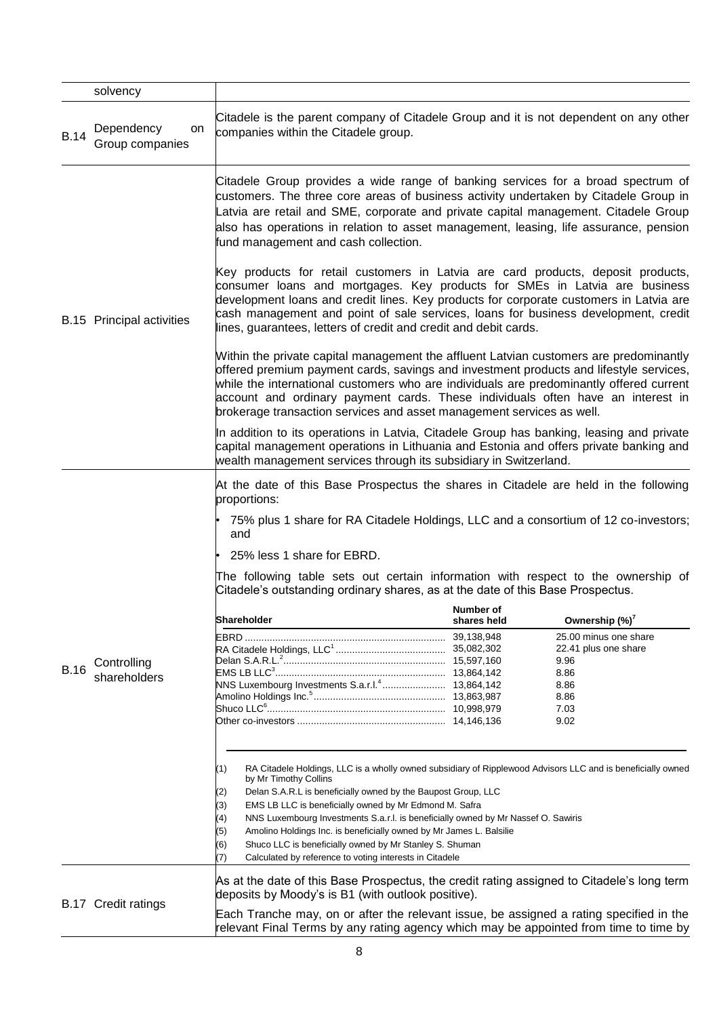|             | solvency                            |                                                                                                                                                                                                                                                                                                                                                                                                                                                                                                                                                                                                    |             |                                                                                                                             |
|-------------|-------------------------------------|----------------------------------------------------------------------------------------------------------------------------------------------------------------------------------------------------------------------------------------------------------------------------------------------------------------------------------------------------------------------------------------------------------------------------------------------------------------------------------------------------------------------------------------------------------------------------------------------------|-------------|-----------------------------------------------------------------------------------------------------------------------------|
| <b>B.14</b> | Dependency<br>on<br>Group companies | Citadele is the parent company of Citadele Group and it is not dependent on any other<br>companies within the Citadele group.                                                                                                                                                                                                                                                                                                                                                                                                                                                                      |             |                                                                                                                             |
|             |                                     | Citadele Group provides a wide range of banking services for a broad spectrum of<br>customers. The three core areas of business activity undertaken by Citadele Group in<br>Latvia are retail and SME, corporate and private capital management. Citadele Group<br>also has operations in relation to asset management, leasing, life assurance, pension<br>fund management and cash collection.                                                                                                                                                                                                   |             |                                                                                                                             |
|             | <b>B.15</b> Principal activities    | Key products for retail customers in Latvia are card products, deposit products,<br>consumer loans and mortgages. Key products for SMEs in Latvia are business<br>development loans and credit lines. Key products for corporate customers in Latvia are<br>cash management and point of sale services, loans for business development, credit<br>lines, guarantees, letters of credit and credit and debit cards.                                                                                                                                                                                 |             |                                                                                                                             |
|             |                                     | Within the private capital management the affluent Latvian customers are predominantly<br>offered premium payment cards, savings and investment products and lifestyle services,<br>while the international customers who are individuals are predominantly offered current<br>account and ordinary payment cards. These individuals often have an interest in<br>brokerage transaction services and asset management services as well.                                                                                                                                                            |             |                                                                                                                             |
|             |                                     | In addition to its operations in Latvia, Citadele Group has banking, leasing and private<br>capital management operations in Lithuania and Estonia and offers private banking and<br>wealth management services through its subsidiary in Switzerland.                                                                                                                                                                                                                                                                                                                                             |             |                                                                                                                             |
|             |                                     | At the date of this Base Prospectus the shares in Citadele are held in the following<br>proportions:<br>75% plus 1 share for RA Citadele Holdings, LLC and a consortium of 12 co-investors;<br>and<br>25% less 1 share for EBRD.<br>The following table sets out certain information with respect to the ownership of<br>Citadele's outstanding ordinary shares, as at the date of this Base Prospectus.                                                                                                                                                                                           |             |                                                                                                                             |
|             |                                     |                                                                                                                                                                                                                                                                                                                                                                                                                                                                                                                                                                                                    | Number of   |                                                                                                                             |
| <b>B.16</b> | Controlling<br>shareholders         | <b>lShareholder</b><br>NNS Luxembourg Investments S.a.r.l. <sup>4</sup> 13,864,142                                                                                                                                                                                                                                                                                                                                                                                                                                                                                                                 | shares held | Ownership (%) <sup>7</sup><br>25.00 minus one share<br>22.41 plus one share<br>9.96<br>8.86<br>8.86<br>8.86<br>7.03<br>9.02 |
|             |                                     | RA Citadele Holdings, LLC is a wholly owned subsidiary of Ripplewood Advisors LLC and is beneficially owned<br>(1)<br>by Mr Timothy Collins<br>Delan S.A.R.L is beneficially owned by the Baupost Group, LLC<br>(2)<br>EMS LB LLC is beneficially owned by Mr Edmond M. Safra<br>(3)<br>NNS Luxembourg Investments S.a.r.l. is beneficially owned by Mr Nassef O. Sawiris<br>(4)<br>Amolino Holdings Inc. is beneficially owned by Mr James L. Balsilie<br>(5)<br>Shuco LLC is beneficially owned by Mr Stanley S. Shuman<br>(6)<br>Calculated by reference to voting interests in Citadele<br>(7) |             |                                                                                                                             |
|             | <b>B.17 Credit ratings</b>          | As at the date of this Base Prospectus, the credit rating assigned to Citadele's long term<br>deposits by Moody's is B1 (with outlook positive).<br>Each Tranche may, on or after the relevant issue, be assigned a rating specified in the<br>relevant Final Terms by any rating agency which may be appointed from time to time by                                                                                                                                                                                                                                                               |             |                                                                                                                             |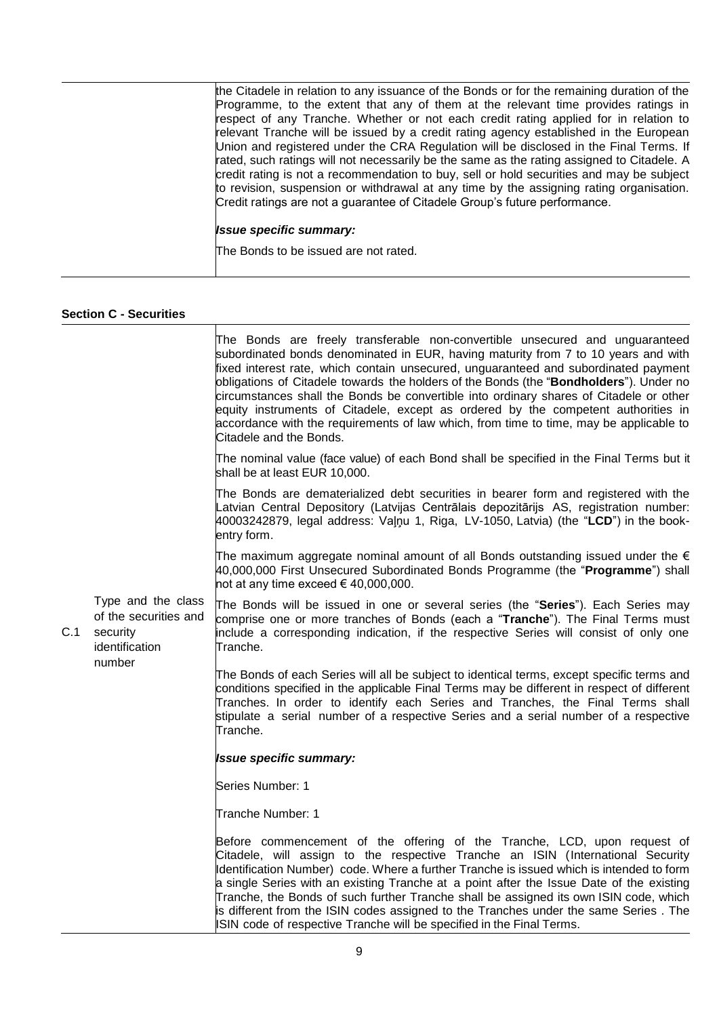| the Citadele in relation to any issuance of the Bonds or for the remaining duration of the<br>Programme, to the extent that any of them at the relevant time provides ratings in<br>respect of any Tranche. Whether or not each credit rating applied for in relation to<br>relevant Tranche will be issued by a credit rating agency established in the European<br>Union and registered under the CRA Regulation will be disclosed in the Final Terms. If<br>rated, such ratings will not necessarily be the same as the rating assigned to Citadele. A<br>credit rating is not a recommendation to buy, sell or hold securities and may be subject<br>to revision, suspension or withdrawal at any time by the assigning rating organisation.<br>Credit ratings are not a guarantee of Citadele Group's future performance. |
|--------------------------------------------------------------------------------------------------------------------------------------------------------------------------------------------------------------------------------------------------------------------------------------------------------------------------------------------------------------------------------------------------------------------------------------------------------------------------------------------------------------------------------------------------------------------------------------------------------------------------------------------------------------------------------------------------------------------------------------------------------------------------------------------------------------------------------|
| <b>Issue specific summary:</b>                                                                                                                                                                                                                                                                                                                                                                                                                                                                                                                                                                                                                                                                                                                                                                                                 |
| The Bonds to be issued are not rated.                                                                                                                                                                                                                                                                                                                                                                                                                                                                                                                                                                                                                                                                                                                                                                                          |

## **Section C - Securities**

|     |                                                                                     | The Bonds are freely transferable non-convertible unsecured and unguaranteed<br>subordinated bonds denominated in EUR, having maturity from 7 to 10 years and with<br>fixed interest rate, which contain unsecured, unguaranteed and subordinated payment<br>obligations of Citadele towards the holders of the Bonds (the "Bondholders"). Under no<br>circumstances shall the Bonds be convertible into ordinary shares of Citadele or other<br>equity instruments of Citadele, except as ordered by the competent authorities in<br>accordance with the requirements of law which, from time to time, may be applicable to<br>Citadele and the Bonds. |
|-----|-------------------------------------------------------------------------------------|---------------------------------------------------------------------------------------------------------------------------------------------------------------------------------------------------------------------------------------------------------------------------------------------------------------------------------------------------------------------------------------------------------------------------------------------------------------------------------------------------------------------------------------------------------------------------------------------------------------------------------------------------------|
|     |                                                                                     | The nominal value (face value) of each Bond shall be specified in the Final Terms but it<br>shall be at least EUR 10,000.                                                                                                                                                                                                                                                                                                                                                                                                                                                                                                                               |
| C.1 | Type and the class<br>of the securities and<br>security<br>identification<br>number | The Bonds are dematerialized debt securities in bearer form and registered with the<br>Latvian Central Depository (Latvijas Centrālais depozitārijs AS, registration number:<br>40003242879, legal address: Valnu 1, Riga, LV-1050, Latvia) (the "LCD") in the book-<br>entry form.                                                                                                                                                                                                                                                                                                                                                                     |
|     |                                                                                     | The maximum aggregate nominal amount of all Bonds outstanding issued under the $\epsilon$<br>40,000,000 First Unsecured Subordinated Bonds Programme (the "Programme") shall<br>not at any time exceed $\in$ 40,000,000.                                                                                                                                                                                                                                                                                                                                                                                                                                |
|     |                                                                                     | The Bonds will be issued in one or several series (the "Series"). Each Series may<br>comprise one or more tranches of Bonds (each a "Tranche"). The Final Terms must<br>include a corresponding indication, if the respective Series will consist of only one<br>Tranche.                                                                                                                                                                                                                                                                                                                                                                               |
|     |                                                                                     | The Bonds of each Series will all be subject to identical terms, except specific terms and<br>conditions specified in the applicable Final Terms may be different in respect of different<br>Tranches. In order to identify each Series and Tranches, the Final Terms shall<br>stipulate a serial number of a respective Series and a serial number of a respective<br>Tranche.                                                                                                                                                                                                                                                                         |
|     |                                                                                     | <b>Issue specific summary:</b>                                                                                                                                                                                                                                                                                                                                                                                                                                                                                                                                                                                                                          |
|     |                                                                                     | Series Number: 1                                                                                                                                                                                                                                                                                                                                                                                                                                                                                                                                                                                                                                        |
|     |                                                                                     | Tranche Number: 1                                                                                                                                                                                                                                                                                                                                                                                                                                                                                                                                                                                                                                       |
|     |                                                                                     | Before commencement of the offering of the Tranche, LCD, upon request of<br>Citadele, will assign to the respective Tranche an ISIN (International Security<br>Identification Number) code. Where a further Tranche is issued which is intended to form<br>a single Series with an existing Tranche at a point after the Issue Date of the existing<br>Tranche, the Bonds of such further Tranche shall be assigned its own ISIN code, which<br>is different from the ISIN codes assigned to the Tranches under the same Series. The<br>ISIN code of respective Tranche will be specified in the Final Terms.                                           |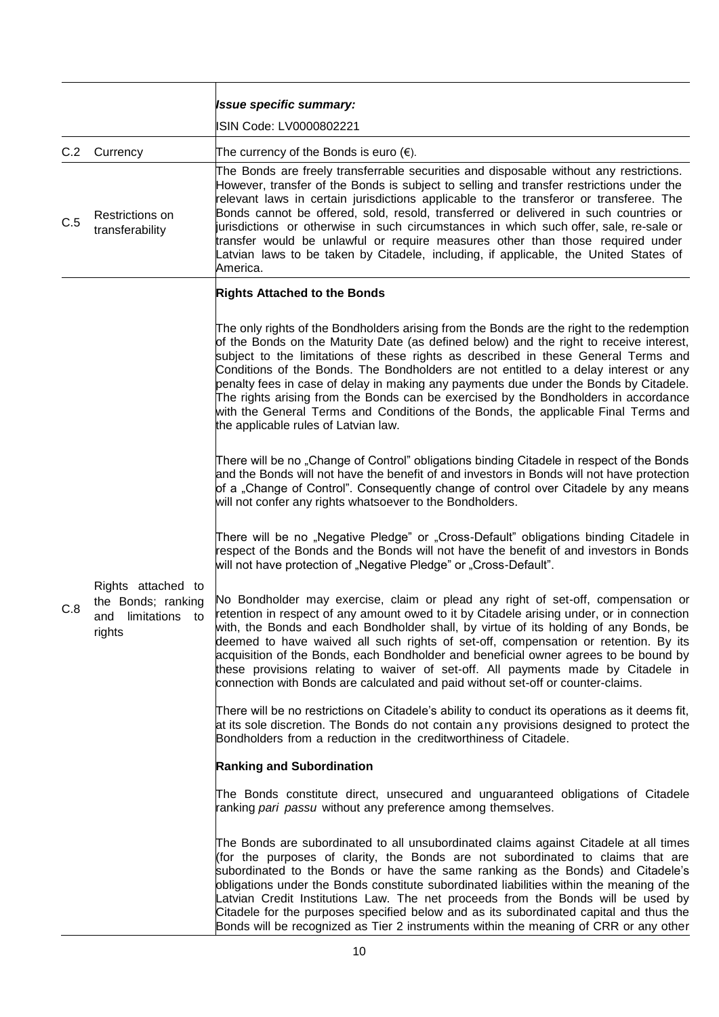|     |                                                                                | <b>Issue specific summary:</b><br>ISIN Code: LV0000802221                                                                                                                                                                                                                                                                                                                                                                                                                                                                                                                                                                                                                        |
|-----|--------------------------------------------------------------------------------|----------------------------------------------------------------------------------------------------------------------------------------------------------------------------------------------------------------------------------------------------------------------------------------------------------------------------------------------------------------------------------------------------------------------------------------------------------------------------------------------------------------------------------------------------------------------------------------------------------------------------------------------------------------------------------|
| C.2 | Currency                                                                       | The currency of the Bonds is euro $(\epsilon)$ .<br>The Bonds are freely transferrable securities and disposable without any restrictions.                                                                                                                                                                                                                                                                                                                                                                                                                                                                                                                                       |
| C.5 | Restrictions on<br>transferability                                             | However, transfer of the Bonds is subject to selling and transfer restrictions under the<br>relevant laws in certain jurisdictions applicable to the transferor or transferee. The<br>Bonds cannot be offered, sold, resold, transferred or delivered in such countries or<br>jurisdictions or otherwise in such circumstances in which such offer, sale, re-sale or<br>transfer would be unlawful or require measures other than those required under<br>Latvian laws to be taken by Citadele, including, if applicable, the United States of<br>America.                                                                                                                       |
|     |                                                                                | <b>Rights Attached to the Bonds</b>                                                                                                                                                                                                                                                                                                                                                                                                                                                                                                                                                                                                                                              |
|     |                                                                                | The only rights of the Bondholders arising from the Bonds are the right to the redemption<br>of the Bonds on the Maturity Date (as defined below) and the right to receive interest,<br>subject to the limitations of these rights as described in these General Terms and<br>Conditions of the Bonds. The Bondholders are not entitled to a delay interest or any<br>penalty fees in case of delay in making any payments due under the Bonds by Citadele.<br>The rights arising from the Bonds can be exercised by the Bondholders in accordance<br>with the General Terms and Conditions of the Bonds, the applicable Final Terms and<br>the applicable rules of Latvian law. |
|     |                                                                                | There will be no "Change of Control" obligations binding Citadele in respect of the Bonds<br>and the Bonds will not have the benefit of and investors in Bonds will not have protection<br>of a "Change of Control". Consequently change of control over Citadele by any means<br>will not confer any rights whatsoever to the Bondholders.                                                                                                                                                                                                                                                                                                                                      |
|     |                                                                                | There will be no "Negative Pledge" or "Cross-Default" obligations binding Citadele in<br>respect of the Bonds and the Bonds will not have the benefit of and investors in Bonds<br>will not have protection of "Negative Pledge" or "Cross-Default".                                                                                                                                                                                                                                                                                                                                                                                                                             |
| C.8 | Rights attached to<br>the Bonds; ranking<br>limitations<br>and<br>to<br>rights | No Bondholder may exercise, claim or plead any right of set-off, compensation or<br>retention in respect of any amount owed to it by Citadele arising under, or in connection<br>with, the Bonds and each Bondholder shall, by virtue of its holding of any Bonds, be<br>deemed to have waived all such rights of set-off, compensation or retention. By its<br>acquisition of the Bonds, each Bondholder and beneficial owner agrees to be bound by<br>these provisions relating to waiver of set-off. All payments made by Citadele in<br>connection with Bonds are calculated and paid without set-off or counter-claims.                                                     |
|     |                                                                                | There will be no restrictions on Citadele's ability to conduct its operations as it deems fit,<br>at its sole discretion. The Bonds do not contain any provisions designed to protect the<br>Bondholders from a reduction in the creditworthiness of Citadele.                                                                                                                                                                                                                                                                                                                                                                                                                   |
|     |                                                                                | <b>Ranking and Subordination</b>                                                                                                                                                                                                                                                                                                                                                                                                                                                                                                                                                                                                                                                 |
|     |                                                                                | The Bonds constitute direct, unsecured and unguaranteed obligations of Citadele<br>ranking pari passu without any preference among themselves.                                                                                                                                                                                                                                                                                                                                                                                                                                                                                                                                   |
|     |                                                                                | The Bonds are subordinated to all unsubordinated claims against Citadele at all times<br>(for the purposes of clarity, the Bonds are not subordinated to claims that are<br>subordinated to the Bonds or have the same ranking as the Bonds) and Citadele's<br>obligations under the Bonds constitute subordinated liabilities within the meaning of the<br>Latvian Credit Institutions Law. The net proceeds from the Bonds will be used by<br>Citadele for the purposes specified below and as its subordinated capital and thus the<br>Bonds will be recognized as Tier 2 instruments within the meaning of CRR or any other                                                  |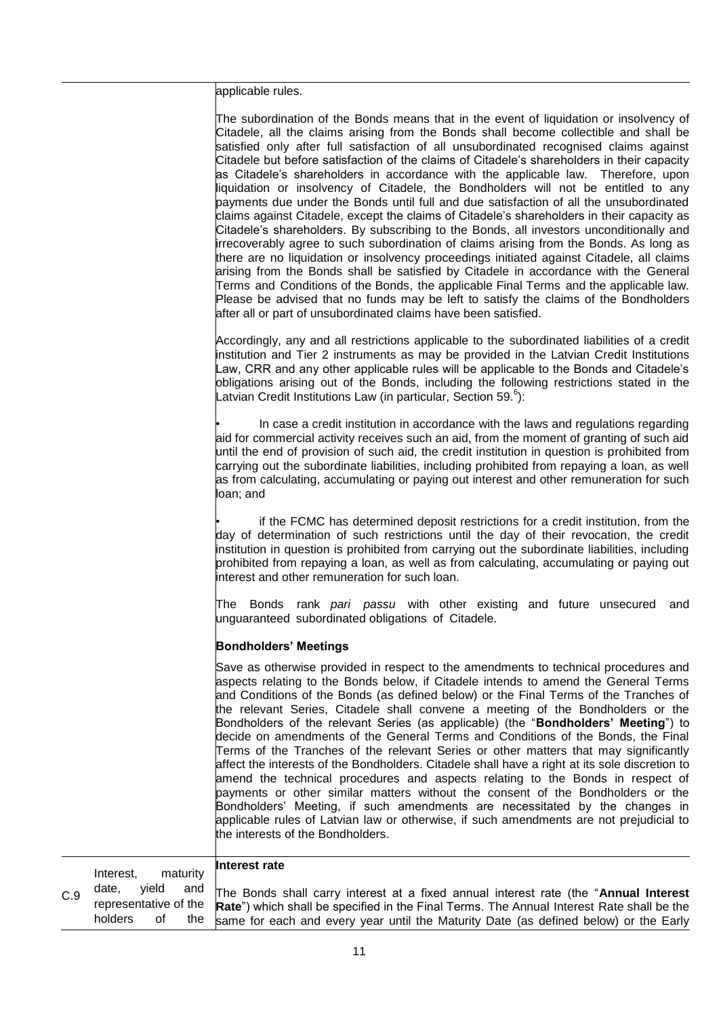applicable rules.

| The subordination of the Bonds means that in the event of liquidation or insolvency of<br>Citadele, all the claims arising from the Bonds shall become collectible and shall be<br>satisfied only after full satisfaction of all unsubordinated recognised claims against<br>Citadele but before satisfaction of the claims of Citadele's shareholders in their capacity<br>as Citadele's shareholders in accordance with the applicable law. Therefore, upon<br>liquidation or insolvency of Citadele, the Bondholders will not be entitled to any<br>payments due under the Bonds until full and due satisfaction of all the unsubordinated<br>claims against Citadele, except the claims of Citadele's shareholders in their capacity as<br>Citadele's shareholders. By subscribing to the Bonds, all investors unconditionally and<br>irrecoverably agree to such subordination of claims arising from the Bonds. As long as<br>there are no liquidation or insolvency proceedings initiated against Citadele, all claims<br>arising from the Bonds shall be satisfied by Citadele in accordance with the General<br>Terms and Conditions of the Bonds, the applicable Final Terms and the applicable law.<br>Please be advised that no funds may be left to satisfy the claims of the Bondholders<br>after all or part of unsubordinated claims have been satisfied. |
|---------------------------------------------------------------------------------------------------------------------------------------------------------------------------------------------------------------------------------------------------------------------------------------------------------------------------------------------------------------------------------------------------------------------------------------------------------------------------------------------------------------------------------------------------------------------------------------------------------------------------------------------------------------------------------------------------------------------------------------------------------------------------------------------------------------------------------------------------------------------------------------------------------------------------------------------------------------------------------------------------------------------------------------------------------------------------------------------------------------------------------------------------------------------------------------------------------------------------------------------------------------------------------------------------------------------------------------------------------------------------|
| Accordingly, any and all restrictions applicable to the subordinated liabilities of a credit<br>institution and Tier 2 instruments as may be provided in the Latvian Credit Institutions<br>Law, CRR and any other applicable rules will be applicable to the Bonds and Citadele's<br>obligations arising out of the Bonds, including the following restrictions stated in the<br>Latvian Credit Institutions Law (in particular, Section 59. <sup>6</sup> ):                                                                                                                                                                                                                                                                                                                                                                                                                                                                                                                                                                                                                                                                                                                                                                                                                                                                                                             |
| In case a credit institution in accordance with the laws and regulations regarding<br>aid for commercial activity receives such an aid, from the moment of granting of such aid<br>until the end of provision of such aid, the credit institution in question is prohibited from<br>carrying out the subordinate liabilities, including prohibited from repaying a loan, as well<br>as from calculating, accumulating or paying out interest and other remuneration for such<br>loan; and                                                                                                                                                                                                                                                                                                                                                                                                                                                                                                                                                                                                                                                                                                                                                                                                                                                                                 |
| if the FCMC has determined deposit restrictions for a credit institution, from the<br>day of determination of such restrictions until the day of their revocation, the credit<br>institution in question is prohibited from carrying out the subordinate liabilities, including<br>prohibited from repaying a loan, as well as from calculating, accumulating or paying out<br>interest and other remuneration for such loan.                                                                                                                                                                                                                                                                                                                                                                                                                                                                                                                                                                                                                                                                                                                                                                                                                                                                                                                                             |
| Bonds rank pari passu with other existing and future unsecured<br>The:<br>and<br>unguaranteed subordinated obligations of Citadele.                                                                                                                                                                                                                                                                                                                                                                                                                                                                                                                                                                                                                                                                                                                                                                                                                                                                                                                                                                                                                                                                                                                                                                                                                                       |
| <b>Bondholders' Meetings</b>                                                                                                                                                                                                                                                                                                                                                                                                                                                                                                                                                                                                                                                                                                                                                                                                                                                                                                                                                                                                                                                                                                                                                                                                                                                                                                                                              |
| Save as otherwise provided in respect to the amendments to technical procedures and<br>aspects relating to the Bonds below, if Citadele intends to amend the General Terms<br>and Conditions of the Bonds (as defined below) or the Final Terms of the Tranches of<br>the relevant Series, Citadele shall convene a meeting of the Bondholders or the<br>Bondholders of the relevant Series (as applicable) (the "Bondholders' Meeting") to<br>decide on amendments of the General Terms and Conditions of the Bonds, the Final<br>Terms of the Tranches of the relevant Series or other matters that may significantly<br>affect the interests of the Bondholders. Citadele shall have a right at its sole discretion to<br>amend the technical procedures and aspects relating to the Bonds in respect of<br>payments or other similar matters without the consent of the Bondholders or the<br>Bondholders' Meeting, if such amendments are necessitated by the changes in<br>applicable rules of Latvian law or otherwise, if such amendments are not prejudicial to<br>the interests of the Bondholders.                                                                                                                                                                                                                                                             |

|     | Interest. |       | maturity | Interest rate                                                                                                                                                                                               |
|-----|-----------|-------|----------|-------------------------------------------------------------------------------------------------------------------------------------------------------------------------------------------------------------|
| C.9 | date,     | vield |          | and The Bonds shall carry interest at a fixed annual interest rate (the "Annual Interest<br>representative of the Rate") which shall be specified in the Final Terms. The Annual Interest Rate shall be the |
|     | holders   | of    |          | the same for each and every year until the Maturity Date (as defined below) or the Early                                                                                                                    |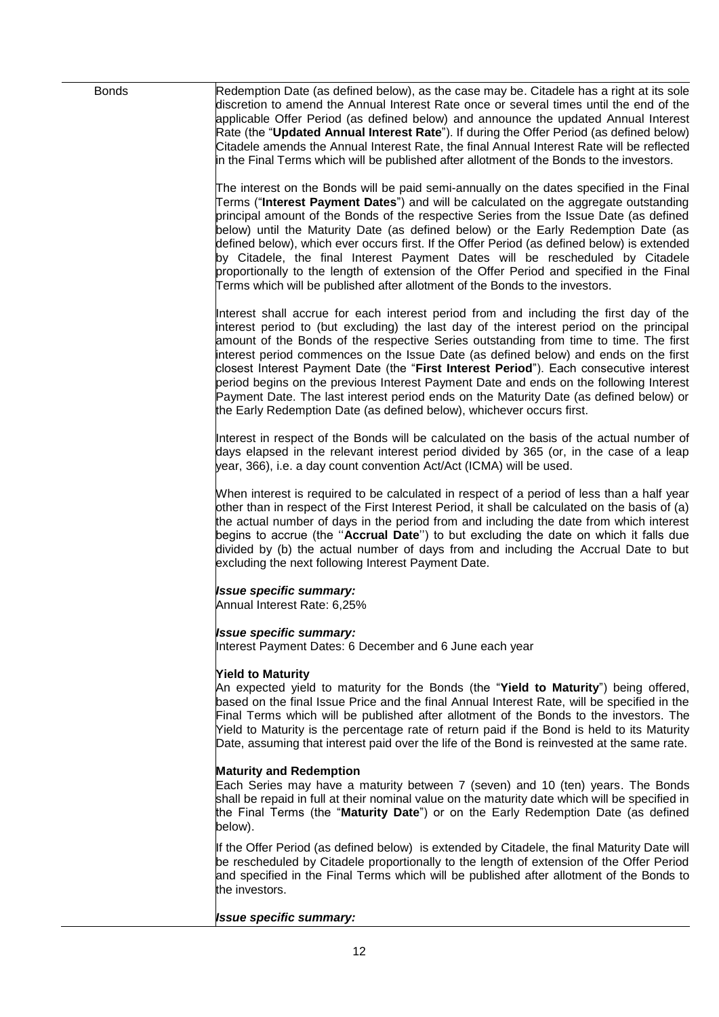| <b>Bonds</b> | Redemption Date (as defined below), as the case may be. Citadele has a right at its sole<br>discretion to amend the Annual Interest Rate once or several times until the end of the<br>applicable Offer Period (as defined below) and announce the updated Annual Interest<br>Rate (the "Updated Annual Interest Rate"). If during the Offer Period (as defined below)<br>Citadele amends the Annual Interest Rate, the final Annual Interest Rate will be reflected<br>in the Final Terms which will be published after allotment of the Bonds to the investors.                                                                                                                                                            |
|--------------|------------------------------------------------------------------------------------------------------------------------------------------------------------------------------------------------------------------------------------------------------------------------------------------------------------------------------------------------------------------------------------------------------------------------------------------------------------------------------------------------------------------------------------------------------------------------------------------------------------------------------------------------------------------------------------------------------------------------------|
|              | The interest on the Bonds will be paid semi-annually on the dates specified in the Final<br>Terms ("Interest Payment Dates") and will be calculated on the aggregate outstanding<br>principal amount of the Bonds of the respective Series from the Issue Date (as defined<br>below) until the Maturity Date (as defined below) or the Early Redemption Date (as<br>defined below), which ever occurs first. If the Offer Period (as defined below) is extended<br>by Citadele, the final Interest Payment Dates will be rescheduled by Citadele<br>proportionally to the length of extension of the Offer Period and specified in the Final<br>Terms which will be published after allotment of the Bonds to the investors. |
|              | Interest shall accrue for each interest period from and including the first day of the<br>interest period to (but excluding) the last day of the interest period on the principal<br>amount of the Bonds of the respective Series outstanding from time to time. The first<br>interest period commences on the Issue Date (as defined below) and ends on the first<br>closest Interest Payment Date (the "First Interest Period"). Each consecutive interest<br>period begins on the previous Interest Payment Date and ends on the following Interest<br>Payment Date. The last interest period ends on the Maturity Date (as defined below) or<br>the Early Redemption Date (as defined below), whichever occurs first.    |
|              | Interest in respect of the Bonds will be calculated on the basis of the actual number of<br>days elapsed in the relevant interest period divided by 365 (or, in the case of a leap<br>year, 366), i.e. a day count convention Act/Act (ICMA) will be used.                                                                                                                                                                                                                                                                                                                                                                                                                                                                   |
|              | When interest is required to be calculated in respect of a period of less than a half year<br>other than in respect of the First Interest Period, it shall be calculated on the basis of (a)<br>the actual number of days in the period from and including the date from which interest<br>begins to accrue (the "Accrual Date") to but excluding the date on which it falls due<br>divided by (b) the actual number of days from and including the Accrual Date to but<br>excluding the next following Interest Payment Date.                                                                                                                                                                                               |
|              | <b>Issue specific summary:</b><br>Annual Interest Rate: 6,25%                                                                                                                                                                                                                                                                                                                                                                                                                                                                                                                                                                                                                                                                |
|              | <b>Issue specific summary:</b><br>Interest Payment Dates: 6 December and 6 June each year                                                                                                                                                                                                                                                                                                                                                                                                                                                                                                                                                                                                                                    |
|              | <b>Yield to Maturity</b><br>An expected yield to maturity for the Bonds (the "Yield to Maturity") being offered,<br>based on the final Issue Price and the final Annual Interest Rate, will be specified in the<br>Final Terms which will be published after allotment of the Bonds to the investors. The<br>Yield to Maturity is the percentage rate of return paid if the Bond is held to its Maturity<br>Date, assuming that interest paid over the life of the Bond is reinvested at the same rate.                                                                                                                                                                                                                      |
|              | <b>Maturity and Redemption</b><br>Each Series may have a maturity between 7 (seven) and 10 (ten) years. The Bonds<br>shall be repaid in full at their nominal value on the maturity date which will be specified in<br>the Final Terms (the "Maturity Date") or on the Early Redemption Date (as defined<br>below).                                                                                                                                                                                                                                                                                                                                                                                                          |
|              | If the Offer Period (as defined below) is extended by Citadele, the final Maturity Date will<br>be rescheduled by Citadele proportionally to the length of extension of the Offer Period<br>and specified in the Final Terms which will be published after allotment of the Bonds to<br>the investors.                                                                                                                                                                                                                                                                                                                                                                                                                       |
|              | <b>Issue specific summary:</b>                                                                                                                                                                                                                                                                                                                                                                                                                                                                                                                                                                                                                                                                                               |

12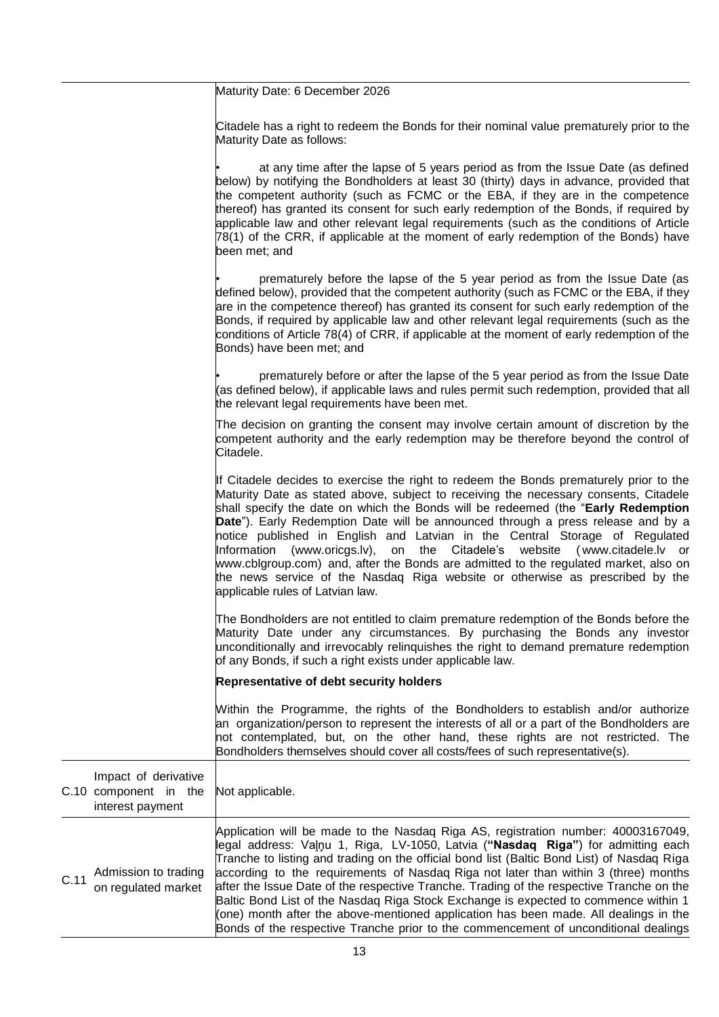Maturity Date: 6 December 2026

Citadele has a right to redeem the Bonds for their nominal value prematurely prior to the Maturity Date as follows:

at any time after the lapse of 5 years period as from the Issue Date (as defined below) by notifying the Bondholders at least 30 (thirty) days in advance, provided that the competent authority (such as FCMC or the EBA, if they are in the competence thereof) has granted its consent for such early redemption of the Bonds, if required by applicable law and other relevant legal requirements (such as the conditions of Article 78(1) of the CRR, if applicable at the moment of early redemption of the Bonds) have been met; and

prematurely before the lapse of the 5 year period as from the Issue Date (as defined below), provided that the competent authority (such as FCMC or the EBA, if they are in the competence thereof) has granted its consent for such early redemption of the Bonds, if required by applicable law and other relevant legal requirements (such as the conditions of Article 78(4) of CRR, if applicable at the moment of early redemption of the Bonds) have been met; and

prematurely before or after the lapse of the 5 year period as from the Issue Date (as defined below), if applicable laws and rules permit such redemption, provided that all the relevant legal requirements have been met.

The decision on granting the consent may involve certain amount of discretion by the competent authority and the early redemption may be therefore beyond the control of Citadele.

If Citadele decides to exercise the right to redeem the Bonds prematurely prior to the Maturity Date as stated above, subject to receiving the necessary consents, Citadele shall specify the date on which the Bonds will be redeemed (the "**Early Redemption Date**"). Early Redemption Date will be announced through a press release and by a notice published in English and Latvian in the Central Storage of Regulated Information (www.oricgs.lv), on the Citadele's website ( [www.citadele.lv](http://www.citadele.lv/) or www.cblgroup.com) and, after the Bonds are admitted to the regulated market, also on the news service of the Nasdaq Riga website or otherwise as prescribed by the applicable rules of Latvian law.

The Bondholders are not entitled to claim premature redemption of the Bonds before the Maturity Date under any circumstances. By purchasing the Bonds any investor unconditionally and irrevocably relinquishes the right to demand premature redemption of any Bonds, if such a right exists under applicable law.

## **Representative of debt security holders**

Within the Programme, the rights of the Bondholders to establish and/or authorize an organization/person to represent the interests of all or a part of the Bondholders are not contemplated, but, on the other hand, these rights are not restricted. The Bondholders themselves should cover all costs/fees of such representative(s).

|      | Impact of derivative<br>C.10 component in the<br>interest payment | Not applicable.                                                                                                                                                                                                                                                                                                                                                                                                                                                                                                                                                                                                                                                                                                              |
|------|-------------------------------------------------------------------|------------------------------------------------------------------------------------------------------------------------------------------------------------------------------------------------------------------------------------------------------------------------------------------------------------------------------------------------------------------------------------------------------------------------------------------------------------------------------------------------------------------------------------------------------------------------------------------------------------------------------------------------------------------------------------------------------------------------------|
| C.11 | Admission to trading<br>on regulated market                       | Application will be made to the Nasdaq Riga AS, registration number: 40003167049,<br>legal address: Valnu 1, Riga, LV-1050, Latvia ("Nasdaq Riga") for admitting each<br>Tranche to listing and trading on the official bond list (Baltic Bond List) of Nasdag Riga<br>according to the requirements of Nasdaq Riga not later than within 3 (three) months<br>after the Issue Date of the respective Tranche. Trading of the respective Tranche on the<br>Baltic Bond List of the Nasdaq Riga Stock Exchange is expected to commence within 1<br>(one) month after the above-mentioned application has been made. All dealings in the<br>Bonds of the respective Tranche prior to the commencement of unconditional dealings |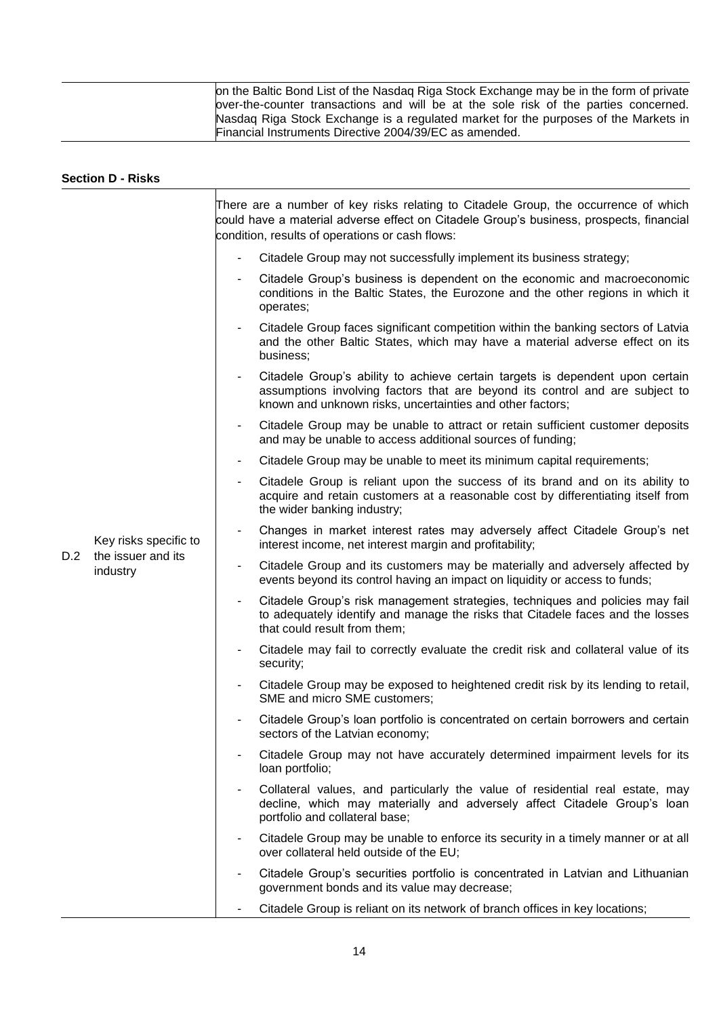| on the Baltic Bond List of the Nasdaq Riga Stock Exchange may be in the form of private<br>over-the-counter transactions and will be at the sole risk of the parties concerned. |
|---------------------------------------------------------------------------------------------------------------------------------------------------------------------------------|
| Nasdaq Riga Stock Exchange is a regulated market for the purposes of the Markets in<br>Financial Instruments Directive 2004/39/EC as amended.                                   |

|     | <b>Section D - Risks</b>                                |                |                                                                                                                                                                                                                                   |
|-----|---------------------------------------------------------|----------------|-----------------------------------------------------------------------------------------------------------------------------------------------------------------------------------------------------------------------------------|
|     |                                                         |                | There are a number of key risks relating to Citadele Group, the occurrence of which<br>could have a material adverse effect on Citadele Group's business, prospects, financial<br>condition, results of operations or cash flows: |
|     |                                                         | $\blacksquare$ | Citadele Group may not successfully implement its business strategy;                                                                                                                                                              |
|     |                                                         |                | Citadele Group's business is dependent on the economic and macroeconomic<br>conditions in the Baltic States, the Eurozone and the other regions in which it<br>operates;                                                          |
|     |                                                         | $\blacksquare$ | Citadele Group faces significant competition within the banking sectors of Latvia<br>and the other Baltic States, which may have a material adverse effect on its<br>business;                                                    |
|     |                                                         | $\blacksquare$ | Citadele Group's ability to achieve certain targets is dependent upon certain<br>assumptions involving factors that are beyond its control and are subject to<br>known and unknown risks, uncertainties and other factors;        |
|     |                                                         | ٠              | Citadele Group may be unable to attract or retain sufficient customer deposits<br>and may be unable to access additional sources of funding;                                                                                      |
|     |                                                         | $\blacksquare$ | Citadele Group may be unable to meet its minimum capital requirements;                                                                                                                                                            |
|     |                                                         | $\sim$         | Citadele Group is reliant upon the success of its brand and on its ability to<br>acquire and retain customers at a reasonable cost by differentiating itself from<br>the wider banking industry;                                  |
|     | Key risks specific to<br>the issuer and its<br>industry | $\blacksquare$ | Changes in market interest rates may adversely affect Citadele Group's net<br>interest income, net interest margin and profitability;                                                                                             |
| D.2 |                                                         | $\blacksquare$ | Citadele Group and its customers may be materially and adversely affected by<br>events beyond its control having an impact on liquidity or access to funds;                                                                       |
|     |                                                         |                | Citadele Group's risk management strategies, techniques and policies may fail<br>to adequately identify and manage the risks that Citadele faces and the losses<br>that could result from them;                                   |
|     |                                                         | ٠              | Citadele may fail to correctly evaluate the credit risk and collateral value of its<br>security;                                                                                                                                  |
|     |                                                         |                | Citadele Group may be exposed to heightened credit risk by its lending to retail,<br>SME and micro SME customers;                                                                                                                 |
|     |                                                         | ٠              | Citadele Group's loan portfolio is concentrated on certain borrowers and certain<br>sectors of the Latvian economy;                                                                                                               |
|     |                                                         | ٠              | Citadele Group may not have accurately determined impairment levels for its<br>loan portfolio;                                                                                                                                    |
|     |                                                         |                | Collateral values, and particularly the value of residential real estate, may<br>decline, which may materially and adversely affect Citadele Group's loan<br>portfolio and collateral base;                                       |
|     |                                                         | ٠              | Citadele Group may be unable to enforce its security in a timely manner or at all<br>over collateral held outside of the EU;                                                                                                      |
|     |                                                         |                | Citadele Group's securities portfolio is concentrated in Latvian and Lithuanian<br>government bonds and its value may decrease;                                                                                                   |
|     |                                                         |                | Citadele Group is reliant on its network of branch offices in key locations;                                                                                                                                                      |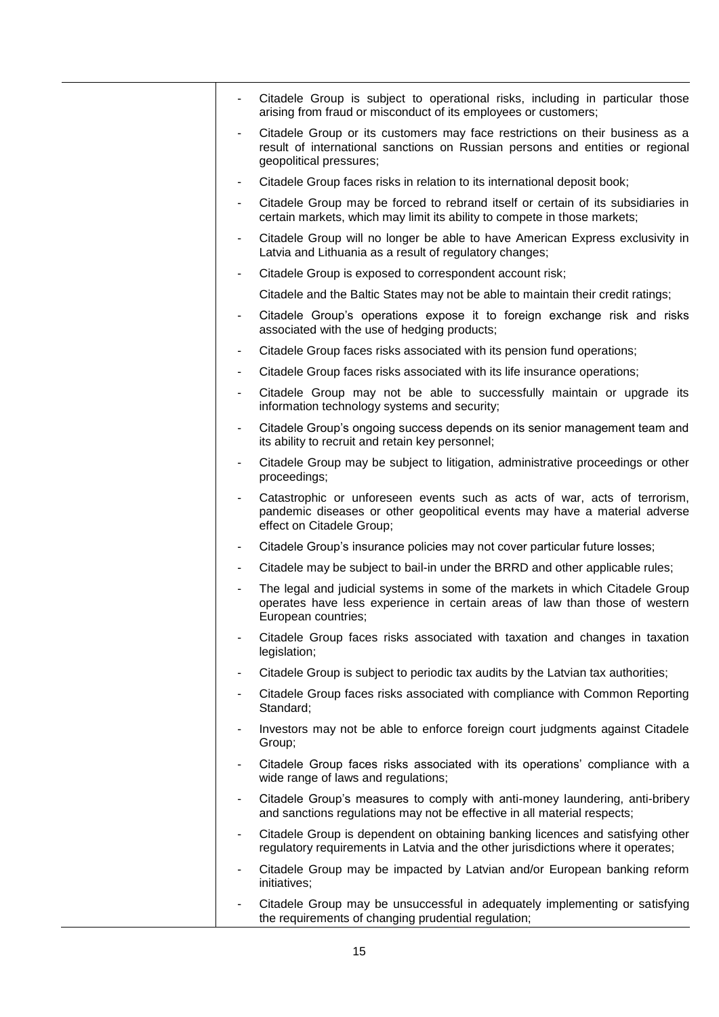|                          | Citadele Group is subject to operational risks, including in particular those<br>arising from fraud or misconduct of its employees or customers;                                         |
|--------------------------|------------------------------------------------------------------------------------------------------------------------------------------------------------------------------------------|
|                          | Citadele Group or its customers may face restrictions on their business as a<br>result of international sanctions on Russian persons and entities or regional<br>geopolitical pressures; |
| $\overline{\phantom{a}}$ | Citadele Group faces risks in relation to its international deposit book;                                                                                                                |
|                          | Citadele Group may be forced to rebrand itself or certain of its subsidiaries in<br>certain markets, which may limit its ability to compete in those markets;                            |
|                          | Citadele Group will no longer be able to have American Express exclusivity in<br>Latvia and Lithuania as a result of regulatory changes;                                                 |
|                          | Citadele Group is exposed to correspondent account risk;                                                                                                                                 |
|                          | Citadele and the Baltic States may not be able to maintain their credit ratings;                                                                                                         |
|                          | Citadele Group's operations expose it to foreign exchange risk and risks<br>associated with the use of hedging products;                                                                 |
| $\overline{\phantom{a}}$ | Citadele Group faces risks associated with its pension fund operations;                                                                                                                  |
| ٠                        | Citadele Group faces risks associated with its life insurance operations;                                                                                                                |
| $\overline{\phantom{a}}$ | Citadele Group may not be able to successfully maintain or upgrade its<br>information technology systems and security;                                                                   |
|                          | Citadele Group's ongoing success depends on its senior management team and<br>its ability to recruit and retain key personnel;                                                           |
|                          | Citadele Group may be subject to litigation, administrative proceedings or other<br>proceedings;                                                                                         |
|                          | Catastrophic or unforeseen events such as acts of war, acts of terrorism,<br>pandemic diseases or other geopolitical events may have a material adverse<br>effect on Citadele Group;     |
| ۰                        | Citadele Group's insurance policies may not cover particular future losses;                                                                                                              |
| ٠                        | Citadele may be subject to bail-in under the BRRD and other applicable rules;                                                                                                            |
|                          | The legal and judicial systems in some of the markets in which Citadele Group<br>operates have less experience in certain areas of law than those of western<br>European countries;      |
|                          | Citadele Group faces risks associated with taxation and changes in taxation<br>legislation;                                                                                              |
| ۰                        | Citadele Group is subject to periodic tax audits by the Latvian tax authorities;                                                                                                         |
| $\overline{\phantom{m}}$ | Citadele Group faces risks associated with compliance with Common Reporting<br>Standard;                                                                                                 |
| $\overline{\phantom{a}}$ | Investors may not be able to enforce foreign court judgments against Citadele<br>Group;                                                                                                  |
| $\overline{\phantom{a}}$ | Citadele Group faces risks associated with its operations' compliance with a<br>wide range of laws and regulations;                                                                      |
| $\blacksquare$           | Citadele Group's measures to comply with anti-money laundering, anti-bribery<br>and sanctions regulations may not be effective in all material respects;                                 |
| $\overline{\phantom{a}}$ | Citadele Group is dependent on obtaining banking licences and satisfying other<br>regulatory requirements in Latvia and the other jurisdictions where it operates;                       |
|                          | Citadele Group may be impacted by Latvian and/or European banking reform<br>initiatives;                                                                                                 |
|                          | Citadele Group may be unsuccessful in adequately implementing or satisfying<br>the requirements of changing prudential regulation;                                                       |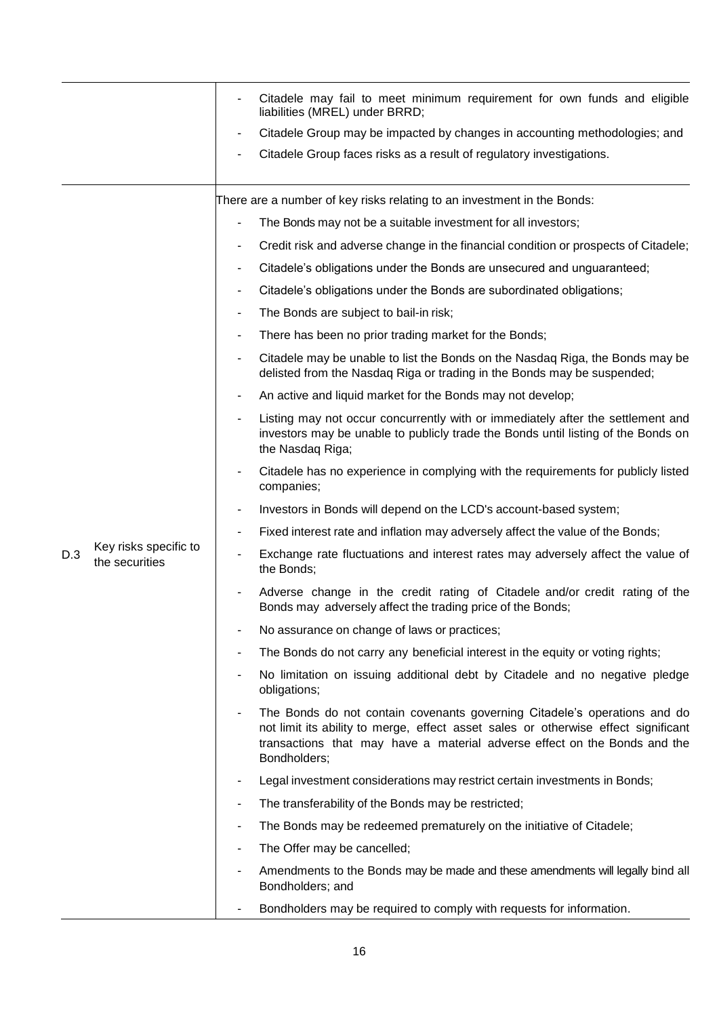|     |                                         | Citadele may fail to meet minimum requirement for own funds and eligible<br>liabilities (MREL) under BRRD;                                                                                                                                                   |
|-----|-----------------------------------------|--------------------------------------------------------------------------------------------------------------------------------------------------------------------------------------------------------------------------------------------------------------|
|     |                                         | Citadele Group may be impacted by changes in accounting methodologies; and                                                                                                                                                                                   |
|     |                                         | Citadele Group faces risks as a result of regulatory investigations.                                                                                                                                                                                         |
|     |                                         |                                                                                                                                                                                                                                                              |
|     |                                         | There are a number of key risks relating to an investment in the Bonds:                                                                                                                                                                                      |
|     |                                         | The Bonds may not be a suitable investment for all investors;                                                                                                                                                                                                |
|     |                                         | Credit risk and adverse change in the financial condition or prospects of Citadele;<br>٠                                                                                                                                                                     |
|     |                                         | Citadele's obligations under the Bonds are unsecured and unguaranteed;                                                                                                                                                                                       |
|     |                                         | Citadele's obligations under the Bonds are subordinated obligations;<br>۰                                                                                                                                                                                    |
|     |                                         | The Bonds are subject to bail-in risk;                                                                                                                                                                                                                       |
|     |                                         | There has been no prior trading market for the Bonds;                                                                                                                                                                                                        |
|     |                                         | Citadele may be unable to list the Bonds on the Nasdaq Riga, the Bonds may be<br>٠<br>delisted from the Nasdaq Riga or trading in the Bonds may be suspended;                                                                                                |
|     |                                         | An active and liquid market for the Bonds may not develop;                                                                                                                                                                                                   |
|     |                                         | Listing may not occur concurrently with or immediately after the settlement and<br>investors may be unable to publicly trade the Bonds until listing of the Bonds on<br>the Nasdaq Riga;                                                                     |
|     |                                         | Citadele has no experience in complying with the requirements for publicly listed<br>companies;                                                                                                                                                              |
|     |                                         | Investors in Bonds will depend on the LCD's account-based system;<br>٠                                                                                                                                                                                       |
|     |                                         | Fixed interest rate and inflation may adversely affect the value of the Bonds;<br>٠                                                                                                                                                                          |
| D.3 | Key risks specific to<br>the securities | Exchange rate fluctuations and interest rates may adversely affect the value of<br>the Bonds;                                                                                                                                                                |
|     |                                         | Adverse change in the credit rating of Citadele and/or credit rating of the<br>Bonds may adversely affect the trading price of the Bonds;                                                                                                                    |
|     |                                         | No assurance on change of laws or practices;                                                                                                                                                                                                                 |
|     |                                         | The Bonds do not carry any beneficial interest in the equity or voting rights;                                                                                                                                                                               |
|     |                                         | No limitation on issuing additional debt by Citadele and no negative pledge<br>$\overline{\phantom{a}}$<br>obligations;                                                                                                                                      |
|     |                                         | The Bonds do not contain covenants governing Citadele's operations and do<br>not limit its ability to merge, effect asset sales or otherwise effect significant<br>transactions that may have a material adverse effect on the Bonds and the<br>Bondholders; |
|     |                                         | Legal investment considerations may restrict certain investments in Bonds;                                                                                                                                                                                   |
|     |                                         | The transferability of the Bonds may be restricted;<br>٠                                                                                                                                                                                                     |
|     |                                         | The Bonds may be redeemed prematurely on the initiative of Citadele;                                                                                                                                                                                         |
|     |                                         | The Offer may be cancelled;<br>$\overline{\phantom{a}}$                                                                                                                                                                                                      |
|     |                                         | Amendments to the Bonds may be made and these amendments will legally bind all<br>Bondholders; and                                                                                                                                                           |
|     |                                         | Bondholders may be required to comply with requests for information.                                                                                                                                                                                         |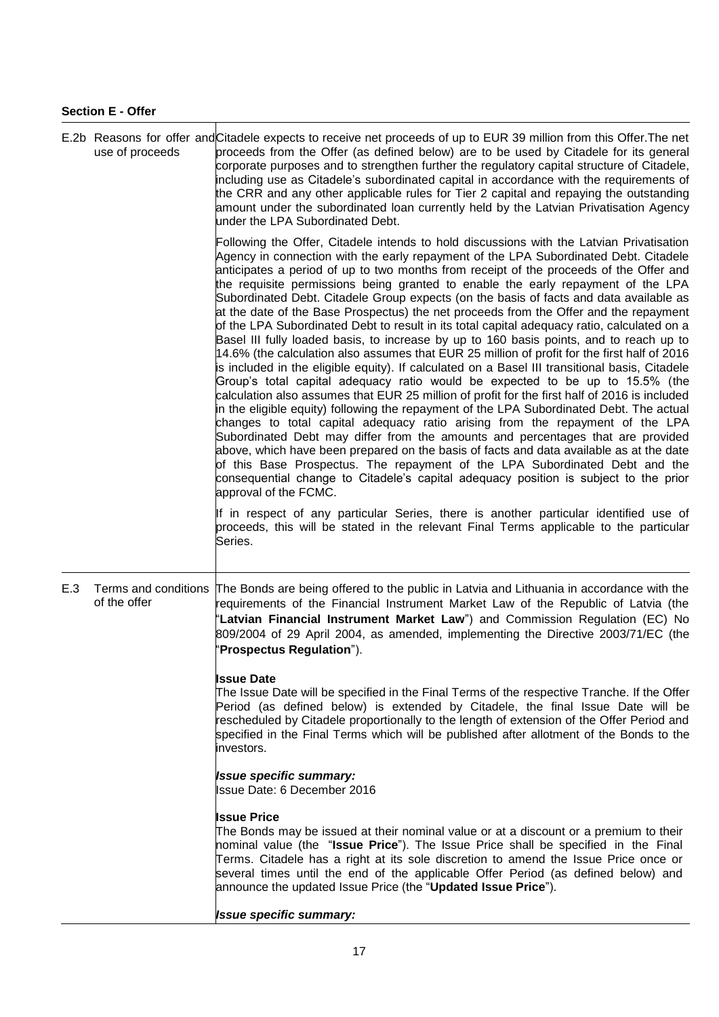## **Section E - Offer**

|     | use of proceeds | E.2b Reasons for offer and Citadele expects to receive net proceeds of up to EUR 39 million from this Offer. The net<br>proceeds from the Offer (as defined below) are to be used by Citadele for its general<br>corporate purposes and to strengthen further the regulatory capital structure of Citadele,<br>including use as Citadele's subordinated capital in accordance with the requirements of<br>the CRR and any other applicable rules for Tier 2 capital and repaying the outstanding<br>amount under the subordinated loan currently held by the Latvian Privatisation Agency<br>under the LPA Subordinated Debt.                                                                                                                                                                                                                                                                                                                                                                                                                                                                                                                                                                                                                                                                                                                                                                                                                                                                                                                                                                                                                                                              |  |  |  |  |
|-----|-----------------|--------------------------------------------------------------------------------------------------------------------------------------------------------------------------------------------------------------------------------------------------------------------------------------------------------------------------------------------------------------------------------------------------------------------------------------------------------------------------------------------------------------------------------------------------------------------------------------------------------------------------------------------------------------------------------------------------------------------------------------------------------------------------------------------------------------------------------------------------------------------------------------------------------------------------------------------------------------------------------------------------------------------------------------------------------------------------------------------------------------------------------------------------------------------------------------------------------------------------------------------------------------------------------------------------------------------------------------------------------------------------------------------------------------------------------------------------------------------------------------------------------------------------------------------------------------------------------------------------------------------------------------------------------------------------------------------|--|--|--|--|
|     |                 | Following the Offer, Citadele intends to hold discussions with the Latvian Privatisation<br>Agency in connection with the early repayment of the LPA Subordinated Debt. Citadele<br>anticipates a period of up to two months from receipt of the proceeds of the Offer and<br>the requisite permissions being granted to enable the early repayment of the LPA<br>Subordinated Debt. Citadele Group expects (on the basis of facts and data available as<br>at the date of the Base Prospectus) the net proceeds from the Offer and the repayment<br>of the LPA Subordinated Debt to result in its total capital adequacy ratio, calculated on a<br>Basel III fully loaded basis, to increase by up to 160 basis points, and to reach up to<br>14.6% (the calculation also assumes that EUR 25 million of profit for the first half of 2016<br>is included in the eligible equity). If calculated on a Basel III transitional basis, Citadele<br>Group's total capital adequacy ratio would be expected to be up to 15.5% (the<br>calculation also assumes that EUR 25 million of profit for the first half of 2016 is included<br>in the eligible equity) following the repayment of the LPA Subordinated Debt. The actual<br>changes to total capital adequacy ratio arising from the repayment of the LPA<br>Subordinated Debt may differ from the amounts and percentages that are provided<br>above, which have been prepared on the basis of facts and data available as at the date<br>of this Base Prospectus. The repayment of the LPA Subordinated Debt and the<br>consequential change to Citadele's capital adequacy position is subject to the prior<br>approval of the FCMC. |  |  |  |  |
|     |                 | If in respect of any particular Series, there is another particular identified use of<br>proceeds, this will be stated in the relevant Final Terms applicable to the particular<br>Series.                                                                                                                                                                                                                                                                                                                                                                                                                                                                                                                                                                                                                                                                                                                                                                                                                                                                                                                                                                                                                                                                                                                                                                                                                                                                                                                                                                                                                                                                                                 |  |  |  |  |
| E.3 | of the offer    | Terms and conditions The Bonds are being offered to the public in Latvia and Lithuania in accordance with the<br>requirements of the Financial Instrument Market Law of the Republic of Latvia (the<br>'Latvian Financial Instrument Market Law") and Commission Regulation (EC) No<br>809/2004 of 29 April 2004, as amended, implementing the Directive 2003/71/EC (the<br>'Prospectus Regulation").                                                                                                                                                                                                                                                                                                                                                                                                                                                                                                                                                                                                                                                                                                                                                                                                                                                                                                                                                                                                                                                                                                                                                                                                                                                                                      |  |  |  |  |
|     |                 | <b>Issue Date</b><br>The Issue Date will be specified in the Final Terms of the respective Tranche. If the Offer<br>Period (as defined below) is extended by Citadele, the final Issue Date will be<br>rescheduled by Citadele proportionally to the length of extension of the Offer Period and<br>specified in the Final Terms which will be published after allotment of the Bonds to the<br>investors.                                                                                                                                                                                                                                                                                                                                                                                                                                                                                                                                                                                                                                                                                                                                                                                                                                                                                                                                                                                                                                                                                                                                                                                                                                                                                 |  |  |  |  |
|     |                 | <b>Issue specific summary:</b><br>Issue Date: 6 December 2016                                                                                                                                                                                                                                                                                                                                                                                                                                                                                                                                                                                                                                                                                                                                                                                                                                                                                                                                                                                                                                                                                                                                                                                                                                                                                                                                                                                                                                                                                                                                                                                                                              |  |  |  |  |
|     |                 | <b>Issue Price</b><br>The Bonds may be issued at their nominal value or at a discount or a premium to their<br>nominal value (the "Issue Price"). The Issue Price shall be specified in the Final<br>Terms. Citadele has a right at its sole discretion to amend the Issue Price once or<br>several times until the end of the applicable Offer Period (as defined below) and<br>announce the updated Issue Price (the "Updated Issue Price").                                                                                                                                                                                                                                                                                                                                                                                                                                                                                                                                                                                                                                                                                                                                                                                                                                                                                                                                                                                                                                                                                                                                                                                                                                             |  |  |  |  |
|     |                 | <b>Issue specific summary:</b>                                                                                                                                                                                                                                                                                                                                                                                                                                                                                                                                                                                                                                                                                                                                                                                                                                                                                                                                                                                                                                                                                                                                                                                                                                                                                                                                                                                                                                                                                                                                                                                                                                                             |  |  |  |  |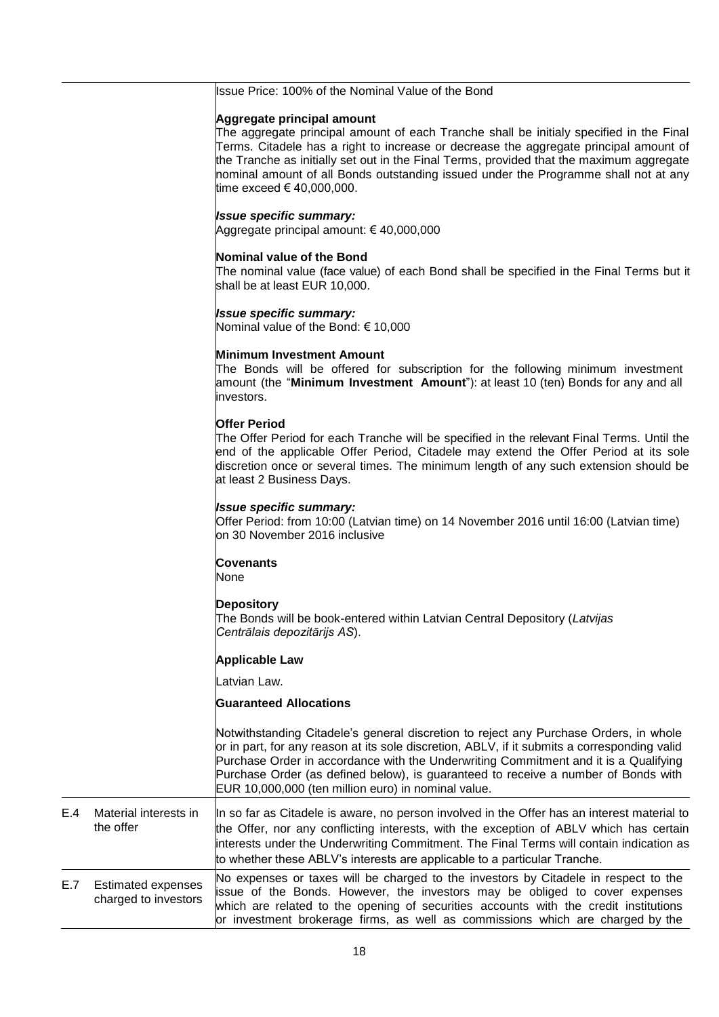## Issue Price: 100% of the Nominal Value of the Bond **Aggregate principal amount** The aggregate principal amount of each Tranche shall be initialy specified in the Final Terms. Citadele has a right to increase or decrease the aggregate principal amount of the Tranche as initially set out in the Final Terms, provided that the maximum aggregate nominal amount of all Bonds outstanding issued under the Programme shall not at any time exceed € 40,000,000. *Issue specific summary:* Aggregate principal amount: € 40,000,000 **Nominal value of the Bond** The nominal value (face value) of each Bond shall be specified in the Final Terms but it shall be at least EUR 10,000. *Issue specific summary:* Nominal value of the Bond: € 10,000 **Minimum Investment Amount** The Bonds will be offered for subscription for the following minimum investment amount (the "**Minimum Investment Amount**"): at least 10 (ten) Bonds for any and all investors. **Offer Period** The Offer Period for each Tranche will be specified in the relevant Final Terms. Until the end of the applicable Offer Period, Citadele may extend the Offer Period at its sole discretion once or several times. The minimum length of any such extension should be at least 2 Business Days. *Issue specific summary:* Offer Period: from 10:00 (Latvian time) on 14 November 2016 until 16:00 (Latvian time) on 30 November 2016 inclusive **Covenants** None **Depository** The Bonds will be book-entered within Latvian Central Depository (*Latvijas Centrālais depozitārijs AS*). **Applicable Law** Latvian Law. **Guaranteed Allocations** Notwithstanding Citadele's general discretion to reject any Purchase Orders, in whole or in part, for any reason at its sole discretion, ABLV, if it submits a corresponding valid Purchase Order in accordance with the Underwriting Commitment and it is a Qualifying Purchase Order (as defined below), is guaranteed to receive a number of Bonds with EUR 10,000,000 (ten million euro) in nominal value. E.4 Material interests in the offer In so far as Citadele is aware, no person involved in the Offer has an interest material to the Offer, nor any conflicting interests, with the exception of ABLV which has certain interests under the Underwriting Commitment. The Final Terms will contain indication as to whether these ABLV's interests are applicable to a particular Tranche. E.7 Estimated expenses charged to investors No expenses or taxes will be charged to the investors by Citadele in respect to the issue of the Bonds. However, the investors may be obliged to cover expenses which are related to the opening of securities accounts with the credit institutions or investment brokerage firms, as well as commissions which are charged by the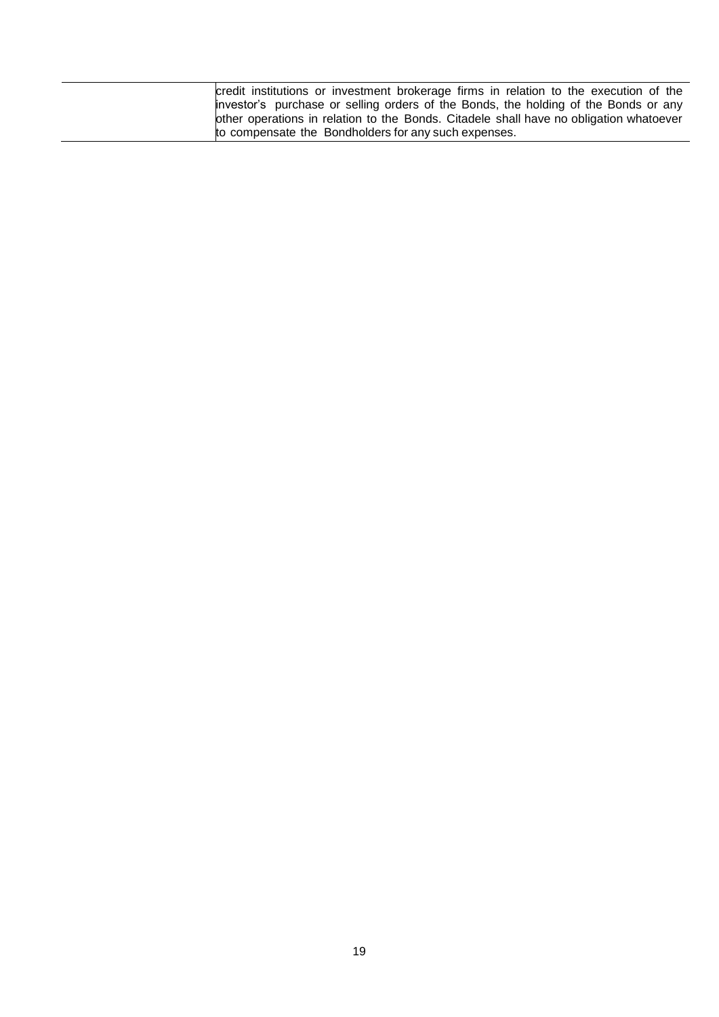| credit institutions or investment brokerage firms in relation to the execution of the  |
|----------------------------------------------------------------------------------------|
| investor's purchase or selling orders of the Bonds, the holding of the Bonds or any    |
| other operations in relation to the Bonds. Citadele shall have no obligation whatoever |
| to compensate the Bondholders for any such expenses.                                   |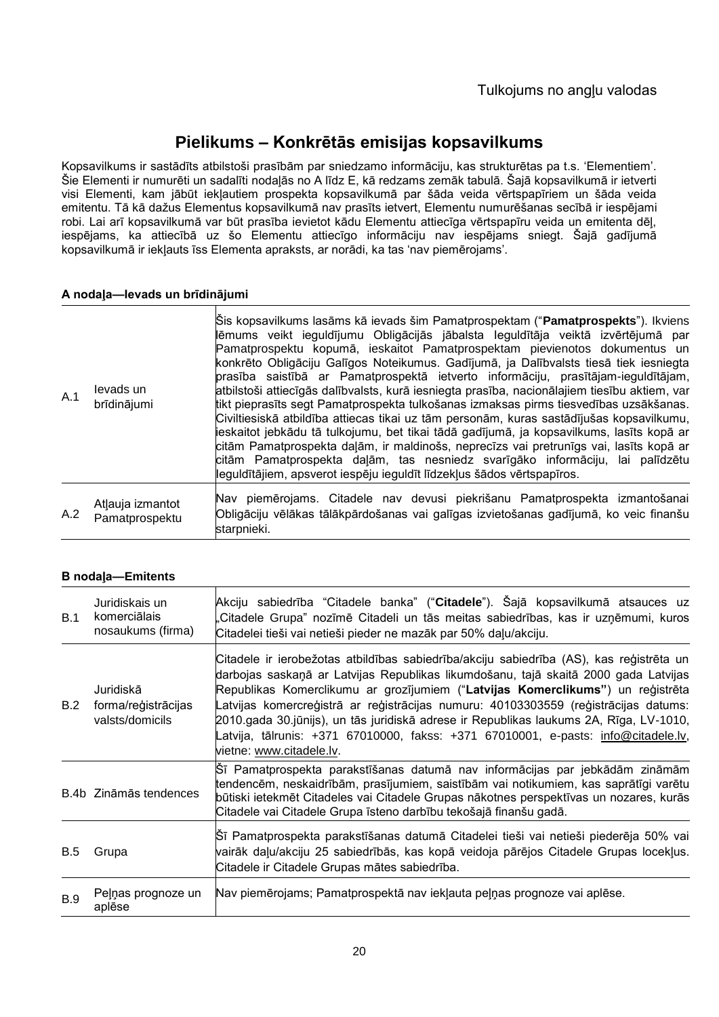# **Pielikums – Konkrētās emisijas kopsavilkums**

Kopsavilkums ir sastādīts atbilstoši prasībām par sniedzamo informāciju, kas strukturētas pa t.s. 'Elementiem'. Šie Elementi ir numurēti un sadalīti nodaļās no A līdz E, kā redzams zemāk tabulā. Šajā kopsavilkumā ir ietverti visi Elementi, kam jābūt iekļautiem prospekta kopsavilkumā par šāda veida vērtspapīriem un šāda veida emitentu. Tā kā dažus Elementus kopsavilkumā nav prasīts ietvert, Elementu numurēšanas secībā ir iespējami robi. Lai arī kopsavilkumā var būt prasība ievietot kādu Elementu attiecīga vērtspapīru veida un emitenta dēļ, iespējams, ka attiecībā uz šo Elementu attiecīgo informāciju nav iespējams sniegt. Šajā gadījumā kopsavilkumā ir iekļauts īss Elementa apraksts, ar norādi, ka tas 'nav piemērojams'.

## **A nodaļa—Ievads un brīdinājumi**

| A.1 | levads un<br>brīdinājumi           | Sis kopsavilkums lasāms kā ievads šim Pamatprospektam (" <b>Pamatprospekts</b> "). Ikviens<br>ļlēmums veikt ieguldījumu Obligācijās jābalsta leguldītāja veiktā izvērtējumā par<br>Pamatprospektu kopumā, ieskaitot Pamatprospektam pievienotos dokumentus un<br>konkrēto Obligāciju Galīgos Noteikumus. Gadījumā, ja Dalībvalsts tiesā tiek iesniegta<br>prasība saistībā ar Pamatprospektā ietverto informāciju, prasītājam-ieguldītājam,<br>atbilstoši attiecīgās dalībvalsts, kurā iesniegta prasība, nacionālajiem tiesību aktiem, var<br>tikt pieprasīts segt Pamatprospekta tulkošanas izmaksas pirms tiesvedības uzsākšanas.<br>Civiltiesiskā atbildība attiecas tikai uz tām personām, kuras sastādījušas kopsavilkumu,<br>lieskaitot jebkādu tā tulkojumu, bet tikai tādā gadījumā, ja kopsavilkums, lasīts kopā ar<br>citām Pamatprospekta daļām, ir maldinošs, neprecīzs vai pretrunīgs vai, lasīts kopā ar<br>citām Pamatprospekta daļām, tas nesniedz svarīgāko informāciju, lai palīdzētu<br>leguldītājiem, apsverot iespēju ieguldīt līdzekļus šādos vērtspapīros. |
|-----|------------------------------------|------------------------------------------------------------------------------------------------------------------------------------------------------------------------------------------------------------------------------------------------------------------------------------------------------------------------------------------------------------------------------------------------------------------------------------------------------------------------------------------------------------------------------------------------------------------------------------------------------------------------------------------------------------------------------------------------------------------------------------------------------------------------------------------------------------------------------------------------------------------------------------------------------------------------------------------------------------------------------------------------------------------------------------------------------------------------------------|
| A.2 | Atlauja izmantot<br>Pamatprospektu | Nav piemērojams. Citadele nav devusi piekrišanu Pamatprospekta izmantošanai<br>Obligāciju vēlākas tālākpārdošanas vai galīgas izvietošanas gadījumā, ko veic finanšu<br>starpnieki.                                                                                                                                                                                                                                                                                                                                                                                                                                                                                                                                                                                                                                                                                                                                                                                                                                                                                                |

## **B nodaļa—Emitents**

| B.1        | Juridiskais un<br>komerciālais<br>nosaukums (firma) | Akciju sabiedrība "Citadele banka" ("Citadele"). Šajā kopsavilkumā atsauces uz<br>"Citadele Grupa" nozīmē Citadeli un tās meitas sabiedrības, kas ir uzņēmumi, kuros<br>Citadelei tieši vai netieši pieder ne mazāk par 50% daļu/akciju.                                                                                                                                                                                                                                                                                                                           |
|------------|-----------------------------------------------------|--------------------------------------------------------------------------------------------------------------------------------------------------------------------------------------------------------------------------------------------------------------------------------------------------------------------------------------------------------------------------------------------------------------------------------------------------------------------------------------------------------------------------------------------------------------------|
| B.2        | Juridiskā<br>forma/reģistrācijas<br>valsts/domicils | Citadele ir ierobežotas atbildības sabiedrība/akciju sabiedrība (AS), kas reģistrēta un<br>darbojas saskaņā ar Latvijas Republikas likumdošanu, tajā skaitā 2000 gada Latvijas<br>Republikas Komerclikumu ar grozījumiem ("Latvijas Komerclikums") un reģistrēta<br>atvijas komercreģistrā ar reģistrācijas numuru: 40103303559 (reģistrācijas datums:<br>2010.gada 30.jūnijs), un tās juridiskā adrese ir Republikas laukums 2A, Rīga, LV-1010,<br>.atvija, tālrunis: +371 67010000, fakss: +371 67010001, e-pasts: info@citadele.lv,<br>vietne: www.citadele.lv. |
|            | B.4b Zināmās tendences                              | Sī Pamatprospekta parakstīšanas datumā nav informācijas par jebkādām zināmām<br>tendencēm, neskaidrībām, prasījumiem, saistībām vai notikumiem, kas saprātīgi varētu<br>būtiski ietekmēt Citadeles vai Citadele Grupas nākotnes perspektīvas un nozares, kurās<br>Citadele vai Citadele Grupa īsteno darbību tekošajā finanšu gadā.                                                                                                                                                                                                                                |
| <b>B.5</b> | Grupa                                               | Sī Pamatprospekta parakstīšanas datumā Citadelei tieši vai netieši piederēja 50% vai<br>vairāk daļu/akciju 25 sabiedrībās, kas kopā veidoja pārējos Citadele Grupas locekļus.<br>Citadele ir Citadele Grupas mātes sabiedrība.                                                                                                                                                                                                                                                                                                                                     |
| B.9        | Peļņas prognoze un<br>aplēse                        | Nav piemērojams; Pamatprospektā nav iekļauta peļņas prognoze vai aplēse.                                                                                                                                                                                                                                                                                                                                                                                                                                                                                           |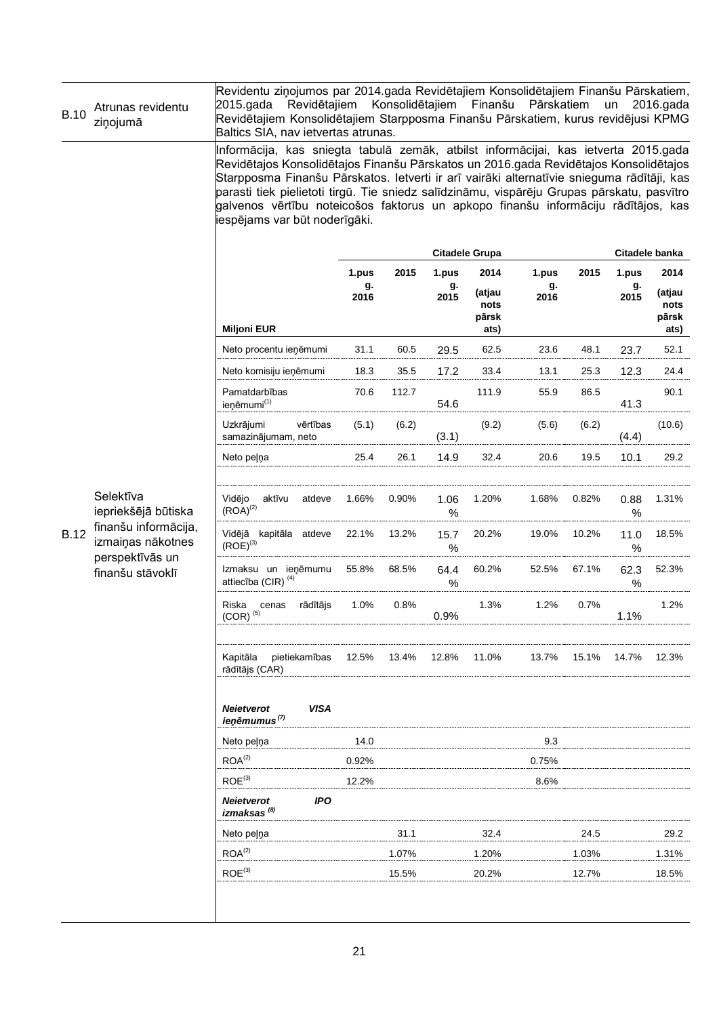| <b>B.10</b> | Atrunas revidentu<br>ziņojumā                                                    | Revidentu ziņojumos par 2014.gada Revidētajiem Konsolidētajiem Finanšu Pārskatiem,<br>Revidētajiem<br>2015.gada<br>Revidētajiem Konsolidētajiem Starpposma Finanšu Pārskatiem, kurus revidējusi KPMG<br>Baltics SIA, nav ietvertas atrunas.                                                                                                                                                                                                                                                  |            | Konsolidētajiem |              | Finanšu                         | Pārskatiem |       | un         | 2016.gada                       |
|-------------|----------------------------------------------------------------------------------|----------------------------------------------------------------------------------------------------------------------------------------------------------------------------------------------------------------------------------------------------------------------------------------------------------------------------------------------------------------------------------------------------------------------------------------------------------------------------------------------|------------|-----------------|--------------|---------------------------------|------------|-------|------------|---------------------------------|
|             |                                                                                  | Informācija, kas sniegta tabulā zemāk, atbilst informācijai, kas ietverta 2015.gada<br>Revidētajos Konsolidētajos Finanšu Pārskatos un 2016.gada Revidētajos Konsolidētajos<br>Starpposma Finanšu Pārskatos. Ietverti ir arī vairāki alternatīvie snieguma rādītāji, kas<br>parasti tiek pielietoti tirgū. Tie sniedz salīdzināmu, vispārēju Grupas pārskatu, pasvītro<br>galvenos vērtību noteicošos faktorus un apkopo finanšu informāciju rādītājos, kas<br>iespējams var būt noderīgāki. |            |                 |              |                                 |            |       |            |                                 |
|             |                                                                                  |                                                                                                                                                                                                                                                                                                                                                                                                                                                                                              |            |                 |              | <b>Citadele Grupa</b>           |            |       |            | Citadele banka                  |
|             |                                                                                  |                                                                                                                                                                                                                                                                                                                                                                                                                                                                                              | 1.pus      | 2015            | 1.pus        | 2014                            | 1.pus      | 2015  | 1.pus      | 2014                            |
|             |                                                                                  | <b>Miljoni EUR</b>                                                                                                                                                                                                                                                                                                                                                                                                                                                                           | g.<br>2016 |                 | g.<br>2015   | (atjau<br>nots<br>pārsk<br>ats) | g.<br>2016 |       | g.<br>2015 | (atjau<br>nots<br>pārsk<br>ats) |
|             |                                                                                  | Neto procentu ieņēmumi                                                                                                                                                                                                                                                                                                                                                                                                                                                                       | 31.1       | 60.5            | 29.5         | 62.5                            | 23.6       | 48.1  | 23.7       | 52.1                            |
|             |                                                                                  | Neto komisiju ieņēmumi                                                                                                                                                                                                                                                                                                                                                                                                                                                                       | 18.3       | 35.5            | 17.2         | 33.4                            | 13.1       | 25.3  | 12.3       | 24.4                            |
|             |                                                                                  | Pamatdarbības<br>ieņēmumi <sup>(1)</sup>                                                                                                                                                                                                                                                                                                                                                                                                                                                     | 70.6       | 112.7           | 54.6         | 111.9                           | 55.9       | 86.5  | 41.3       | 90.1                            |
|             |                                                                                  | Uzkrājumi<br>vērtības<br>samazinājumam, neto                                                                                                                                                                                                                                                                                                                                                                                                                                                 | (5.1)      | (6.2)           | (3.1)        | (9.2)                           | (5.6)      | (6.2) | (4.4)      | (10.6)                          |
|             |                                                                                  | Neto pelna                                                                                                                                                                                                                                                                                                                                                                                                                                                                                   | 25.4       | 26.1            | 14.9         | 32.4                            | 20.6       | 19.5  | 10.1       | 29.2                            |
|             | Selektīva<br>iepriekšējā būtiska                                                 | Vidējo<br>aktīvu<br>atdeve<br>$(ROA)^{(2)}$                                                                                                                                                                                                                                                                                                                                                                                                                                                  | 1.66%      | 0.90%           | 1.06<br>%    | 1.20%                           | 1.68%      | 0.82% | 0.88<br>%  | 1.31%                           |
| <b>B.12</b> | finanšu informācija,<br>izmaiņas nākotnes<br>perspektīvās un<br>finanšu stāvoklī | Vidējā kapitāla<br>atdeve<br>$(ROE)^{(3)}$                                                                                                                                                                                                                                                                                                                                                                                                                                                   | 22.1%      | 13.2%           | 15.7<br>$\%$ | 20.2%                           | 19.0%      | 10.2% | 11.0<br>%  | 18.5%                           |
|             |                                                                                  | Izmaksu un ieņēmumu<br>attiecība (CIR) <sup>(4)</sup>                                                                                                                                                                                                                                                                                                                                                                                                                                        | 55.8%      | 68.5%           | 64.4<br>%    | 60.2%                           | 52.5%      | 67.1% | 62.3<br>%  | 52.3%                           |
|             |                                                                                  | Riska<br>rādītājs<br>cenas<br>$(COR)^{(5)}$                                                                                                                                                                                                                                                                                                                                                                                                                                                  | 1.0%       | 0.8%            | 0.9%         | 1.3%                            | 1.2%       | 0.7%  | 1.1%       | 1.2%                            |
|             |                                                                                  | Kapitāla<br>pietiekamības<br>rādītājs (CAR)                                                                                                                                                                                                                                                                                                                                                                                                                                                  | 12.5%      | 13.4%           | 12.8%        | 11.0%                           | 13.7%      | 15.1% | 14.7%      | 12.3%                           |
|             |                                                                                  | <b>VISA</b><br><b>Neietverot</b><br>ieņēmumus <sup>(7)</sup>                                                                                                                                                                                                                                                                                                                                                                                                                                 |            |                 |              |                                 |            |       |            |                                 |
|             |                                                                                  | Neto pelna                                                                                                                                                                                                                                                                                                                                                                                                                                                                                   | 14.0       |                 |              |                                 | 9.3        |       |            |                                 |
|             |                                                                                  | ROA <sup>(2)</sup>                                                                                                                                                                                                                                                                                                                                                                                                                                                                           | 0.92%      |                 |              |                                 | 0.75%      |       |            |                                 |
|             |                                                                                  | $ROE^{(3)}$                                                                                                                                                                                                                                                                                                                                                                                                                                                                                  | 12.2%      |                 |              |                                 | 8.6%       |       |            |                                 |
|             |                                                                                  | <b>Neietverot</b><br><b>IPO</b><br>izmaksas <sup>(8)</sup>                                                                                                                                                                                                                                                                                                                                                                                                                                   |            |                 |              |                                 |            |       |            |                                 |
|             |                                                                                  | Neto pelna                                                                                                                                                                                                                                                                                                                                                                                                                                                                                   |            | 31.1            |              | 32.4                            |            | 24.5  |            | 29.2                            |
|             |                                                                                  | ROA <sup>(2)</sup>                                                                                                                                                                                                                                                                                                                                                                                                                                                                           |            | 1.07%           |              | 1.20%                           |            | 1.03% |            | 1.31%                           |
|             |                                                                                  | ROE <sup>(3)</sup>                                                                                                                                                                                                                                                                                                                                                                                                                                                                           |            | 15.5%           |              | 20.2%                           |            | 12.7% |            | 18.5%                           |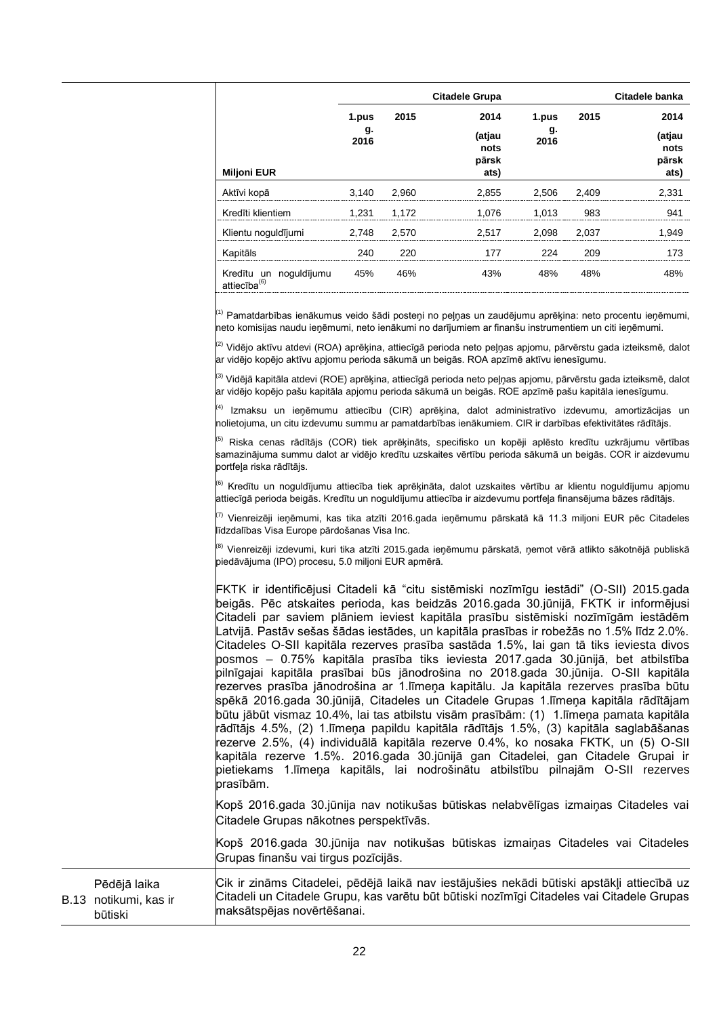|                                                    |            |       | <b>Citadele Grupa</b>           |            |       | Citadele banka                  |
|----------------------------------------------------|------------|-------|---------------------------------|------------|-------|---------------------------------|
|                                                    | 1.pus      | 2015  | 2014                            | 1.pus      | 2015  | 2014                            |
| <b>Miljoni EUR</b>                                 | g.<br>2016 |       | (atjau<br>nots<br>pärsk<br>ats) | g.<br>2016 |       | (atjau<br>nots<br>pärsk<br>ats) |
| Aktīvi kopā                                        | 3,140      | 2,960 | 2,855                           | 2.506      | 2,409 | 2.331                           |
| Kredīti klientiem                                  | 1.231      | 1.172 | 1.076                           | 1.013      | 983   | 941                             |
| Klientu noguldījumi                                | 2.748      | 2,570 | 2.517                           | 2.098      | 2,037 | 1.949                           |
| Kapitāls                                           | 240        | 220   | 177                             | 224        | 209   | 173                             |
| Kredītu un noguldījumu<br>attiecība <sup>(6)</sup> | 45%        | 46%   | 43%                             | 48%        | 48%   | 48%                             |

<sup>(1)</sup> Pamatdarbības ienākumus veido šādi posteņi no peļņas un zaudējumu aprēķina: neto procentu ieņēmumi, neto komisijas naudu ieņēmumi, neto ienākumi no darījumiem ar finanšu instrumentiem un citi ieņēmumi.

<sup>(2)</sup> Vidējo aktīvu atdevi (ROA) aprēķina, attiecīgā perioda neto peļņas apjomu, pārvērstu gada izteiksmē, dalot ar vidējo kopējo aktīvu apjomu perioda sākumā un beigās. ROA apzīmē aktīvu ienesīgumu.

 $^{(3)}$  Vidējā kapitāla atdevi (ROE) aprēķina, attiecīgā perioda neto peļņas apjomu, pārvērstu gada izteiksmē, dalot ar vidējo kopējo pašu kapitāla apjomu perioda sākumā un beigās. ROE apzīmē pašu kapitāla ienesīgumu.

<sup>(4)</sup> Izmaksu un ieņēmumu attiecību (CIR) aprēķina, dalot administratīvo izdevumu, amortizācijas un nolietojuma, un citu izdevumu summu ar pamatdarbības ienākumiem. CIR ir darbības efektivitātes rādītājs.

(5) Riska cenas rādītājs (COR) tiek aprēķināts, specifisko un kopēji aplēsto kredītu uzkrājumu vērtības samazinājuma summu dalot ar vidējo kredītu uzskaites vērtību perioda sākumā un beigās. COR ir aizdevumu portfeļa riska rādītājs.

<sup>(6)</sup> Kredītu un noguldījumu attiecība tiek aprēķināta, dalot uzskaites vērtību ar klientu noguldījumu apjomu attiecīgā perioda beigās. Kredītu un noguldījumu attiecība ir aizdevumu portfeļa finansējuma bāzes rādītājs.

<sup>(7)</sup> Vienreizēji ieņēmumi, kas tika atzīti 2016.gada ieņēmumu pārskatā kā 11.3 miljoni EUR pēc Citadeles līdzdalības Visa Europe pārdošanas Visa Inc.

<sup>(8)</sup> Vienreizēji izdevumi, kuri tika atzīti 2015.gada ieņēmumu pārskatā, ņemot vērā atlikto sākotnējā publiskā piedāvājuma (IPO) procesu, 5.0 miljoni EUR apmērā.

FKTK ir identificējusi Citadeli kā "citu sistēmiski nozīmīgu iestādi" (O-SII) 2015.gada beigās. Pēc atskaites perioda, kas beidzās 2016.gada 30.jūnijā, FKTK ir informējusi Citadeli par saviem plāniem ieviest kapitāla prasību sistēmiski nozīmīgām iestādēm Latvijā. Pastāv sešas šādas iestādes, un kapitāla prasības ir robežās no 1.5% līdz 2.0%. Citadeles O-SII kapitāla rezerves prasība sastāda 1.5%, lai gan tā tiks ieviesta divos posmos – 0.75% kapitāla prasība tiks ieviesta 2017.gada 30.jūnijā, bet atbilstība pilnīgajai kapitāla prasībai būs jānodrošina no 2018.gada 30.jūnija. O-SII kapitāla rezerves prasība jānodrošina ar 1.līmeņa kapitālu. Ja kapitāla rezerves prasība būtu spēkā 2016.gada 30.jūnijā, Citadeles un Citadele Grupas 1.līmeņa kapitāla rādītājam būtu jābūt vismaz 10.4%, lai tas atbilstu visām prasībām: (1) 1.līmeņa pamata kapitāla rādītājs 4.5%, (2) 1.līmeņa papildu kapitāla rādītājs 1.5%, (3) kapitāla saglabāšanas rezerve 2.5%, (4) individuālā kapitāla rezerve 0.4%, ko nosaka FKTK, un (5) O-SII kapitāla rezerve 1.5%. 2016.gada 30.jūnijā gan Citadelei, gan Citadele Grupai ir pietiekams 1.līmeņa kapitāls, lai nodrošinātu atbilstību pilnajām O-SII rezerves prasībām.

Kopš 2016.gada 30.jūnija nav notikušas būtiskas nelabvēlīgas izmaiņas Citadeles vai Citadele Grupas nākotnes perspektīvās.

Kopš 2016.gada 30.jūnija nav notikušas būtiskas izmaiņas Citadeles vai Citadeles Grupas finanšu vai tirgus pozīcijās.

B.13 notikumi, kas ir Pēdējā laika būtiski Cik ir zināms Citadelei, pēdējā laikā nav iestājušies nekādi būtiski apstākļi attiecībā uz Citadeli un Citadele Grupu, kas varētu būt būtiski nozīmīgi Citadeles vai Citadele Grupas maksātspējas novērtēšanai.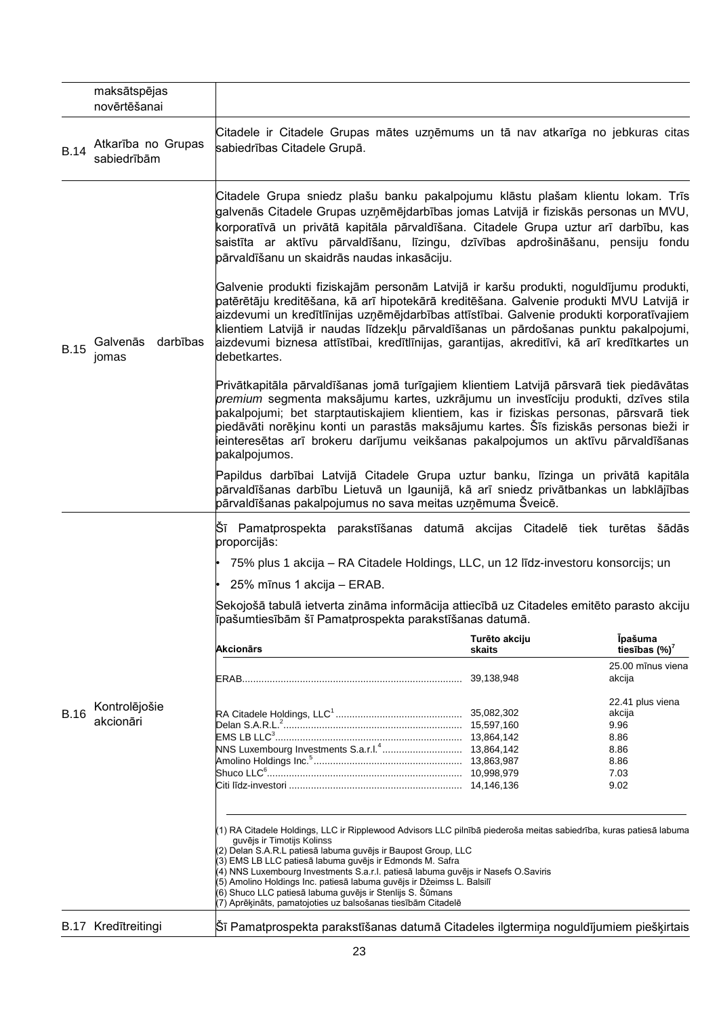|             | maksātspējas<br>novērtēšanai      |                                                                                                                                                                                                                                                                                                                                                                                                                                                                                                                                                                          |               |                                    |
|-------------|-----------------------------------|--------------------------------------------------------------------------------------------------------------------------------------------------------------------------------------------------------------------------------------------------------------------------------------------------------------------------------------------------------------------------------------------------------------------------------------------------------------------------------------------------------------------------------------------------------------------------|---------------|------------------------------------|
| <b>B.14</b> | Atkarība no Grupas<br>sabiedrībām | Citadele ir Citadele Grupas mātes uzņēmums un tā nav atkarīga no jebkuras citas<br>sabiedrības Citadele Grupā.                                                                                                                                                                                                                                                                                                                                                                                                                                                           |               |                                    |
|             |                                   | Citadele Grupa sniedz plašu banku pakalpojumu klāstu plašam klientu lokam. Trīs<br>galvenās Citadele Grupas uzņēmējdarbības jomas Latvijā ir fiziskās personas un MVU,<br>korporatīvā un privātā kapitāla pārvaldīšana. Citadele Grupa uztur arī darbību, kas<br>saistīta ar aktīvu pārvaldīšanu, līzingu, dzīvības apdrošināšanu, pensiju fondu<br>pārvaldīšanu un skaidrās naudas inkasāciju.                                                                                                                                                                          |               |                                    |
| <b>B.15</b> | darbības<br>Galvenās<br>jomas     | Galvenie produkti fiziskajām personām Latvijā ir karšu produkti, noguldījumu produkti,<br>patērētāju kreditēšana, kā arī hipotekārā kreditēšana. Galvenie produkti MVU Latvijā ir<br>aizdevumi un kredītlīnijas uzņēmējdarbības attīstībai. Galvenie produkti korporatīvajiem<br>klientiem Latvijā ir naudas līdzekļu pārvaldīšanas un pārdošanas punktu pakalpojumi,<br>aizdevumi biznesa attīstībai, kredītlīnijas, garantijas, akreditīvi, kā arī kredītkartes un<br>debetkartes.                                                                                     |               |                                    |
|             |                                   | Privātkapitāla pārvaldīšanas jomā turīgajiem klientiem Latvijā pārsvarā tiek piedāvātas<br>premium segmenta maksājumu kartes, uzkrājumu un investīciju produkti, dzīves stila<br>pakalpojumi; bet starptautiskajiem klientiem, kas ir fiziskas personas, pārsvarā tiek<br>piedāvāti norēķinu konti un parastās maksājumu kartes. Šīs fiziskās personas bieži ir<br>ieinteresētas arī brokeru darījumu veikšanas pakalpojumos un aktīvu pārvaldīšanas<br>pakalpojumos.                                                                                                    |               |                                    |
|             |                                   | Papildus darbībai Latvijā Citadele Grupa uztur banku, līzinga un privātā kapitāla<br>pārvaldīšanas darbību Lietuvā un Igaunijā, kā arī sniedz privātbankas un labklājības<br>pārvaldīšanas pakalpojumus no sava meitas uzņēmuma Šveicē.                                                                                                                                                                                                                                                                                                                                  |               |                                    |
|             |                                   | Sī Pamatprospekta parakstīšanas datumā akcijas Citadelē tiek turētas šādās<br>proporcijās:                                                                                                                                                                                                                                                                                                                                                                                                                                                                               |               |                                    |
|             |                                   | 75% plus 1 akcija - RA Citadele Holdings, LLC, un 12 līdz-investoru konsorcijs; un                                                                                                                                                                                                                                                                                                                                                                                                                                                                                       |               |                                    |
|             |                                   | 25% mīnus 1 akcija - ERAB.                                                                                                                                                                                                                                                                                                                                                                                                                                                                                                                                               |               |                                    |
|             |                                   | Sekojošā tabulā ietverta zināma informācija attiecībā uz Citadeles emitēto parasto akciju<br>līpašumtiesībām šī Pamatprospekta parakstīšanas datumā.                                                                                                                                                                                                                                                                                                                                                                                                                     |               |                                    |
|             |                                   | Akcionārs                                                                                                                                                                                                                                                                                                                                                                                                                                                                                                                                                                | Turēto akciju | <b>Ipašuma</b>                     |
|             |                                   |                                                                                                                                                                                                                                                                                                                                                                                                                                                                                                                                                                          | skaits        | tiesības (%)'<br>25.00 mīnus viena |
|             | Kontrolējošie<br>akcionāri        |                                                                                                                                                                                                                                                                                                                                                                                                                                                                                                                                                                          |               | akcija                             |
|             |                                   |                                                                                                                                                                                                                                                                                                                                                                                                                                                                                                                                                                          |               | 22.41 plus viena                   |
| <b>B.16</b> |                                   |                                                                                                                                                                                                                                                                                                                                                                                                                                                                                                                                                                          |               | akcija                             |
|             |                                   |                                                                                                                                                                                                                                                                                                                                                                                                                                                                                                                                                                          |               | 9.96<br>8.86                       |
|             |                                   |                                                                                                                                                                                                                                                                                                                                                                                                                                                                                                                                                                          |               | 8.86                               |
|             |                                   |                                                                                                                                                                                                                                                                                                                                                                                                                                                                                                                                                                          |               | 8.86                               |
|             |                                   |                                                                                                                                                                                                                                                                                                                                                                                                                                                                                                                                                                          |               | 7.03<br>9.02                       |
|             |                                   |                                                                                                                                                                                                                                                                                                                                                                                                                                                                                                                                                                          |               |                                    |
|             |                                   | (1) RA Citadele Holdings, LLC ir Ripplewood Advisors LLC pilnībā piederoša meitas sabiedrība, kuras patiesā labuma<br>guvējs ir Timotijs Kolinss<br>(2) Delan S.A.R.L patiesā labuma guvējs ir Baupost Group, LLC<br>(3) EMS LB LLC patiesā labuma guvējs ir Edmonds M. Safra<br>(4) NNS Luxembourg Investments S.a.r.l. patiesā labuma guvējs ir Nasefs O.Saviris<br>(5) Amolino Holdings Inc. patiesā labuma guvējs ir Džeimss L. Balsilī<br>(6) Shuco LLC patiesā labuma guvējs ir Stenlijs S. Šūmans<br>(7) Aprēķināts, pamatojoties uz balsošanas tiesībām Citadelē |               |                                    |
|             | B.17 Kredītreitingi               | Sī Pamatprospekta parakstīšanas datumā Citadeles ilgtermiņa noguldījumiem piešķirtais                                                                                                                                                                                                                                                                                                                                                                                                                                                                                    |               |                                    |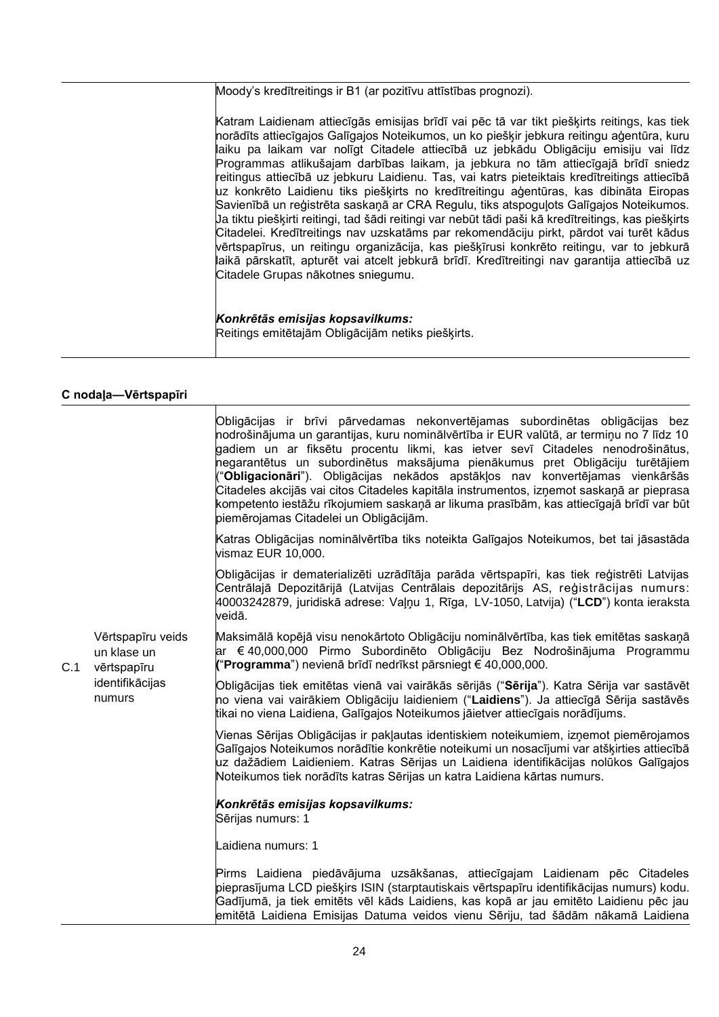Moody's kredītreitings ir B1 (ar pozitīvu attīstības prognozi).

Katram Laidienam attiecīgās emisijas brīdī vai pēc tā var tikt piešķirts reitings, kas tiek norādīts attiecīgajos Galīgajos Noteikumos, un ko piešķir jebkura reitingu aģentūra, kuru laiku pa laikam var nolīgt Citadele attiecībā uz jebkādu Obligāciju emisiju vai līdz Programmas atlikušajam darbības laikam, ja jebkura no tām attiecīgajā brīdī sniedz reitingus attiecībā uz jebkuru Laidienu. Tas, vai katrs pieteiktais kredītreitings attiecībā uz konkrēto Laidienu tiks piešķirts no kredītreitingu aģentūras, kas dibināta Eiropas Savienībā un reģistrēta saskaņā ar CRA Regulu, tiks atspoguļots Galīgajos Noteikumos. Ja tiktu piešķirti reitingi, tad šādi reitingi var nebūt tādi paši kā kredītreitings, kas piešķirts Citadelei. Kredītreitings nav uzskatāms par rekomendāciju pirkt, pārdot vai turēt kādus vērtspapīrus, un reitingu organizācija, kas piešķīrusi konkrēto reitingu, var to jebkurā laikā pārskatīt, apturēt vai atcelt jebkurā brīdī. Kredītreitingi nav garantija attiecībā uz Citadele Grupas nākotnes sniegumu.

#### *Konkrētās emisijas kopsavilkums:* Reitings emitētajām Obligācijām netiks piešķirts.

## **C nodaļa—Vērtspapīri**

| C.1 |                                                                              | Obligācijas ir brīvi pārvedamas nekonvertējamas subordinētas obligācijas bez<br>nodrošinājuma un garantijas, kuru nominālvērtība ir EUR valūtā, ar termiņu no 7 līdz 10<br>gadiem un ar fiksētu procentu likmi, kas ietver sevī Citadeles nenodrošinātus,<br>negarantētus un subordinētus maksājuma pienākumus pret Obligāciju turētājiem<br>"Obligacionāri"). Obligācijas nekādos apstākļos nav konvertējamas vienkāršās<br>Citadeles akcijās vai citos Citadeles kapitāla instrumentos, izņemot saskaņā ar pieprasa<br>kompetento iestāžu rīkojumiem saskaņā ar likuma prasībām, kas attiecīgajā brīdī var būt<br>piemērojamas Citadelei un Obligācijām. |
|-----|------------------------------------------------------------------------------|------------------------------------------------------------------------------------------------------------------------------------------------------------------------------------------------------------------------------------------------------------------------------------------------------------------------------------------------------------------------------------------------------------------------------------------------------------------------------------------------------------------------------------------------------------------------------------------------------------------------------------------------------------|
|     |                                                                              | Katras Obligācijas nominālvērtība tiks noteikta Galīgajos Noteikumos, bet tai jāsastāda<br>vismaz EUR 10,000.                                                                                                                                                                                                                                                                                                                                                                                                                                                                                                                                              |
|     |                                                                              | Obligācijas ir dematerializēti uzrādītāja parāda vērtspapīri, kas tiek reģistrēti Latvijas<br>Centrālajā Depozitārijā (Latvijas Centrālais depozitārijs AS, reģistrācijas numurs:<br>40003242879, juridiskā adrese: Vaļņu 1, Rīga, LV-1050, Latvija) ("LCD") konta ieraksta<br>veidā.                                                                                                                                                                                                                                                                                                                                                                      |
|     | Vērtspapīru veids<br>un klase un<br>vērtspapīru<br>identifikācijas<br>numurs | Maksimālā kopējā visu nenokārtoto Obligāciju nominālvērtība, kas tiek emitētas saskaņā<br>ar €40,000,000 Pirmo Subordinēto Obligāciju Bez Nodrošinājuma Programmu<br>("Programma") nevienā brīdī nedrīkst pārsniegt € 40,000,000.                                                                                                                                                                                                                                                                                                                                                                                                                          |
|     |                                                                              | Obligācijas tiek emitētas vienā vai vairākās sērijās ("Sērija"). Katra Sērija var sastāvēt<br>no viena vai vairākiem Obligāciju laidieniem ("Laidiens"). Ja attiecīgā Sērija sastāvēs<br>tikai no viena Laidiena, Galīgajos Noteikumos jāietver attiecīgais norādījums.                                                                                                                                                                                                                                                                                                                                                                                    |
|     |                                                                              | Vienas Sērijas Obligācijas ir pakļautas identiskiem noteikumiem, izņemot piemērojamos<br>Galīgajos Noteikumos norādītie konkrētie noteikumi un nosacījumi var atšķirties attiecībā<br>uz dažādiem Laidieniem. Katras Sērijas un Laidiena identifikācijas nolūkos Galīgajos<br>Noteikumos tiek norādīts katras Sērijas un katra Laidiena kārtas numurs.                                                                                                                                                                                                                                                                                                     |
|     |                                                                              | Konkrētās emisijas kopsavilkums:<br>Sērijas numurs: 1                                                                                                                                                                                                                                                                                                                                                                                                                                                                                                                                                                                                      |
|     |                                                                              | Laidiena numurs: 1                                                                                                                                                                                                                                                                                                                                                                                                                                                                                                                                                                                                                                         |
|     |                                                                              | Pirms Laidiena piedāvājuma uzsākšanas, attiecīgajam Laidienam pēc Citadeles<br>pieprasījuma LCD piešķirs ISIN (starptautiskais vērtspapīru identifikācijas numurs) kodu.<br>Gadījumā, ja tiek emitēts vēl kāds Laidiens, kas kopā ar jau emitēto Laidienu pēc jau<br>emitētā Laidiena Emisijas Datuma veidos vienu Sēriju, tad šādām nākamā Laidiena                                                                                                                                                                                                                                                                                                       |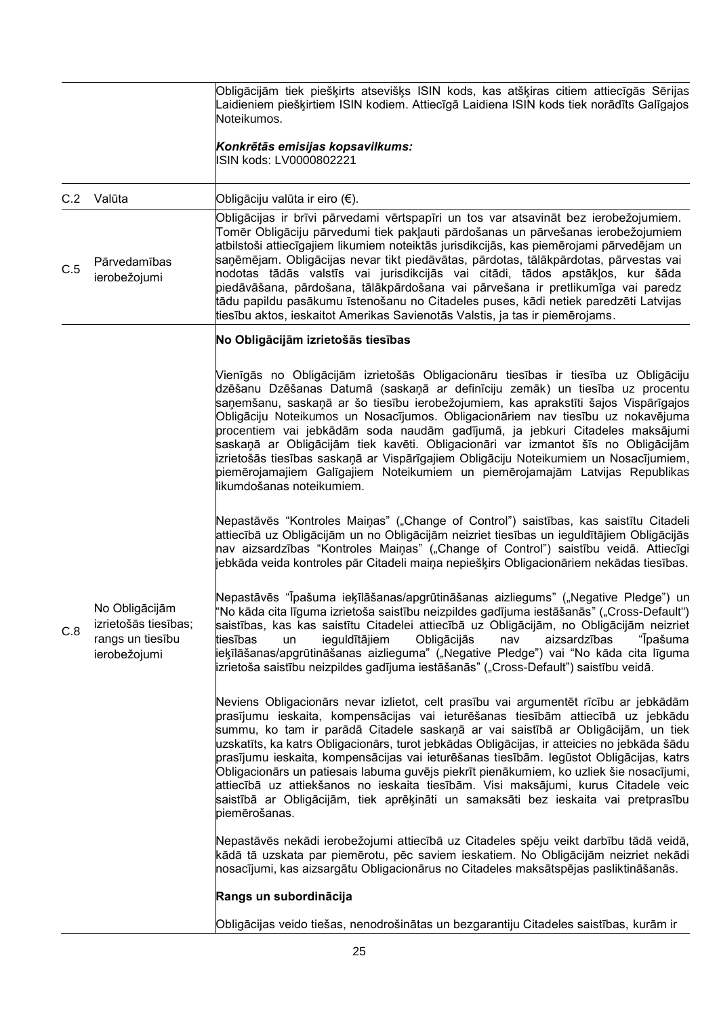|     |                                                                            | Obligācijām tiek piešķirts atsevišķs ISIN kods, kas atšķiras citiem attiecīgās Sērijas<br>Laidieniem piešķirtiem ISIN kodiem. Attiecīgā Laidiena ISIN kods tiek norādīts Galīgajos<br>Noteikumos.                                                                                                                                                                                                                                                                                                                                                                                                                                                                                                                                             |
|-----|----------------------------------------------------------------------------|-----------------------------------------------------------------------------------------------------------------------------------------------------------------------------------------------------------------------------------------------------------------------------------------------------------------------------------------------------------------------------------------------------------------------------------------------------------------------------------------------------------------------------------------------------------------------------------------------------------------------------------------------------------------------------------------------------------------------------------------------|
|     |                                                                            | Konkrētās emisijas kopsavilkums:<br>ISIN kods: LV0000802221                                                                                                                                                                                                                                                                                                                                                                                                                                                                                                                                                                                                                                                                                   |
| C.2 | Valūta                                                                     | Obligāciju valūta ir eiro (€).                                                                                                                                                                                                                                                                                                                                                                                                                                                                                                                                                                                                                                                                                                                |
| C.5 | Pārvedamības<br>ierobežojumi                                               | Obligācijas ir brīvi pārvedami vērtspapīri un tos var atsavināt bez ierobežojumiem.<br>Tomēr Obligāciju pārvedumi tiek pakļauti pārdošanas un pārvešanas ierobežojumiem<br>atbilstoši attiecīgajiem likumiem noteiktās jurisdikcijās, kas piemērojami pārvedējam un<br>saņēmējam. Obligācijas nevar tikt piedāvātas, pārdotas, tālākpārdotas, pārvestas vai<br>nodotas tādās valstīs vai jurisdikcijās vai citādi, tādos apstākļos, kur šāda<br>piedāvāšana, pārdošana, tālākpārdošana vai pārvešana ir pretlikumīga vai paredz<br>tādu papildu pasākumu īstenošanu no Citadeles puses, kādi netiek paredzēti Latvijas<br>tiesību aktos, ieskaitot Amerikas Savienotās Valstis, ja tas ir piemērojams.                                        |
|     |                                                                            | No Obligācijām izrietošās tiesības                                                                                                                                                                                                                                                                                                                                                                                                                                                                                                                                                                                                                                                                                                            |
|     |                                                                            | Vienīgās no Obligācijām izrietošās Obligacionāru tiesības ir tiesība uz Obligāciju<br>dzēšanu Dzēšanas Datumā (saskaņā ar definīciju zemāk) un tiesība uz procentu<br>saņemšanu, saskaņā ar šo tiesību ierobežojumiem, kas aprakstīti šajos Vispārīgajos<br>Obligāciju Noteikumos un Nosacījumos. Obligacionāriem nav tiesību uz nokavējuma<br>procentiem vai jebkādām soda naudām gadījumā, ja jebkuri Citadeles maksājumi<br>saskaņā ar Obligācijām tiek kavēti. Obligacionāri var izmantot šīs no Obligācijām<br>izrietošās tiesības saskaņā ar Vispārīgajiem Obligāciju Noteikumiem un Nosacījumiem,<br>piemērojamajiem Galīgajiem Noteikumiem un piemērojamajām Latvijas Republikas<br>likumdošanas noteikumiem.                         |
|     |                                                                            | Nepastāvēs "Kontroles Maiņas" ("Change of Control") saistības, kas saistītu Citadeli<br>attiecībā uz Obligācijām un no Obligācijām neizriet tiesības un ieguldītājiem Obligācijās<br>nav aizsardzības "Kontroles Maiņas" ("Change of Control") saistību veidā. Attiecīgi<br>jebkāda veida kontroles pār Citadeli maiņa nepiešķirs Obligacionāriem nekādas tiesības.                                                                                                                                                                                                                                                                                                                                                                           |
| C.8 | No Obligācijām<br>izrietošās tiesības;<br>rangs un tiesību<br>ierobežojumi | Nepastāvēs "Īpašuma ieķīlāšanas/apgrūtināšanas aizliegums" ("Negative Pledge") un<br>'No kāda cita līguma izrietoša saistību neizpildes gadījuma iestāšanās" ("Cross-Default")<br>saistības, kas kas saistītu Citadelei attiecībā uz Obligācijām, no Obligācijām neizriet<br>ieguldītājiem<br>Obligācijās<br>aizsardzības<br>"Īpašuma<br>tiesības<br>nav<br>un<br>ieķīlāšanas/apgrūtināšanas aizlieguma" ("Negative Pledge") vai "No kāda cita līguma<br>izrietoša saistību neizpildes gadījuma iestāšanās" ("Cross-Default") saistību veidā.                                                                                                                                                                                                 |
|     |                                                                            | Neviens Obligacionārs nevar izlietot, celt prasību vai argumentēt rīcību ar jebkādām<br>prasījumu ieskaita, kompensācijas vai ieturēšanas tiesībām attiecībā uz jebkādu<br>summu, ko tam ir parādā Citadele saskaņā ar vai saistībā ar Obligācijām, un tiek<br>uzskatīts, ka katrs Obligacionārs, turot jebkādas Obligācijas, ir atteicies no jebkāda šādu<br>prasījumu ieskaita, kompensācijas vai ieturēšanas tiesībām. Iegūstot Obligācijas, katrs<br>Obligacionārs un patiesais labuma guvējs piekrīt pienākumiem, ko uzliek šie nosacījumi,<br>attiecībā uz attiekšanos no ieskaita tiesībām. Visi maksājumi, kurus Citadele veic<br>saistībā ar Obligācijām, tiek aprēķināti un samaksāti bez ieskaita vai pretprasību<br>piemērošanas. |
|     |                                                                            | Nepastāvēs nekādi ierobežojumi attiecībā uz Citadeles spēju veikt darbību tādā veidā,<br>kādā tā uzskata par piemērotu, pēc saviem ieskatiem. No Obligācijām neizriet nekādi<br>nosacījumi, kas aizsargātu Obligacionārus no Citadeles maksātspējas pasliktināšanās.                                                                                                                                                                                                                                                                                                                                                                                                                                                                          |
|     |                                                                            | Rangs un subordinācija                                                                                                                                                                                                                                                                                                                                                                                                                                                                                                                                                                                                                                                                                                                        |
|     |                                                                            | Obligācijas veido tiešas, nenodrošinātas un bezgarantiju Citadeles saistības, kurām ir                                                                                                                                                                                                                                                                                                                                                                                                                                                                                                                                                                                                                                                        |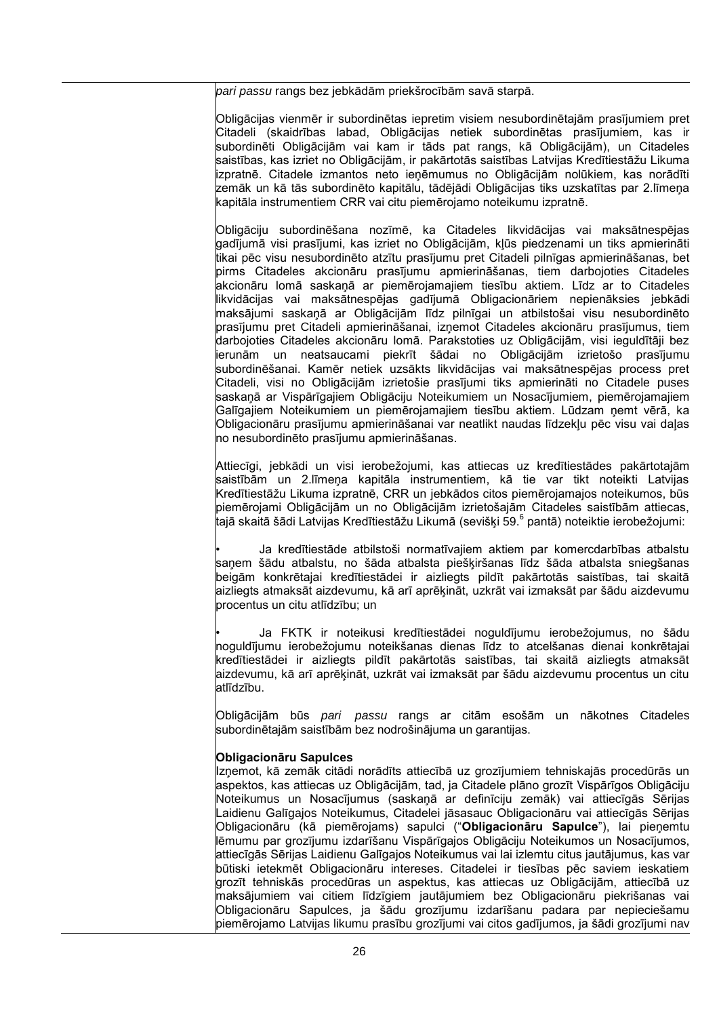*pari passu* rangs bez jebkādām priekšrocībām savā starpā.

Obligācijas vienmēr ir subordinētas iepretim visiem nesubordinētajām prasījumiem pret Citadeli (skaidrības labad, Obligācijas netiek subordinētas prasījumiem, kas ir subordinēti Obligācijām vai kam ir tāds pat rangs, kā Obligācijām), un Citadeles saistības, kas izriet no Obligācijām, ir pakārtotās saistības Latvijas Kredītiestāžu Likuma izpratnē. Citadele izmantos neto ieņēmumus no Obligācijām nolūkiem, kas norādīti zemāk un kā tās subordinēto kapitālu, tādējādi Obligācijas tiks uzskatītas par 2.līmeņa kapitāla instrumentiem CRR vai citu piemērojamo noteikumu izpratnē.

Obligāciju subordinēšana nozīmē, ka Citadeles likvidācijas vai maksātnespējas gadījumā visi prasījumi, kas izriet no Obligācijām, kļūs piedzenami un tiks apmierināti tikai pēc visu nesubordinēto atzītu prasījumu pret Citadeli pilnīgas apmierināšanas, bet pirms Citadeles akcionāru prasījumu apmierināšanas, tiem darbojoties Citadeles akcionāru lomā saskaņā ar piemērojamajiem tiesību aktiem. Līdz ar to Citadeles likvidācijas vai maksātnespējas gadījumā Obligacionāriem nepienāksies jebkādi maksājumi saskaņā ar Obligācijām līdz pilnīgai un atbilstošai visu nesubordinēto prasījumu pret Citadeli apmierināšanai, izņemot Citadeles akcionāru prasījumus, tiem darbojoties Citadeles akcionāru lomā. Parakstoties uz Obligācijām, visi ieguldītāji bez ierunām un neatsaucami piekrīt šādai no Obligācijām izrietošo prasījumu subordinēšanai. Kamēr netiek uzsākts likvidācijas vai maksātnespējas process pret Citadeli, visi no Obligācijām izrietošie prasījumi tiks apmierināti no Citadele puses saskaņā ar Vispārīgajiem Obligāciju Noteikumiem un Nosacījumiem, piemērojamajiem Galīgajiem Noteikumiem un piemērojamajiem tiesību aktiem. Lūdzam ņemt vērā, ka Obligacionāru prasījumu apmierināšanai var neatlikt naudas līdzekļu pēc visu vai daļas no nesubordinēto prasījumu apmierināšanas.

Attiecīgi, jebkādi un visi ierobežojumi, kas attiecas uz kredītiestādes pakārtotajām saistībām un 2.līmeņa kapitāla instrumentiem, kā tie var tikt noteikti Latvijas Kredītiestāžu Likuma izpratnē, CRR un jebkādos citos piemērojamajos noteikumos, būs piemērojami Obligācijām un no Obligācijām izrietošajām Citadeles saistībām attiecas, tajā skaitā šādi Latvijas Kredītiestāžu Likumā (sevišķi 59.<sup>6</sup> pantā) noteiktie ierobežojumi:

• Ja kredītiestāde atbilstoši normatīvajiem aktiem par komercdarbības atbalstu saņem šādu atbalstu, no šāda atbalsta piešķiršanas līdz šāda atbalsta sniegšanas beigām konkrētajai kredītiestādei ir aizliegts pildīt pakārtotās saistības, tai skaitā aizliegts atmaksāt aizdevumu, kā arī aprēķināt, uzkrāt vai izmaksāt par šādu aizdevumu procentus un citu atlīdzību; un

• Ja FKTK ir noteikusi kredītiestādei noguldījumu ierobežojumus, no šādu noguldījumu ierobežojumu noteikšanas dienas līdz to atcelšanas dienai konkrētajai kredītiestādei ir aizliegts pildīt pakārtotās saistības, tai skaitā aizliegts atmaksāt aizdevumu, kā arī aprēķināt, uzkrāt vai izmaksāt par šādu aizdevumu procentus un citu atlīdzību.

Obligācijām būs *pari passu* rangs ar citām esošām un nākotnes Citadeles subordinētajām saistībām bez nodrošinājuma un garantijas.

#### **Obligacionāru Sapulces**

Izņemot, kā zemāk citādi norādīts attiecībā uz grozījumiem tehniskajās procedūrās un aspektos, kas attiecas uz Obligācijām, tad, ja Citadele plāno grozīt Vispārīgos Obligāciju Noteikumus un Nosacījumus (saskaņā ar definīciju zemāk) vai attiecīgās Sērijas Laidienu Galīgajos Noteikumus, Citadelei jāsasauc Obligacionāru vai attiecīgās Sērijas Obligacionāru (kā piemērojams) sapulci ("**Obligacionāru Sapulce**"), lai pieņemtu lēmumu par grozījumu izdarīšanu Vispārīgajos Obligāciju Noteikumos un Nosacījumos, attiecīgās Sērijas Laidienu Galīgajos Noteikumus vai lai izlemtu citus jautājumus, kas var būtiski ietekmēt Obligacionāru intereses. Citadelei ir tiesības pēc saviem ieskatiem grozīt tehniskās procedūras un aspektus, kas attiecas uz Obligācijām, attiecībā uz maksājumiem vai citiem līdzīgiem jautājumiem bez Obligacionāru piekrišanas vai Obligacionāru Sapulces, ja šādu grozījumu izdarīšanu padara par nepieciešamu piemērojamo Latvijas likumu prasību grozījumi vai citos gadījumos, ja šādi grozījumi nav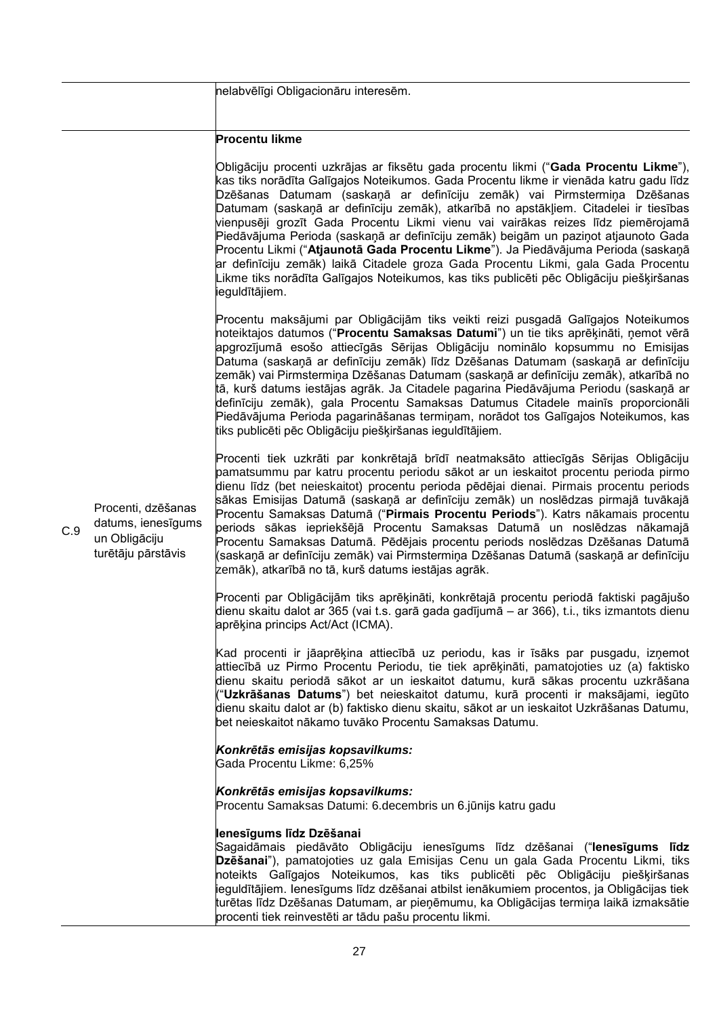|     |                                                                                 | nelabvēlīgi Obligacionāru interesēm.                                                                                                                                                                                                                                                                                                                                                                                                                                                                                                                                                                                                                                                                                                                                                                                 |
|-----|---------------------------------------------------------------------------------|----------------------------------------------------------------------------------------------------------------------------------------------------------------------------------------------------------------------------------------------------------------------------------------------------------------------------------------------------------------------------------------------------------------------------------------------------------------------------------------------------------------------------------------------------------------------------------------------------------------------------------------------------------------------------------------------------------------------------------------------------------------------------------------------------------------------|
|     |                                                                                 | <b>Procentu likme</b>                                                                                                                                                                                                                                                                                                                                                                                                                                                                                                                                                                                                                                                                                                                                                                                                |
|     |                                                                                 | Obligāciju procenti uzkrājas ar fiksētu gada procentu likmi ("Gada Procentu Likme"),<br>kas tiks norādīta Galīgajos Noteikumos. Gada Procentu likme ir vienāda katru gadu līdz<br>Dzēšanas Datumam (saskaņā ar definīciju zemāk) vai Pirmstermiņa Dzēšanas<br>Datumam (saskaņā ar definīciju zemāk), atkarībā no apstākļiem. Citadelei ir tiesības<br>vienpusēji grozīt Gada Procentu Likmi vienu vai vairākas reizes līdz piemērojamā<br>Piedāvājuma Perioda (saskaņā ar definīciju zemāk) beigām un paziņot atjaunoto Gada<br>Procentu Likmi ("Atjaunotā Gada Procentu Likme"). Ja Piedāvājuma Perioda (saskaņā<br>ar definīciju zemāk) laikā Citadele groza Gada Procentu Likmi, gala Gada Procentu<br>Likme tiks norādīta Galīgajos Noteikumos, kas tiks publicēti pēc Obligāciju piešķiršanas<br>ieguldītājiem. |
|     |                                                                                 | Procentu maksājumi par Obligācijām tiks veikti reizi pusgadā Galīgajos Noteikumos<br>noteiktajos datumos ("Procentu Samaksas Datumi") un tie tiks aprēķināti, ņemot vērā<br>apgrozījumā esošo attiecīgās Sērijas Obligāciju nominālo kopsummu no Emisijas<br>Datuma (saskaņā ar definīciju zemāk) līdz Dzēšanas Datumam (saskaņā ar definīciju<br>zemāk) vai Pirmstermiņa Dzēšanas Datumam (saskaņā ar definīciju zemāk), atkarībā no<br>tā, kurš datums iestājas agrāk. Ja Citadele pagarina Piedāvājuma Periodu (saskaņā ar<br>definīciju zemāk), gala Procentu Samaksas Datumus Citadele mainīs proporcionāli<br>Piedāvājuma Perioda pagarināšanas termiņam, norādot tos Galīgajos Noteikumos, kas<br>tiks publicēti pēc Obligāciju piešķiršanas ieguldītājiem.                                                   |
| C.9 | Procenti, dzēšanas<br>datums, ienesīgums<br>un Obligāciju<br>turētāju pārstāvis | Procenti tiek uzkrāti par konkrētajā brīdī neatmaksāto attiecīgās Sērijas Obligāciju<br>pamatsummu par katru procentu periodu sākot ar un ieskaitot procentu perioda pirmo<br>dienu līdz (bet neieskaitot) procentu perioda pēdējai dienai. Pirmais procentu periods<br>sākas Emisijas Datumā (saskaņā ar definīciju zemāk) un noslēdzas pirmajā tuvākajā<br>Procentu Samaksas Datumā ("Pirmais Procentu Periods"). Katrs nākamais procentu<br>periods sākas iepriekšējā Procentu Samaksas Datumā un noslēdzas nākamajā<br>Procentu Samaksas Datumā. Pēdējais procentu periods noslēdzas Dzēšanas Datumā<br>(saskaņā ar definīciju zemāk) vai Pirmstermiņa Dzēšanas Datumā (saskaņā ar definīciju<br>zemāk), atkarībā no tā, kurš datums iestājas agrāk.                                                             |
|     |                                                                                 | Procenti par Obligācijām tiks aprēķināti, konkrētajā procentu periodā faktiski pagājušo<br>dienu skaitu dalot ar 365 (vai t.s. garā gada gadījumā – ar 366), t.i., tiks izmantots dienu<br>laprēķina princips Act/Act (ICMA).                                                                                                                                                                                                                                                                                                                                                                                                                                                                                                                                                                                        |
|     |                                                                                 | Kad procenti ir jāaprēķina attiecībā uz periodu, kas ir īsāks par pusgadu, izņemot<br>attiecībā uz Pirmo Procentu Periodu, tie tiek aprēķināti, pamatojoties uz (a) faktisko<br>dienu skaitu periodā sākot ar un ieskaitot datumu, kurā sākas procentu uzkrāšana<br>("Uzkrāšanas Datums") bet neieskaitot datumu, kurā procenti ir maksājami, iegūto<br>dienu skaitu dalot ar (b) faktisko dienu skaitu, sākot ar un ieskaitot Uzkrāšanas Datumu,<br>bet neieskaitot nākamo tuvāko Procentu Samaksas Datumu.                                                                                                                                                                                                                                                                                                         |
|     |                                                                                 | Konkrētās emisijas kopsavilkums:<br>Gada Procentu Likme: 6,25%                                                                                                                                                                                                                                                                                                                                                                                                                                                                                                                                                                                                                                                                                                                                                       |
|     |                                                                                 | Konkrētās emisijas kopsavilkums:<br>Procentu Samaksas Datumi: 6.decembris un 6.jūnijs katru gadu                                                                                                                                                                                                                                                                                                                                                                                                                                                                                                                                                                                                                                                                                                                     |
|     |                                                                                 | lenesīgums līdz Dzēšanai<br>Sagaidāmais piedāvāto Obligāciju ienesīgums līdz dzēšanai ("lenesīgums līdz<br>Dzēšanai"), pamatojoties uz gala Emisijas Cenu un gala Gada Procentu Likmi, tiks<br>noteikts Galīgajos Noteikumos, kas tiks publicēti pēc Obligāciju piešķiršanas<br>ieguldītājiem. Ienesīgums līdz dzēšanai atbilst ienākumiem procentos, ja Obligācijas tiek<br>turētas līdz Dzēšanas Datumam, ar pieņēmumu, ka Obligācijas termiņa laikā izmaksātie<br>procenti tiek reinvestēti ar tādu pašu procentu likmi.                                                                                                                                                                                                                                                                                          |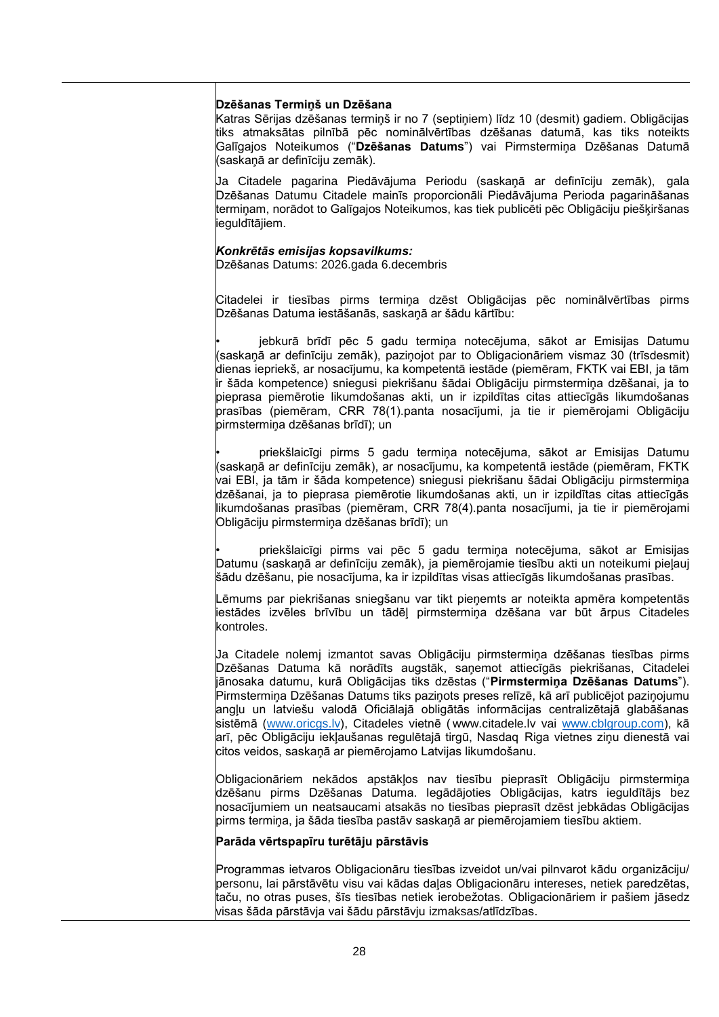#### **Dzēšanas Termiņš un Dzēšana**

Katras Sērijas dzēšanas termiņš ir no 7 (septiņiem) līdz 10 (desmit) gadiem. Obligācijas tiks atmaksātas pilnībā pēc nominālvērtības dzēšanas datumā, kas tiks noteikts Galīgajos Noteikumos ("**Dzēšanas Datums**") vai Pirmstermiņa Dzēšanas Datumā (saskaņā ar definīciju zemāk).

Ja Citadele pagarina Piedāvājuma Periodu (saskaņā ar definīciju zemāk), gala Dzēšanas Datumu Citadele mainīs proporcionāli Piedāvājuma Perioda pagarināšanas termiņam, norādot to Galīgajos Noteikumos, kas tiek publicēti pēc Obligāciju piešķiršanas ieguldītājiem.

#### *Konkrētās emisijas kopsavilkums:*

Dzēšanas Datums: 2026.gada 6.decembris

Citadelei ir tiesības pirms termiņa dzēst Obligācijas pēc nominālvērtības pirms Dzēšanas Datuma iestāšanās, saskaņā ar šādu kārtību:

jebkurā brīdī pēc 5 gadu termiņa notecējuma, sākot ar Emisijas Datumu (saskaņā ar definīciju zemāk), paziņojot par to Obligacionāriem vismaz 30 (trīsdesmit) dienas iepriekš, ar nosacījumu, ka kompetentā iestāde (piemēram, FKTK vai EBI, ja tām ir šāda kompetence) sniegusi piekrišanu šādai Obligāciju pirmstermiņa dzēšanai, ja to pieprasa piemērotie likumdošanas akti, un ir izpildītas citas attiecīgās likumdošanas prasības (piemēram, CRR 78(1).panta nosacījumi, ja tie ir piemērojami Obligāciju pirmstermiņa dzēšanas brīdī); un

priekšlaicīgi pirms 5 gadu termiņa notecējuma, sākot ar Emisijas Datumu (saskaņā ar definīciju zemāk), ar nosacījumu, ka kompetentā iestāde (piemēram, FKTK vai EBI, ja tām ir šāda kompetence) sniegusi piekrišanu šādai Obligāciju pirmstermiņa dzēšanai, ja to pieprasa piemērotie likumdošanas akti, un ir izpildītas citas attiecīgās likumdošanas prasības (piemēram, CRR 78(4).panta nosacījumi, ja tie ir piemērojami Obligāciju pirmstermiņa dzēšanas brīdī); un

priekšlaicīgi pirms vai pēc 5 gadu termiņa notecējuma, sākot ar Emisijas Datumu (saskaņā ar definīciju zemāk), ja piemērojamie tiesību akti un noteikumi pieļauj šādu dzēšanu, pie nosacījuma, ka ir izpildītas visas attiecīgās likumdošanas prasības.

Lēmums par piekrišanas sniegšanu var tikt pieņemts ar noteikta apmēra kompetentās iestādes izvēles brīvību un tādēļ pirmstermiņa dzēšana var būt ārpus Citadeles kontroles.

Ja Citadele nolemj izmantot savas Obligāciju pirmstermiņa dzēšanas tiesības pirms Dzēšanas Datuma kā norādīts augstāk, saņemot attiecīgās piekrišanas, Citadelei jānosaka datumu, kurā Obligācijas tiks dzēstas ("**Pirmstermiņa Dzēšanas Datums**"). Pirmstermiņa Dzēšanas Datums tiks paziņots preses relīzē, kā arī publicējot paziņojumu angļu un latviešu valodā Oficiālajā obligātās informācijas centralizētajā glabāšanas sistēmā [\(www.oricgs.lv\)](http://www.oricgs.lv/), Citadeles vietnē ( [www.citadele.lv](http://www.citadele.lv/) vai [www.cblgroup.com\)](http://www.cblgroup.com/), kā arī, pēc Obligāciju iekļaušanas regulētajā tirgū, Nasdaq Riga vietnes ziņu dienestā vai citos veidos, saskaņā ar piemērojamo Latvijas likumdošanu.

Obligacionāriem nekādos apstākļos nav tiesību pieprasīt Obligāciju pirmstermiņa dzēšanu pirms Dzēšanas Datuma. Iegādājoties Obligācijas, katrs ieguldītājs bez nosacījumiem un neatsaucami atsakās no tiesības pieprasīt dzēst jebkādas Obligācijas pirms termiņa, ja šāda tiesība pastāv saskaņā ar piemērojamiem tiesību aktiem.

#### **Parāda vērtspapīru turētāju pārstāvis**

Programmas ietvaros Obligacionāru tiesības izveidot un/vai pilnvarot kādu organizāciju/ personu, lai pārstāvētu visu vai kādas daļas Obligacionāru intereses, netiek paredzētas, taču, no otras puses, šīs tiesības netiek ierobežotas. Obligacionāriem ir pašiem jāsedz visas šāda pārstāvja vai šādu pārstāvju izmaksas/atlīdzības.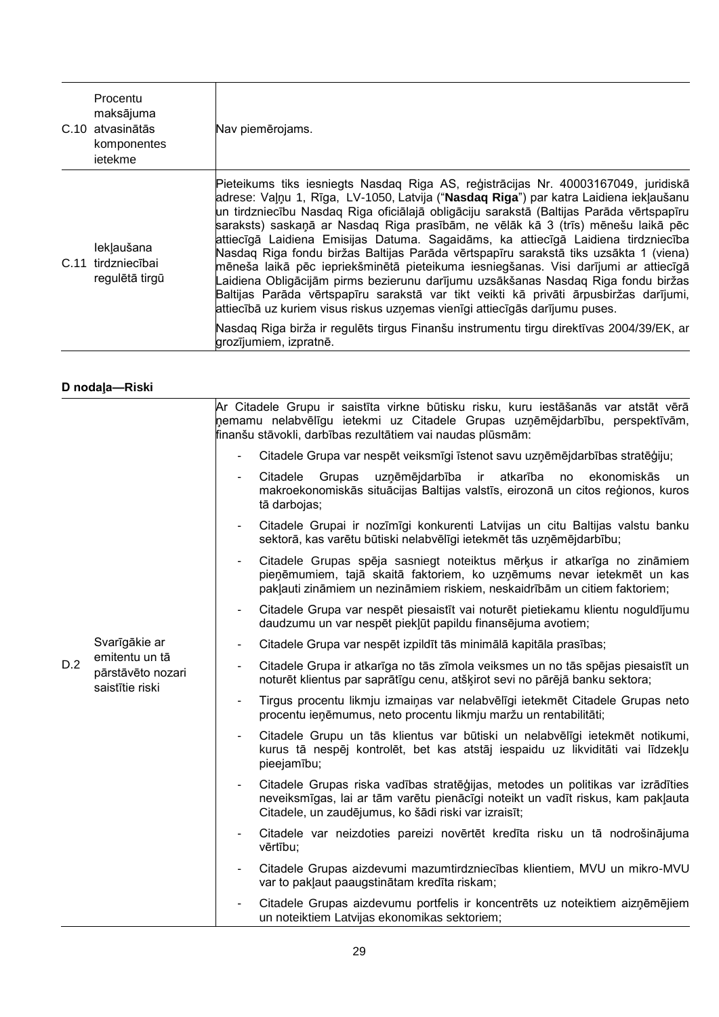| Procentu<br>maksājuma<br>C.10 atvasinātās<br>komponentes<br>ietekme | Nav piemērojams.                                                                                                                                                                                                                                                                                                                                                                                                                                                                                                                                                                                                                                                                                                                                                                                                                                                                                                                                                                                                  |
|---------------------------------------------------------------------|-------------------------------------------------------------------------------------------------------------------------------------------------------------------------------------------------------------------------------------------------------------------------------------------------------------------------------------------------------------------------------------------------------------------------------------------------------------------------------------------------------------------------------------------------------------------------------------------------------------------------------------------------------------------------------------------------------------------------------------------------------------------------------------------------------------------------------------------------------------------------------------------------------------------------------------------------------------------------------------------------------------------|
| leklaušana<br>C.11 tirdzniecībai<br>regulētā tirgū                  | Pieteikums tiks iesniegts Nasdaq Riga AS, reģistrācijas Nr. 40003167049, juridiskā<br>adrese: Vaļņu 1, Rīga, LV-1050, Latvija ("Nasdaq Riga") par katra Laidiena iekļaušanu<br>un tirdzniecību Nasdaq Riga oficiālajā obligāciju sarakstā (Baltijas Parāda vērtspapīru<br>saraksts) saskaņā ar Nasdaq Riga prasībām, ne vēlāk kā 3 (trīs) mēnešu laikā pēc<br>attiecīgā Laidiena Emisijas Datuma. Sagaidāms, ka attiecīgā Laidiena tirdzniecība<br>Nasdag Riga fondu biržas Baltijas Parāda vērtspapīru sarakstā tiks uzsākta 1 (viena)<br>mēneša laikā pēc iepriekšminētā pieteikuma iesniegšanas. Visi darījumi ar attiecīgā<br>Laidiena Obligācijām pirms bezierunu darījumu uzsākšanas Nasdaq Riga fondu biržas<br>Baltijas Parāda vērtspapīru sarakstā var tikt veikti kā privāti ārpusbiržas darījumi,<br>attiecībā uz kuriem visus riskus uzņemas vienīgi attiecīgās darījumu puses.<br>Nasdaq Riga birža ir regulēts tirgus Finanšu instrumentu tirgu direktīvas 2004/39/EK, ar<br>grozījumiem, izpratnē. |

## **D nodaļa—Riski**

|     |                                                                         |                          | Ar Citadele Grupu ir saistīta virkne būtisku risku, kuru iestāšanās var atstāt vērā<br>nemamu nelabvēlīgu ietekmi uz Citadele Grupas uzņēmējdarbību, perspektīvām,<br>finanšu stāvokli, darbības rezultātiem vai naudas plūsmām: |
|-----|-------------------------------------------------------------------------|--------------------------|----------------------------------------------------------------------------------------------------------------------------------------------------------------------------------------------------------------------------------|
|     |                                                                         | $\blacksquare$           | Citadele Grupa var nespēt veiksmīgi īstenot savu uzņēmējdarbības stratēģiju;                                                                                                                                                     |
|     |                                                                         | $\blacksquare$           | uzņēmējdarbība ir<br>atkarība no<br>Citadele<br>Grupas<br>ekonomiskās<br>un<br>makroekonomiskās situācijas Baltijas valstīs, eirozonā un citos reģionos, kuros<br>tā darbojas;                                                   |
|     |                                                                         | $\blacksquare$           | Citadele Grupai ir nozīmīgi konkurenti Latvijas un citu Baltijas valstu banku<br>sektorā, kas varētu būtiski nelabvēlīgi ietekmēt tās uzņēmējdarbību;                                                                            |
|     |                                                                         | $\overline{\phantom{a}}$ | Citadele Grupas spēja sasniegt noteiktus mērķus ir atkarīga no zināmiem<br>pieņēmumiem, tajā skaitā faktoriem, ko uzņēmums nevar ietekmēt un kas<br>pakļauti zināmiem un nezināmiem riskiem, neskaidrībām un citiem faktoriem;   |
|     |                                                                         | $\overline{\phantom{a}}$ | Citadele Grupa var nespēt piesaistīt vai noturēt pietiekamu klientu noguldījumu<br>daudzumu un var nespēt piekļūt papildu finansējuma avotiem;                                                                                   |
|     | Svarīgākie ar<br>emitentu un tā<br>pārstāvēto nozari<br>saistītie riski | $\blacksquare$           | Citadele Grupa var nespēt izpildīt tās minimālā kapitāla prasības;                                                                                                                                                               |
| D.2 |                                                                         | $\blacksquare$           | Citadele Grupa ir atkarīga no tās zīmola veiksmes un no tās spējas piesaistīt un<br>noturēt klientus par saprātīgu cenu, atšķirot sevi no pārējā banku sektora;                                                                  |
|     |                                                                         | $\overline{\phantom{a}}$ | Tirgus procentu likmju izmaiņas var nelabvēlīgi ietekmēt Citadele Grupas neto<br>procentu ieņēmumus, neto procentu likmju maržu un rentabilitāti;                                                                                |
|     |                                                                         |                          | Citadele Grupu un tās klientus var būtiski un nelabvēlīgi ietekmēt notikumi,<br>kurus tā nespēj kontrolēt, bet kas atstāj iespaidu uz likviditāti vai līdzekļu<br>pieejamību;                                                    |
|     |                                                                         |                          | Citadele Grupas riska vadības stratēģijas, metodes un politikas var izrādīties<br>neveiksmīgas, lai ar tām varētu pienācīgi noteikt un vadīt riskus, kam pakļauta<br>Citadele, un zaudējumus, ko šādi riski var izraisīt;        |
|     |                                                                         | $\blacksquare$           | Citadele var neizdoties pareizi novērtēt kredīta risku un tā nodrošinājuma<br>vērtību;                                                                                                                                           |
|     |                                                                         |                          | Citadele Grupas aizdevumi mazumtirdzniecības klientiem, MVU un mikro-MVU<br>var to pakļaut paaugstinātam kredīta riskam;                                                                                                         |
|     |                                                                         |                          | Citadele Grupas aizdevumu portfelis ir koncentrēts uz noteiktiem aizņēmējiem<br>un noteiktiem Latvijas ekonomikas sektoriem;                                                                                                     |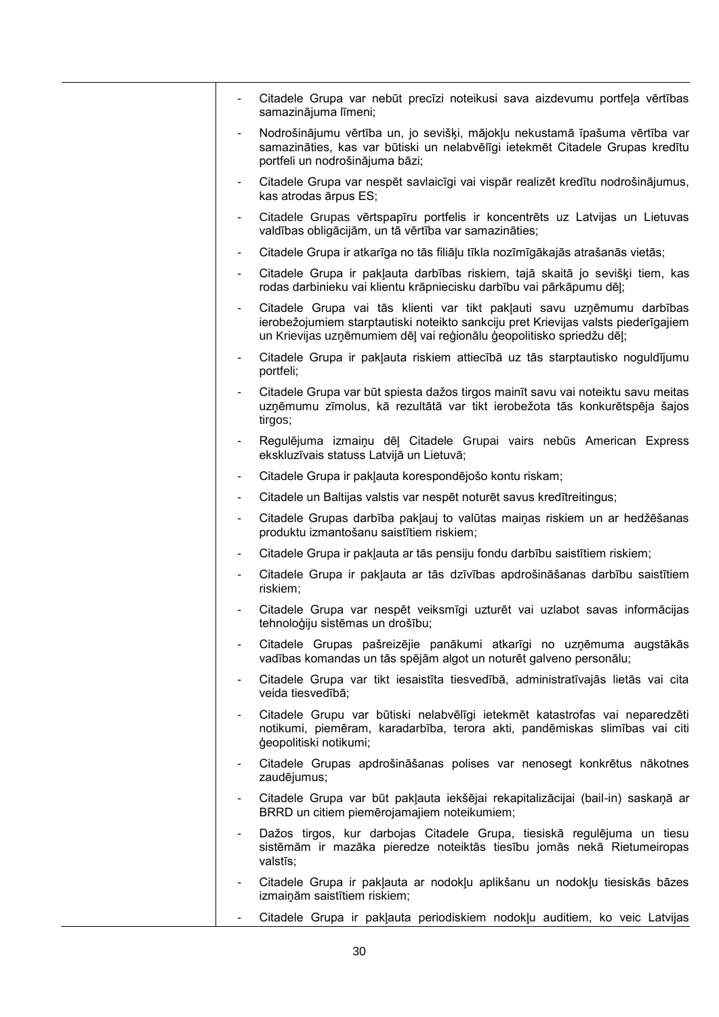|                          | Citadele Grupa var nebūt precīzi noteikusi sava aizdevumu portfeļa vērtības<br>samazinājuma līmeni;                                                                                                                                   |
|--------------------------|---------------------------------------------------------------------------------------------------------------------------------------------------------------------------------------------------------------------------------------|
|                          | Nodrošinājumu vērtība un, jo sevišķi, mājokļu nekustamā īpašuma vērtība var<br>samazināties, kas var būtiski un nelabvēlīgi ietekmēt Citadele Grupas kredītu<br>portfeli un nodrošinājuma bāzi;                                       |
|                          | Citadele Grupa var nespēt savlaicīgi vai vispār realizēt kredītu nodrošinājumus,<br>kas atrodas ārpus ES;                                                                                                                             |
|                          | Citadele Grupas vērtspapīru portfelis ir koncentrēts uz Latvijas un Lietuvas<br>valdības obligācijām, un tā vērtība var samazināties;                                                                                                 |
| ۰                        | Citadele Grupa ir atkarīga no tās filiāļu tīkla nozīmīgākajās atrašanās vietās;                                                                                                                                                       |
|                          | Citadele Grupa ir pakļauta darbības riskiem, tajā skaitā jo sevišķi tiem, kas<br>rodas darbinieku vai klientu krāpniecisku darbību vai pārkāpumu dēļ;                                                                                 |
|                          | Citadele Grupa vai tās klienti var tikt pakļauti savu uzņēmumu darbības<br>ierobežojumiem starptautiski noteikto sankciju pret Krievijas valsts piederīgajiem<br>un Krievijas uzņēmumiem dēļ vai reģionālu ģeopolitisko spriedžu dēļ; |
| $\blacksquare$           | Citadele Grupa ir pakļauta riskiem attiecībā uz tās starptautisko noguldījumu<br>portfeli;                                                                                                                                            |
|                          | Citadele Grupa var būt spiesta dažos tirgos mainīt savu vai noteiktu savu meitas<br>uzņēmumu zīmolus, kā rezultātā var tikt ierobežota tās konkurētspēja šajos<br>tirgos;                                                             |
|                          | Regulējuma izmaiņu dēļ Citadele Grupai vairs nebūs American Express<br>ekskluzīvais statuss Latvijā un Lietuvā;                                                                                                                       |
| ۰                        | Citadele Grupa ir pakļauta korespondējošo kontu riskam;                                                                                                                                                                               |
|                          | Citadele un Baltijas valstis var nespēt noturēt savus kredītreitingus;                                                                                                                                                                |
| $\blacksquare$           | Citadele Grupas darbība pakļauj to valūtas maiņas riskiem un ar hedžēšanas<br>produktu izmantošanu saistītiem riskiem;                                                                                                                |
| ۰.                       | Citadele Grupa ir pakļauta ar tās pensiju fondu darbību saistītiem riskiem;                                                                                                                                                           |
| $\overline{\phantom{0}}$ | Citadele Grupa ir pakļauta ar tās dzīvības apdrošināšanas darbību saistītiem<br>riskiem;                                                                                                                                              |
|                          | Citadele Grupa var nespēt veiksmīgi uzturēt vai uzlabot savas informācijas<br>tehnoloģiju sistēmas un drošību;                                                                                                                        |
|                          | Citadele Grupas pašreizējie panākumi atkarīgi no uzņēmuma augstākās<br>vadības komandas un tās spējām algot un noturēt galveno personālu;                                                                                             |
|                          | Citadele Grupa var tikt iesaistīta tiesvedībā, administratīvajās lietās vai cita<br>veida tiesvedībā;                                                                                                                                 |
|                          | Citadele Grupu var būtiski nelabvēlīgi ietekmēt katastrofas vai neparedzēti<br>notikumi, piemēram, karadarbība, terora akti, pandēmiskas slimības vai citi<br>ģeopolitiski notikumi;                                                  |
| Ξ.                       | Citadele Grupas apdrošināšanas polises var nenosegt konkrētus nākotnes<br>zaudējumus;                                                                                                                                                 |
|                          | Citadele Grupa var būt pakļauta iekšējai rekapitalizācijai (bail-in) saskaņā ar<br>BRRD un citiem piemērojamajiem noteikumiem;                                                                                                        |
|                          | Dažos tirgos, kur darbojas Citadele Grupa, tiesiskā regulējuma un tiesu<br>sistēmām ir mazāka pieredze noteiktās tiesību jomās nekā Rietumeiropas<br>valstīs;                                                                         |
|                          | Citadele Grupa ir pakļauta ar nodokļu aplikšanu un nodokļu tiesiskās bāzes<br>izmaiņām saistītiem riskiem;                                                                                                                            |
|                          | Citadele Grupa ir pakļauta periodiskiem nodokļu auditiem, ko veic Latvijas                                                                                                                                                            |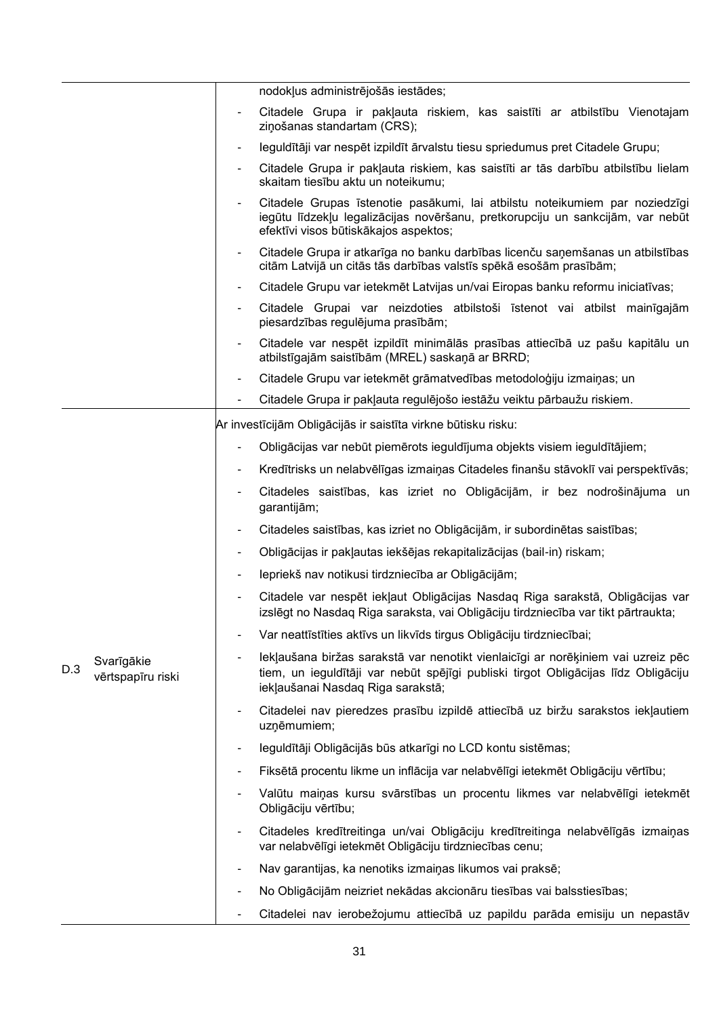|     |                                 | nodokļus administrējošās iestādes;                                                                                                                                                                                                      |
|-----|---------------------------------|-----------------------------------------------------------------------------------------------------------------------------------------------------------------------------------------------------------------------------------------|
|     |                                 | Citadele Grupa ir pakļauta riskiem, kas saistīti ar atbilstību Vienotajam<br>ziņošanas standartam (CRS);                                                                                                                                |
|     |                                 | leguldītāji var nespēt izpildīt ārvalstu tiesu spriedumus pret Citadele Grupu;                                                                                                                                                          |
|     |                                 | Citadele Grupa ir pakļauta riskiem, kas saistīti ar tās darbību atbilstību lielam<br>skaitam tiesību aktu un noteikumu;                                                                                                                 |
|     |                                 | Citadele Grupas īstenotie pasākumi, lai atbilstu noteikumiem par noziedzīgi<br>iegūtu līdzekļu legalizācijas novēršanu, pretkorupciju un sankcijām, var nebūt<br>efektīvi visos būtiskākajos aspektos;                                  |
|     |                                 | Citadele Grupa ir atkarīga no banku darbības licenču saņemšanas un atbilstības<br>$\overline{\phantom{a}}$<br>citām Latvijā un citās tās darbības valstīs spēkā esošām prasībām;                                                        |
|     |                                 | Citadele Grupu var ietekmēt Latvijas un/vai Eiropas banku reformu iniciatīvas;<br>-                                                                                                                                                     |
|     |                                 | Citadele Grupai var neizdoties atbilstoši īstenot vai atbilst mainīgajām<br>-<br>piesardzības regulējuma prasībām;                                                                                                                      |
|     |                                 | Citadele var nespēt izpildīt minimālās prasības attiecībā uz pašu kapitālu un<br>atbilstīgajām saistībām (MREL) saskaņā ar BRRD;                                                                                                        |
|     |                                 | Citadele Grupu var ietekmēt grāmatvedības metodoloģiju izmaiņas; un<br>-                                                                                                                                                                |
|     |                                 | Citadele Grupa ir pakļauta regulējošo iestāžu veiktu pārbaužu riskiem.                                                                                                                                                                  |
|     |                                 | Ar investīcijām Obligācijās ir saistīta virkne būtisku risku:                                                                                                                                                                           |
|     |                                 | Obligācijas var nebūt piemērots ieguldījuma objekts visiem ieguldītājiem;<br>-                                                                                                                                                          |
|     |                                 | Kredītrisks un nelabvēlīgas izmaiņas Citadeles finanšu stāvoklī vai perspektīvās;<br>$\overline{\phantom{a}}$                                                                                                                           |
|     |                                 | Citadeles saistības, kas izriet no Obligācijām, ir bez nodrošinājuma un<br>garantijām;                                                                                                                                                  |
|     |                                 | Citadeles saistības, kas izriet no Obligācijām, ir subordinētas saistības;<br>-                                                                                                                                                         |
|     |                                 | Obligācijas ir pakļautas iekšējas rekapitalizācijas (bail-in) riskam;<br>-                                                                                                                                                              |
|     |                                 | lepriekš nav notikusi tirdzniecība ar Obligācijām;                                                                                                                                                                                      |
|     |                                 | Citadele var nespēt iekļaut Obligācijas Nasdaq Riga sarakstā, Obligācijas var<br>izslēgt no Nasdaq Riga saraksta, vai Obligāciju tirdzniecība var tikt pārtraukta;                                                                      |
|     |                                 | Var neattīstīties aktīvs un likvīds tirgus Obligāciju tirdzniecībai;                                                                                                                                                                    |
| D.3 | Svarīgākie<br>vērtspapīru riski | lekļaušana biržas sarakstā var nenotikt vienlaicīgi ar norēķiniem vai uzreiz pēc<br>$\overline{\phantom{a}}$<br>tiem, un ieguldītāji var nebūt spējīgi publiski tirgot Obligācijas līdz Obligāciju<br>iekļaušanai Nasdag Riga sarakstā; |
|     |                                 | Citadelei nav pieredzes prasību izpildē attiecībā uz biržu sarakstos iekļautiem<br>-<br>uzņēmumiem;                                                                                                                                     |
|     |                                 | leguldītāji Obligācijās būs atkarīgi no LCD kontu sistēmas;<br>-                                                                                                                                                                        |
|     |                                 | Fiksētā procentu likme un inflācija var nelabvēlīgi ietekmēt Obligāciju vērtību;<br>$\overline{\phantom{a}}$                                                                                                                            |
|     |                                 | Valūtu maiņas kursu svārstības un procentu likmes var nelabvēlīgi ietekmēt<br>-<br>Obligāciju vērtību;                                                                                                                                  |
|     |                                 | Citadeles kredītreitinga un/vai Obligāciju kredītreitinga nelabvēlīgās izmaiņas<br>$\overline{\phantom{a}}$<br>var nelabvēlīgi ietekmēt Obligāciju tirdzniecības cenu;                                                                  |
|     |                                 | Nav garantijas, ka nenotiks izmaiņas likumos vai praksē;<br>$\overline{\phantom{a}}$                                                                                                                                                    |
|     |                                 | No Obligācijām neizriet nekādas akcionāru tiesības vai balsstiesības;                                                                                                                                                                   |
|     |                                 | Citadelei nav ierobežojumu attiecībā uz papildu parāda emisiju un nepastāv                                                                                                                                                              |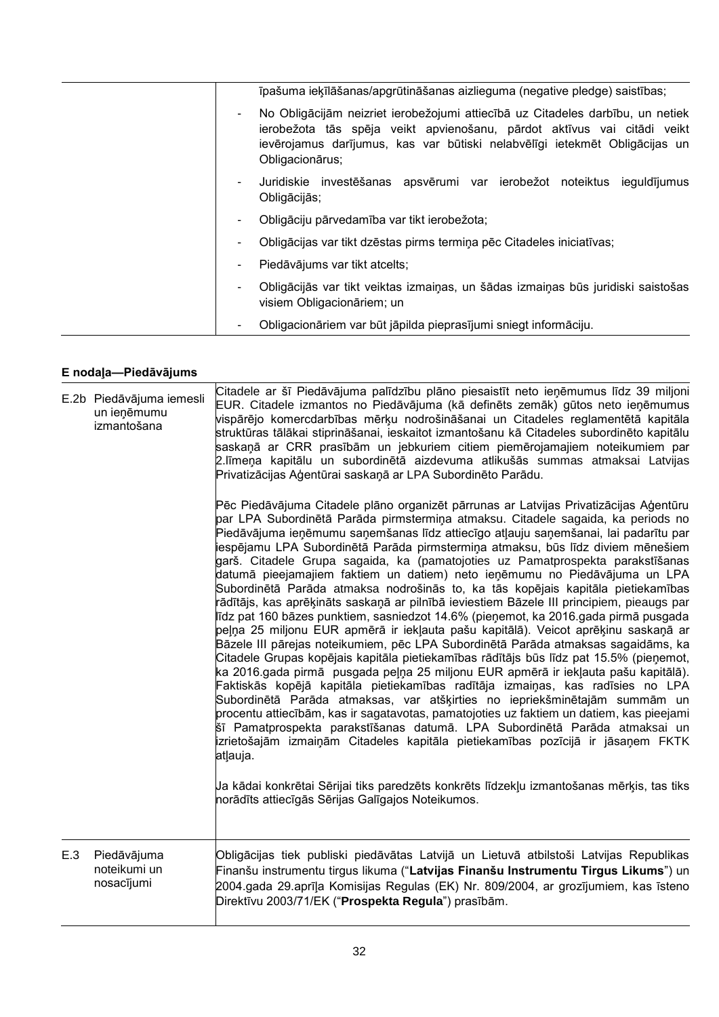|    | īpašuma ieķīlāšanas/apgrūtināšanas aizlieguma (negative pledge) saistības;                                                                                                                                                                                 |
|----|------------------------------------------------------------------------------------------------------------------------------------------------------------------------------------------------------------------------------------------------------------|
|    | No Obligācijām neizriet ierobežojumi attiecībā uz Citadeles darbību, un netiek<br>ierobežota tās spēja veikt apvienošanu, pārdot aktīvus vai citādi veikt<br>ievērojamus darījumus, kas var būtiski nelabvēlīgi ietekmēt Obligācijas un<br>Obligacionārus; |
| ۰. | Juridiskie investēšanas apsvērumi var ierobežot noteiktus<br>ieguldījumus<br>Obligācijās;                                                                                                                                                                  |
|    | Obligāciju pārvedamība var tikt ierobežota;                                                                                                                                                                                                                |
|    | Obligācijas var tikt dzēstas pirms termiņa pēc Citadeles iniciatīvas;                                                                                                                                                                                      |
|    | Piedāvājums var tikt atcelts;                                                                                                                                                                                                                              |
|    | Obligācijās var tikt veiktas izmaiņas, un šādas izmaiņas būs juridiski saistošas<br>visiem Obligacionāriem; un                                                                                                                                             |
|    | Obligacionāriem var būt jāpilda pieprasījumi sniegt informāciju.                                                                                                                                                                                           |

# **E nodaļa—Piedāvājums**

|     | E.2b Piedāvājuma iemesli<br>un ieņēmumu<br>izmantošana | Citadele ar šī Piedāvājuma palīdzību plāno piesaistīt neto ieņēmumus līdz 39 miljoni<br>EUR. Citadele izmantos no Piedāvājuma (kā definēts zemāk) gūtos neto ieņēmumus<br>vispārējo komercdarbības mērķu nodrošināšanai un Citadeles reglamentētā kapitāla<br>struktūras tālākai stiprināšanai, ieskaitot izmantošanu kā Citadeles subordinēto kapitālu<br>saskaņā ar CRR prasībām un jebkuriem citiem piemērojamajiem noteikumiem par<br>2. līmeņa kapitālu un subordinētā aizdevuma atlikušās summas atmaksai Latvijas<br>Privatizācijas Aģentūrai saskaņā ar LPA Subordinēto Parādu.                                                                                                                                                                                                                                                                                                                                                                                                                                                                                                                                                                                                                                                                                                                                                                                                                                                                                                                                                                                                         |
|-----|--------------------------------------------------------|-------------------------------------------------------------------------------------------------------------------------------------------------------------------------------------------------------------------------------------------------------------------------------------------------------------------------------------------------------------------------------------------------------------------------------------------------------------------------------------------------------------------------------------------------------------------------------------------------------------------------------------------------------------------------------------------------------------------------------------------------------------------------------------------------------------------------------------------------------------------------------------------------------------------------------------------------------------------------------------------------------------------------------------------------------------------------------------------------------------------------------------------------------------------------------------------------------------------------------------------------------------------------------------------------------------------------------------------------------------------------------------------------------------------------------------------------------------------------------------------------------------------------------------------------------------------------------------------------|
|     |                                                        | Pēc Piedāvājuma Citadele plāno organizēt pārrunas ar Latvijas Privatizācijas Aģentūru<br>par LPA Subordinētā Parāda pirmstermiņa atmaksu. Citadele sagaida, ka periods no<br>Piedāvājuma ieņēmumu saņemšanas līdz attiecīgo atļauju saņemšanai, lai padarītu par<br>iespējamu LPA Subordinētā Parāda pirmstermiņa atmaksu, būs līdz diviem mēnešiem<br>garš. Citadele Grupa sagaida, ka (pamatojoties uz Pamatprospekta parakstīšanas<br>datumā pieejamajiem faktiem un datiem) neto ieņēmumu no Piedāvājuma un LPA<br>Subordinētā Parāda atmaksa nodrošinās to, ka tās kopējais kapitāla pietiekamības<br>rādītājs, kas aprēķināts saskaņā ar pilnībā ieviestiem Bāzele III principiem, pieaugs par<br>līdz pat 160 bāzes punktiem, sasniedzot 14.6% (pieņemot, ka 2016.gada pirmā pusgada<br>peļņa 25 miljonu EUR apmērā ir iekļauta pašu kapitālā). Veicot aprēķinu saskaņā ar<br>Bāzele III pārejas noteikumiem, pēc LPA Subordinētā Parāda atmaksas sagaidāms, ka<br>Citadele Grupas kopējais kapitāla pietiekamības rādītājs būs līdz pat 15.5% (pieņemot,<br>ka 2016.gada pirmā pusgada peļņa 25 miljonu EUR apmērā ir iekļauta pašu kapitālā).<br>Faktiskās kopējā kapitāla pietiekamības radītāja izmaiņas, kas radīsies no LPA<br>Subordinētā Parāda atmaksas, var atšķirties no iepriekšminētajām summām un<br>procentu attiecībām, kas ir sagatavotas, pamatojoties uz faktiem un datiem, kas pieejami<br>Šī Pamatprospekta parakstīšanas datumā. LPA Subordinētā Parāda atmaksai un<br>izrietošajām izmaiņām Citadeles kapitāla pietiekamības pozīcijā ir jāsaņem FKTK<br>atlauja. |
|     |                                                        | Ja kādai konkrētai Sērijai tiks paredzēts konkrēts līdzekļu izmantošanas mērķis, tas tiks<br>norādīts attiecīgās Sērijas Galīgajos Noteikumos.                                                                                                                                                                                                                                                                                                                                                                                                                                                                                                                                                                                                                                                                                                                                                                                                                                                                                                                                                                                                                                                                                                                                                                                                                                                                                                                                                                                                                                                  |
| E.3 | Piedāvājuma<br>noteikumi un<br>nosacījumi              | Obligācijas tiek publiski piedāvātas Latvijā un Lietuvā atbilstoši Latvijas Republikas<br>Finanšu instrumentu tirgus likuma ("Latvijas Finanšu Instrumentu Tirgus Likums") un<br>2004.gada 29.aprīļa Komisijas Regulas (EK) Nr. 809/2004, ar grozījumiem, kas īsteno<br>Direktīvu 2003/71/EK ("Prospekta Regula") prasībām.                                                                                                                                                                                                                                                                                                                                                                                                                                                                                                                                                                                                                                                                                                                                                                                                                                                                                                                                                                                                                                                                                                                                                                                                                                                                     |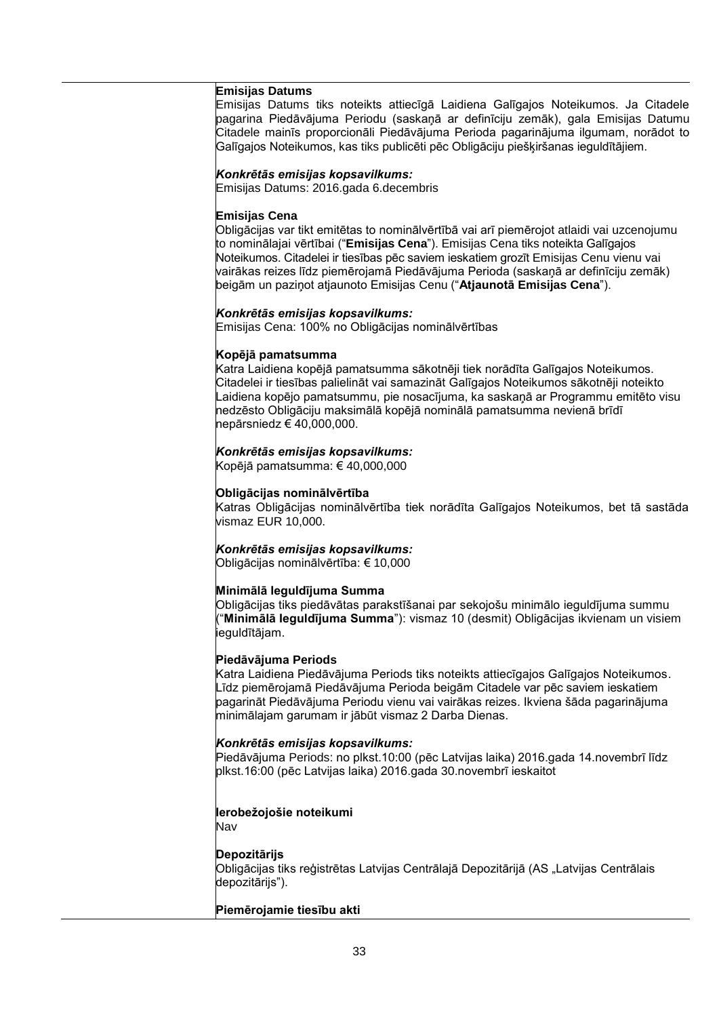#### **Emisijas Datums**

Emisijas Datums tiks noteikts attiecīgā Laidiena Galīgajos Noteikumos. Ja Citadele pagarina Piedāvājuma Periodu (saskaņā ar definīciju zemāk), gala Emisijas Datumu Citadele mainīs proporcionāli Piedāvājuma Perioda pagarinājuma ilgumam, norādot to Galīgajos Noteikumos, kas tiks publicēti pēc Obligāciju piešķiršanas ieguldītājiem.

#### *Konkrētās emisijas kopsavilkums:*

Emisijas Datums: 2016.gada 6.decembris

#### **Emisijas Cena**

Obligācijas var tikt emitētas to nominālvērtībā vai arī piemērojot atlaidi vai uzcenojumu to nominālajai vērtībai ("**Emisijas Cena**"). Emisijas Cena tiks noteikta Galīgajos Noteikumos. Citadelei ir tiesības pēc saviem ieskatiem grozīt Emisijas Cenu vienu vai vairākas reizes līdz piemērojamā Piedāvājuma Perioda (saskaņā ar definīciju zemāk) beigām un paziņot atjaunoto Emisijas Cenu ("**Atjaunotā Emisijas Cena**").

#### *Konkrētās emisijas kopsavilkums:*

Emisijas Cena: 100% no Obligācijas nominālvērtības

#### **Kopējā pamatsumma**

Katra Laidiena kopējā pamatsumma sākotnēji tiek norādīta Galīgajos Noteikumos. Citadelei ir tiesības palielināt vai samazināt Galīgajos Noteikumos sākotnēji noteikto Laidiena kopējo pamatsummu, pie nosacījuma, ka saskaņā ar Programmu emitēto visu nedzēsto Obligāciju maksimālā kopējā nominālā pamatsumma nevienā brīdī nepārsniedz € 40,000,000.

#### *Konkrētās emisijas kopsavilkums:*

Kopējā pamatsumma: € 40,000,000

## **Obligācijas nominālvērtība**

Katras Obligācijas nominālvērtība tiek norādīta Galīgajos Noteikumos, bet tā sastāda vismaz EUR 10,000.

## *Konkrētās emisijas kopsavilkums:*

Obligācijas nominālvērtība: € 10,000

#### **Minimālā Ieguldījuma Summa**

Obligācijas tiks piedāvātas parakstīšanai par sekojošu minimālo ieguldījuma summu ("**Minimālā Ieguldījuma Summa**"): vismaz 10 (desmit) Obligācijas ikvienam un visiem ieguldītājam.

#### **Piedāvājuma Periods**

Katra Laidiena Piedāvājuma Periods tiks noteikts attiecīgajos Galīgajos Noteikumos. Līdz piemērojamā Piedāvājuma Perioda beigām Citadele var pēc saviem ieskatiem pagarināt Piedāvājuma Periodu vienu vai vairākas reizes. Ikviena šāda pagarinājuma minimālajam garumam ir jābūt vismaz 2 Darba Dienas.

#### *Konkrētās emisijas kopsavilkums:*

Piedāvājuma Periods: no plkst.10:00 (pēc Latvijas laika) 2016.gada 14.novembrī līdz plkst.16:00 (pēc Latvijas laika) 2016.gada 30.novembrī ieskaitot

## **Ierobežojošie noteikumi**

Nav

## **Depozitārijs**

Obligācijas tiks reģistrētas Latvijas Centrālajā Depozitārijā (AS "Latvijas Centrālais depozitārijs").

## **Piemērojamie tiesību akti**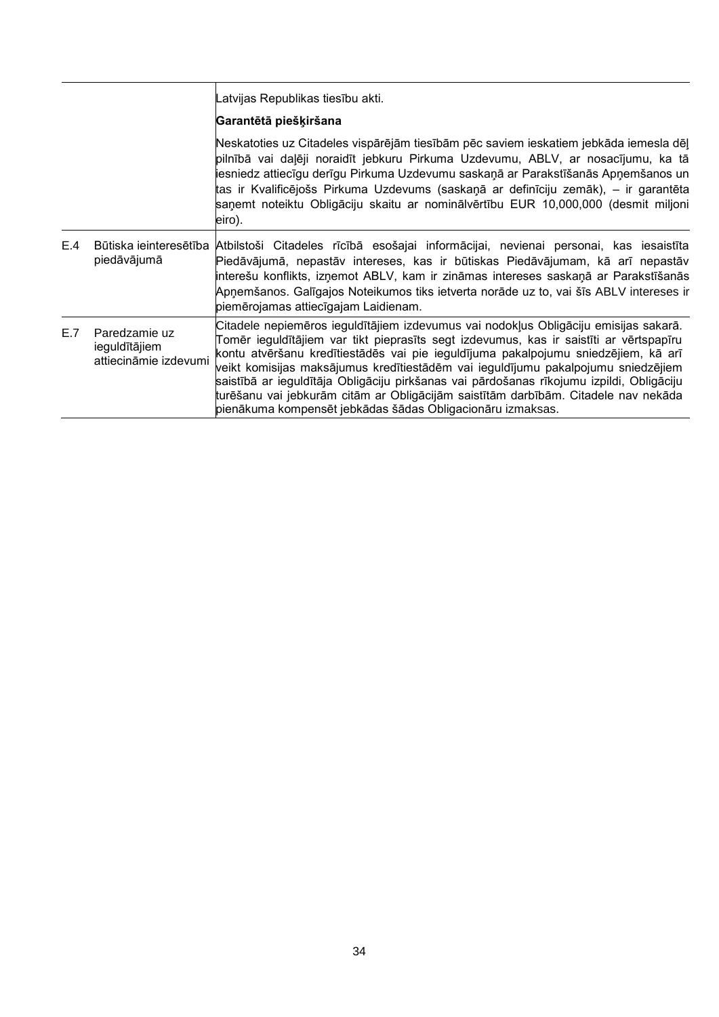|     |                                                         | Latvijas Republikas tiesību akti.                                                                                                                                                                                                                                                                                                                                                                                                                                                                                                                                                                         |
|-----|---------------------------------------------------------|-----------------------------------------------------------------------------------------------------------------------------------------------------------------------------------------------------------------------------------------------------------------------------------------------------------------------------------------------------------------------------------------------------------------------------------------------------------------------------------------------------------------------------------------------------------------------------------------------------------|
|     |                                                         | Garantētā piešķiršana                                                                                                                                                                                                                                                                                                                                                                                                                                                                                                                                                                                     |
|     |                                                         | Neskatoties uz Citadeles vispārējām tiesībām pēc saviem ieskatiem jebkāda iemesla dēļ<br>pilnībā vai daļēji noraidīt jebkuru Pirkuma Uzdevumu, ABLV, ar nosacījumu, ka tā<br>ļiesniedz attiecīgu derīgu Pirkuma Uzdevumu saskaņā ar Parakstīšanās Apņemšanos un<br>tas ir Kvalificējošs Pirkuma Uzdevums (saskaņā ar definīciju zemāk), – ir garantēta<br>saņemt noteiktu Obligāciju skaitu ar nominālvērtību EUR 10,000,000 (desmit miljoni<br>eiro).                                                                                                                                                    |
| E.4 | piedāvājumā                                             | Būtiska ieinteresētība Atbilstoši Citadeles rīcībā esošajai informācijai, nevienai personai, kas iesaistīta<br>Piedāvājumā, nepastāv intereses, kas ir būtiskas Piedāvājumam, kā arī nepastāv<br>ļinterešu konflikts, izņemot ABLV, kam ir zināmas intereses saskaņā ar Parakstīšanās<br>Apņemšanos. Galīgajos Noteikumos tiks ietverta norāde uz to, vai šīs ABLV intereses ir<br>piemērojamas attiecīgajam Laidienam.                                                                                                                                                                                   |
| E.7 | Paredzamie uz<br>ieguldītājiem<br>attiecināmie izdevumi | Citadele nepiemēros ieguldītājiem izdevumus vai nodokļus Obligāciju emisijas sakarā.<br>Tomēr ieguldītājiem var tikt pieprasīts segt izdevumus, kas ir saistīti ar vērtspapīru<br>kontu atvēršanu kredītiestādēs vai pie ieguldījuma pakalpojumu sniedzējiem, kā arī<br>veikt komisijas maksājumus kredītiestādēm vai ieguldījumu pakalpojumu sniedzējiem<br>saistībā ar ieguldītāja Obligāciju pirkšanas vai pārdošanas rīkojumu izpildi, Obligāciju<br>turēšanu vai jebkurām citām ar Obligācijām saistītām darbībām. Citadele nav nekāda<br>pienākuma kompensēt jebkādas šādas Obligacionāru izmaksas. |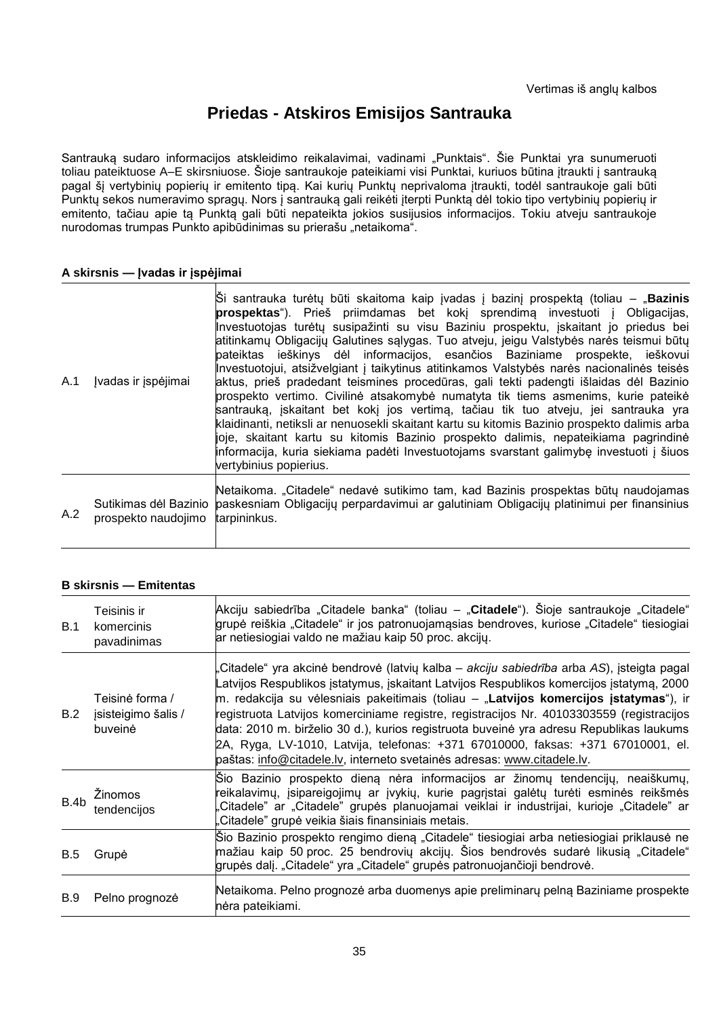# **Priedas - Atskiros Emisijos Santrauka**

Santrauką sudaro informacijos atskleidimo reikalavimai, vadinami "Punktais". Šie Punktai yra sunumeruoti toliau pateiktuose A–E skirsniuose. Šioje santraukoje pateikiami visi Punktai, kuriuos būtina įtraukti į santrauką pagal šį vertybinių popierių ir emitento tipą. Kai kurių Punktų neprivaloma įtraukti, todėl santraukoje gali būti Punktų sekos numeravimo spragų. Nors į santrauką gali reikėti įterpti Punktą dėl tokio tipo vertybinių popierių ir emitento, tačiau apie tą Punktą gali būti nepateikta jokios susijusios informacijos. Tokiu atveju santraukoje nurodomas trumpas Punkto apibūdinimas su prierašu "netaikoma".

## **A skirsnis — Įvadas ir įspėjimai**

| A.1 | Jvadas ir įspėjimai              | $\hat{S}$ i santrauka turėtų būti skaitoma kaip įvadas į bazinį prospektą (toliau – " <b>Bazinis</b><br>prospektas"). Prieš priimdamas bet kokį sprendimą investuoti į Obligacijas,<br>Investuotojas turėtų susipažinti su visu Baziniu prospektu, įskaitant jo priedus bei<br>atitinkamų Obligacijų Galutines sąlygas. Tuo atveju, jeigu Valstybės narės teismui būtų<br>pateiktas ieškinys dėl informacijos, esančios Baziniame prospekte, ieškovui<br>Investuotojui, atsižvelgiant į taikytinus atitinkamos Valstybės narės nacionalinės teisės<br>aktus, prieš pradedant teismines procedūras, gali tekti padengti išlaidas dėl Bazinio<br>prospekto vertimo. Civilinė atsakomybė numatyta tik tiems asmenims, kurie pateikė<br>santrauka, iskaitant bet koki jos vertima, tačiau tik tuo atveju, jei santrauka yra<br>klaidinanti, netiksli ar nenuosekli skaitant kartu su kitomis Bazinio prospekto dalimis arba<br>joje, skaitant kartu su kitomis Bazinio prospekto dalimis, nepateikiama pagrindinė<br>informacija, kuria siekiama padėti Investuotojams svarstant galimybę investuoti į šiuos<br>vertybinius popierius. |
|-----|----------------------------------|------------------------------------------------------------------------------------------------------------------------------------------------------------------------------------------------------------------------------------------------------------------------------------------------------------------------------------------------------------------------------------------------------------------------------------------------------------------------------------------------------------------------------------------------------------------------------------------------------------------------------------------------------------------------------------------------------------------------------------------------------------------------------------------------------------------------------------------------------------------------------------------------------------------------------------------------------------------------------------------------------------------------------------------------------------------------------------------------------------------------------------|
| A.2 | prospekto naudojimo tarpininkus. | Netaikoma. "Citadele" nedavė sutikimo tam, kad Bazinis prospektas būtų naudojamas<br>Sutikimas dėl Bazinio   paskesniam Obligacijų perpardavimui ar galutiniam Obligacijų platinimui per finansinius                                                                                                                                                                                                                                                                                                                                                                                                                                                                                                                                                                                                                                                                                                                                                                                                                                                                                                                               |

## **B skirsnis — Emitentas**

| B.1  | Teisinis ir<br>komercinis<br>pavadinimas          | Akciju sabiedrība "Citadele banka" (toliau – "Citadele"). Šioje santraukoje "Citadele"<br>grupė reiškia "Citadele" ir jos patronuojamąsias bendroves, kuriose "Citadele" tiesiogiai<br>ar netiesiogiai valdo ne mažiau kaip 50 proc. akcijų.                                                                                                                                                                                                                                                                                                                                                                                       |
|------|---------------------------------------------------|------------------------------------------------------------------------------------------------------------------------------------------------------------------------------------------------------------------------------------------------------------------------------------------------------------------------------------------------------------------------------------------------------------------------------------------------------------------------------------------------------------------------------------------------------------------------------------------------------------------------------------|
| B.2  | Teisinė forma /<br>jsisteigimo šalis /<br>buveinė | Citadele" yra akcinė bendrovė (latvių kalba – akciju sabiedrība arba AS), įsteigta pagal<br>atvijos Respublikos įstatymus, įskaitant Latvijos Respublikos komercijos įstatymą, 2000<br>m. redakcija su vėlesniais pakeitimais (toliau – "Latvijos komercijos įstatymas"), ir<br>registruota Latvijos komerciniame registre, registracijos Nr. 40103303559 (registracijos<br>data: 2010 m. birželio 30 d.), kurios registruota buveinė yra adresu Republikas laukums<br>2A, Ryga, LV-1010, Latvija, telefonas: +371 67010000, faksas: +371 67010001, el.<br>paštas: info@citadele.lv, interneto svetainės adresas: www.citadele.lv. |
| B.4b | Žinomos<br>tendencijos                            | Šio Bazinio prospekto dieną nėra informacijos ar žinomų tendencijų, neaiškumų,<br>reikalavimų, įsipareigojimų ar įvykių, kurie pagrįstai galėtų turėti esminės reikšmės<br>Citadele" ar "Citadele" grupės planuojamai veiklai ir industrijai, kurioje "Citadele" ar<br>Citadele" grupė veikia šiais finansiniais metais.                                                                                                                                                                                                                                                                                                           |
| B.5  | Grupė                                             | Sio Bazinio prospekto rengimo dieną "Citadele" tiesiogiai arba netiesiogiai priklausė ne<br>mažiau kaip 50 proc. 25 bendrovių akcijų. Šios bendrovės sudarė likusią "Citadele"<br>grupės dalį. "Citadele" yra "Citadele" grupės patronuojančioji bendrovė.                                                                                                                                                                                                                                                                                                                                                                         |
| B.9  | Pelno prognozė                                    | Netaikoma. Pelno prognozė arba duomenys apie preliminarų pelną Baziniame prospekte<br>nėra pateikiami.                                                                                                                                                                                                                                                                                                                                                                                                                                                                                                                             |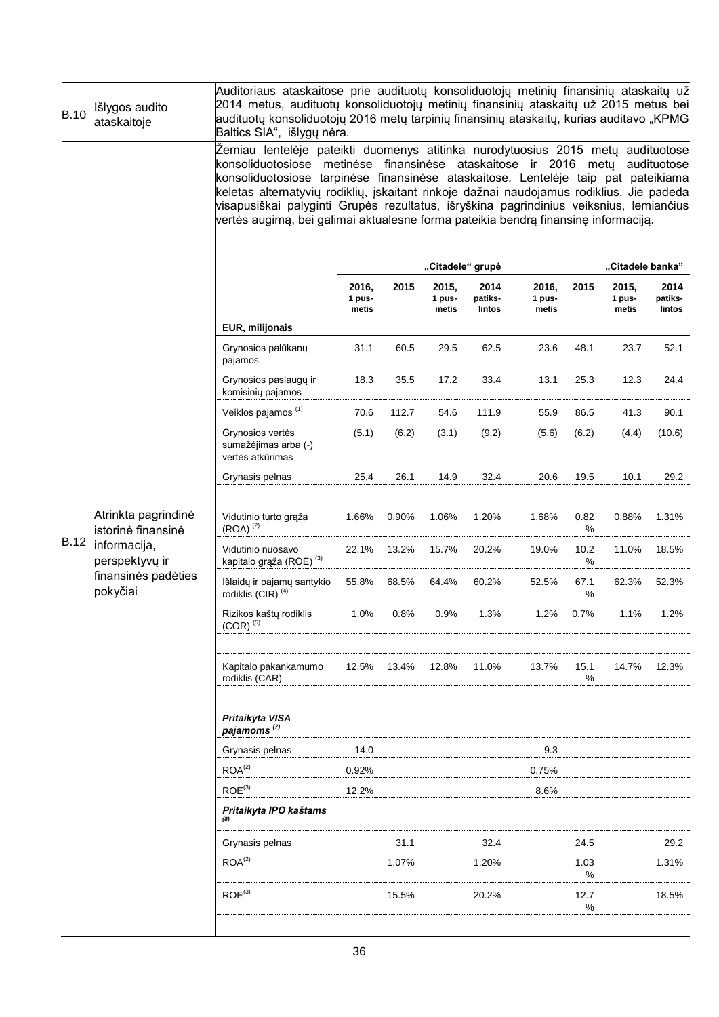| <b>B.10</b> | Išlygos audito<br>ataskaitoje                                                                                  | Auditoriaus ataskaitose prie audituotų konsoliduotojų metinių finansinių ataskaitų už<br>2014 metus, audituotų konsoliduotojų metinių finansinių ataskaitų už 2015 metus bei<br>audituotų konsoliduotojų 2016 metų tarpinių finansinių ataskaitų, kurias auditavo "KPMG<br>Baltics SIA", išlygų nėra.                                                                                                                                                                                                                            |                          |       |                          |                           |                          |           |                          |                           |
|-------------|----------------------------------------------------------------------------------------------------------------|----------------------------------------------------------------------------------------------------------------------------------------------------------------------------------------------------------------------------------------------------------------------------------------------------------------------------------------------------------------------------------------------------------------------------------------------------------------------------------------------------------------------------------|--------------------------|-------|--------------------------|---------------------------|--------------------------|-----------|--------------------------|---------------------------|
|             |                                                                                                                | Žemiau lentelėje pateikti duomenys atitinka nurodytuosius 2015 metų audituotose<br>konsoliduotosiose metinėse finansinėse ataskaitose ir 2016 metų audituotose<br>konsoliduotosiose tarpinėse finansinėse ataskaitose. Lentelėje taip pat pateikiama<br>keletas alternatyvių rodiklių, įskaitant rinkoje dažnai naudojamus rodiklius. Jie padeda<br>visapusiškai palyginti Grupės rezultatus, išryškina pagrindinius veiksnius, lemiančius<br>vertės augimą, bei galimai aktualesne forma pateikia bendrą finansinę informaciją. |                          |       |                          |                           |                          |           |                          |                           |
|             |                                                                                                                |                                                                                                                                                                                                                                                                                                                                                                                                                                                                                                                                  |                          |       | "Citadele" grupė         |                           |                          |           | "Citadele banka"         |                           |
|             |                                                                                                                |                                                                                                                                                                                                                                                                                                                                                                                                                                                                                                                                  | 2016,<br>1 pus-<br>metis | 2015  | 2015,<br>1 pus-<br>metis | 2014<br>patiks-<br>lintos | 2016,<br>1 pus-<br>metis | 2015      | 2015,<br>1 pus-<br>metis | 2014<br>patiks-<br>lintos |
|             |                                                                                                                | EUR, milijonais                                                                                                                                                                                                                                                                                                                                                                                                                                                                                                                  |                          |       |                          |                           |                          |           |                          |                           |
|             |                                                                                                                | Grynosios palūkanų<br>pajamos                                                                                                                                                                                                                                                                                                                                                                                                                                                                                                    | 31.1                     | 60.5  | 29.5                     | 62.5                      | 23.6                     | 48.1      | 23.7                     | 52.1                      |
|             |                                                                                                                | Grynosios paslaugų ir<br>komisinių pajamos                                                                                                                                                                                                                                                                                                                                                                                                                                                                                       | 18.3                     | 35.5  | 17.2                     | 33.4                      | 13.1                     | 25.3      | 12.3                     | 24.4                      |
|             |                                                                                                                | Veiklos pajamos <sup>(1)</sup>                                                                                                                                                                                                                                                                                                                                                                                                                                                                                                   | 70.6                     | 112.7 | 54.6                     | 111.9                     | 55.9                     | 86.5      | 41.3                     | 90.1                      |
|             | Atrinkta pagrindinė<br>istorinė finansinė<br>informacija,<br>perspektyvų ir<br>finansinės padėties<br>pokyčiai | Grynosios vertės<br>sumažėjimas arba (-)<br>vertės atkūrimas                                                                                                                                                                                                                                                                                                                                                                                                                                                                     | (5.1)                    | (6.2) | (3.1)                    | (9.2)                     | (5.6)                    | (6.2)     | (4.4)                    | (10.6)                    |
|             |                                                                                                                | Grynasis pelnas                                                                                                                                                                                                                                                                                                                                                                                                                                                                                                                  | 25.4                     | 26.1  | 14.9                     | 32.4                      | 20.6                     | 19.5      | 10.1                     | 29.2                      |
|             |                                                                                                                | Vidutinio turto grąža<br>$(ROA)$ <sup><math>(2)</math></sup>                                                                                                                                                                                                                                                                                                                                                                                                                                                                     | 1.66%                    | 0.90% | 1.06%                    | 1.20%                     | 1.68%                    | 0.82<br>% | 0.88%                    | 1.31%                     |
| <b>B.12</b> |                                                                                                                | Vidutinio nuosavo<br>kapitalo grąža (ROE) <sup>(3)</sup>                                                                                                                                                                                                                                                                                                                                                                                                                                                                         | 22.1%                    | 13.2% | 15.7%                    | 20.2%                     | 19.0%                    | 10.2<br>% | 11.0%                    | 18.5%                     |
|             |                                                                                                                | Išlaidų ir pajamų santykio<br>rodiklis (CIR) <sup>(4)</sup>                                                                                                                                                                                                                                                                                                                                                                                                                                                                      | 55.8%                    | 68.5% | 64.4%                    | 60.2%                     | 52.5%                    | 67.1<br>% | 62.3%                    | 52.3%                     |
|             |                                                                                                                | Rizikos kaštų rodiklis<br>$(COR)^{(5)}$                                                                                                                                                                                                                                                                                                                                                                                                                                                                                          | 1.0%                     | 0.8%  | 0.9%                     | 1.3%                      | 1.2%                     | 0.7%      | 1.1%                     | 1.2%                      |
|             |                                                                                                                | Kapitalo pakankamumo<br>rodiklis (CAR)                                                                                                                                                                                                                                                                                                                                                                                                                                                                                           | 12.5%                    | 13.4% | 12.8%                    | 11.0%                     | 13.7%                    | 15.1<br>% | 14.7%                    | 12.3%                     |
|             |                                                                                                                | Pritaikyta VISA<br>pajamoms <sup>(7)</sup>                                                                                                                                                                                                                                                                                                                                                                                                                                                                                       |                          |       |                          |                           |                          |           |                          |                           |
|             |                                                                                                                | Grynasis pelnas                                                                                                                                                                                                                                                                                                                                                                                                                                                                                                                  | 14.0                     |       |                          |                           | 9.3                      |           |                          |                           |
|             |                                                                                                                | ROA <sup>(2)</sup>                                                                                                                                                                                                                                                                                                                                                                                                                                                                                                               | 0.92%                    |       |                          |                           | 0.75%                    |           |                          |                           |
|             |                                                                                                                | ROE <sup>(3)</sup>                                                                                                                                                                                                                                                                                                                                                                                                                                                                                                               | 12.2%                    |       |                          |                           | 8.6%                     |           |                          |                           |
|             |                                                                                                                | Pritaikyta IPO kaštams                                                                                                                                                                                                                                                                                                                                                                                                                                                                                                           |                          |       |                          |                           |                          |           |                          |                           |
|             |                                                                                                                | Grynasis pelnas                                                                                                                                                                                                                                                                                                                                                                                                                                                                                                                  |                          | 31.1  |                          | 32.4                      |                          | 24.5      |                          | 29.2                      |
|             |                                                                                                                | ROA <sup>(2)</sup>                                                                                                                                                                                                                                                                                                                                                                                                                                                                                                               |                          | 1.07% |                          | 1.20%                     |                          | 1.03<br>% |                          | 1.31%                     |
|             |                                                                                                                | ROE <sup>(3)</sup>                                                                                                                                                                                                                                                                                                                                                                                                                                                                                                               |                          | 15.5% |                          | 20.2%                     |                          | 12.7<br>% |                          | 18.5%                     |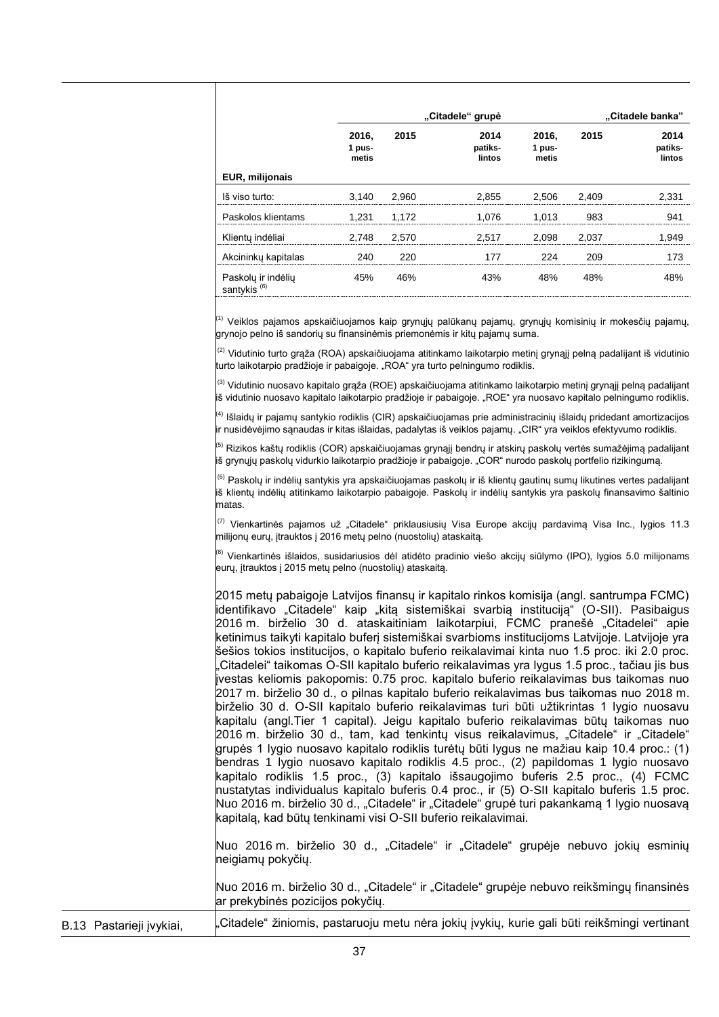|                                               |                          | "Citadele" grupė | "Citadele banka"          |                          |       |                           |
|-----------------------------------------------|--------------------------|------------------|---------------------------|--------------------------|-------|---------------------------|
|                                               | 2016,<br>1 pus-<br>metis | 2015             | 2014<br>patiks-<br>lintos | 2016,<br>1 pus-<br>metis | 2015  | 2014<br>patiks-<br>lintos |
| <b>EUR, milijonais</b>                        |                          |                  |                           |                          |       |                           |
| Iš viso turto:                                | 3.140                    | 2.960            | 2.855                     | 2.506                    | 2.409 | 2.331                     |
| Paskolos klientams                            | 1.231                    | 1.172            | 1.076                     | 1.013                    | 983   | 941                       |
| Klientų indėliai                              | 2.748                    | 2.570            | 2.517                     | 2.098                    | 2.037 | 1.949                     |
| Akcininky kapitalas                           | 240                      | 220              | 177                       | 224                      | 209   | 173                       |
| Paskolų ir indėlių<br>santykis <sup>(6)</sup> | 45%                      | 46%              | 43%                       | 48%                      | 48%   | 48%                       |

<sup>(1)</sup> Veiklos pajamos apskaičiuojamos kaip grynųjų palūkanų pajamų, grynųjų komisinių ir mokesčių pajamų, grynojo pelno iš sandorių su finansinėmis priemonėmis ir kitų pajamų suma.

<sup>(2)</sup> Vidutinio turto grąža (ROA) apskaičiuojama atitinkamo laikotarpio metinį grynąjį pelną padalijant iš vidutinio turto laikotarpio pradžioje ir pabaigoje. "ROA" yra turto pelningumo rodiklis.

<sup>(3)</sup> Vidutinio nuosavo kapitalo grąža (ROE) apskaičiuojama atitinkamo laikotarpio metinį grynąjį pelną padalijant iš vidutinio nuosavo kapitalo laikotarpio pradžioje ir pabaigoje. "ROE" yra nuosavo kapitalo pelningumo rodiklis.

<sup>(4)</sup> Išlaidų ir pajamų santykio rodiklis (CIR) apskaičiuojamas prie administracinių išlaidų pridedant amortizacijos ir nusidėvėjimo sąnaudas ir kitas išlaidas, padalytas iš veiklos pajamų. "CIR" yra veiklos efektyvumo rodiklis.

<sup>(5)</sup> Rizikos kaštų rodiklis (COR) apskaičiuojamas grynąjį bendrų ir atskirų paskolų vertės sumažėjimą padalijant iš grynųjų paskolų vidurkio laikotarpio pradžioje ir pabaigoje. "COR" nurodo paskolų portfelio rizikingumą.

 $^{(6)}$  Paskolų ir indėlių santykis yra apskaičiuojamas paskolų ir iš klientų gautinų sumų likutines vertes padalijant iš klientų indėlių atitinkamo laikotarpio pabaigoje. Paskolų ir indėlių santykis yra paskolų finansavimo šaltinio matas.

 $(7)$  Vienkartinės pajamos už "Citadele" priklausiusių Visa Europe akcijų pardavimą Visa Inc., lygios 11.3 milijonų eurų, įtrauktos į 2016 metų pelno (nuostolių) ataskaitą.

<sup>(8)</sup> Vienkartinės išlaidos, susidariusios dėl atidėto pradinio viešo akcijų siūlymo (IPO), lygios 5.0 milijonams eurų, įtrauktos į 2015 metų pelno (nuostolių) ataskaitą.

| 2015 metų pabaigoje Latvijos finansų ir kapitalo rinkos komisija (angl. santrumpa FCMC)<br>identifikavo "Citadele" kaip "kitą sistemiškai svarbią instituciją" (O-SII). Pasibaigus |
|------------------------------------------------------------------------------------------------------------------------------------------------------------------------------------|
| 2016 m. birželio 30 d. ataskaitiniam laikotarpiui, FCMC pranešė "Citadelei" apie                                                                                                   |
| ketinimus taikyti kapitalo buferį sistemiškai svarbioms institucijoms Latvijoje. Latvijoje yra                                                                                     |
| šešios tokios institucijos, o kapitalo buferio reikalavimai kinta nuo 1.5 proc. iki 2.0 proc.                                                                                      |
| "Citadelei" taikomas O-SII kapitalo buferio reikalavimas yra lygus 1.5 proc., tačiau jis bus                                                                                       |
| ļivestas keliomis pakopomis: 0.75 proc. kapitalo buferio reikalavimas bus taikomas nuo                                                                                             |
| 2017 m. birželio 30 d., o pilnas kapitalo buferio reikalavimas bus taikomas nuo 2018 m.                                                                                            |
| birželio 30 d. O-SII kapitalo buferio reikalavimas turi būti užtikrintas 1 lygio nuosavu                                                                                           |
| kapitalu (angl.Tier 1 capital). Jeigu kapitalo buferio reikalavimas būtų taikomas nuo                                                                                              |
| 2016 m. birželio 30 d., tam, kad tenkinty visus reikalavimus, "Citadele" ir "Citadele"                                                                                             |
| grupės 1 lygio nuosavo kapitalo rodiklis turėtų būti lygus ne mažiau kaip 10.4 proc.: (1)                                                                                          |
| bendras 1 lygio nuosavo kapitalo rodiklis 4.5 proc., (2) papildomas 1 lygio nuosavo                                                                                                |
| kapitalo rodiklis 1.5 proc., (3) kapitalo išsaugojimo buferis 2.5 proc., (4) FCMC                                                                                                  |
| nustatytas individualus kapitalo buferis 0.4 proc., ir (5) O-SII kapitalo buferis 1.5 proc.                                                                                        |
| Nuo 2016 m. birželio 30 d., "Citadele" ir "Citadele" grupė turi pakankamą 1 lygio nuosavą                                                                                          |
| kapitalą, kad būtų tenkinami visi O-SII buferio reikalavimai.                                                                                                                      |
|                                                                                                                                                                                    |
| Nuo 2016 m. birželio 30 d., "Citadele" ir "Citadele" grupėje nebuvo jokių esminių                                                                                                  |

neigiamų pokyčių.

Nuo 2016 m. birželio 30 d., "Citadele" ir "Citadele" grupėje nebuvo reikšmingų finansinės ar prekybinės pozicijos pokyčių.

B.13 Pastarieji įvykiai, "Citadele" žiniomis, pastaruoju metu nėra jokių įvykių, kurie gali būti reikšmingi vertinant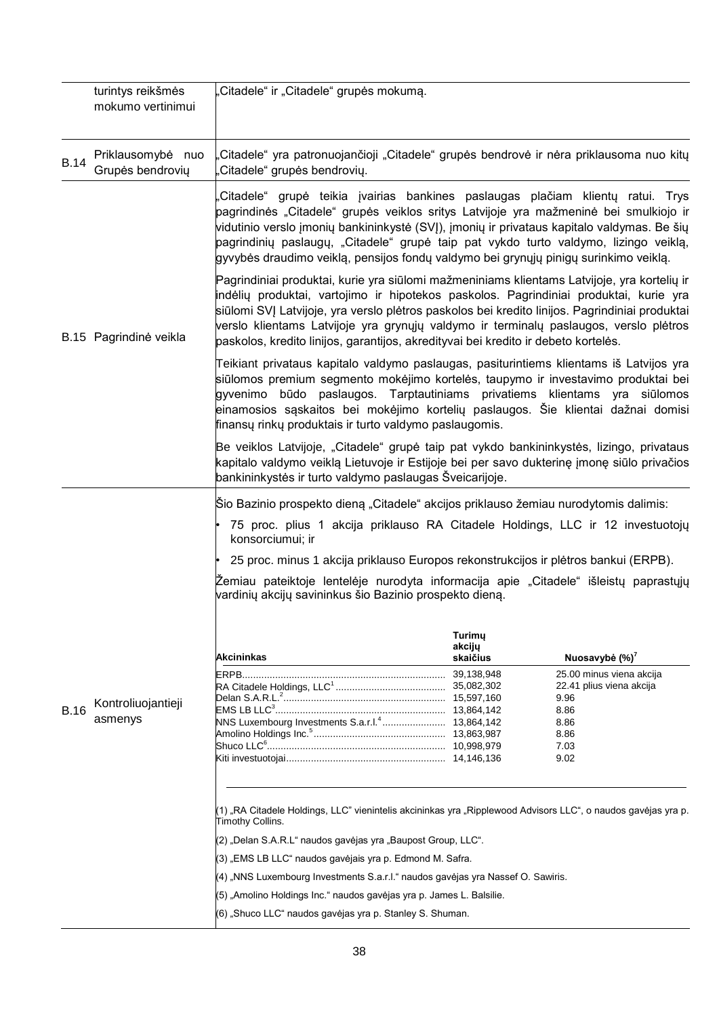|             | turintys reikšmės<br>mokumo vertinimui | "Citadele" ir "Citadele" grupės mokumą.                                                                                                                                                                                                                                                                                                                                                                                                                               |                              |                                  |  |  |  |
|-------------|----------------------------------------|-----------------------------------------------------------------------------------------------------------------------------------------------------------------------------------------------------------------------------------------------------------------------------------------------------------------------------------------------------------------------------------------------------------------------------------------------------------------------|------------------------------|----------------------------------|--|--|--|
| <b>B.14</b> | Priklausomybė nuo<br>Grupės bendrovių  | Citadele" yra patronuojančioji "Citadele" grupės bendrovė ir nėra priklausoma nuo kitų<br>Citadele" grupės bendrovių.                                                                                                                                                                                                                                                                                                                                                 |                              |                                  |  |  |  |
|             |                                        | Citadele" grupė teikia įvairias bankines paslaugas plačiam klientų ratui. Trys<br>pagrindinės "Citadele" grupės veiklos sritys Latvijoje yra mažmeninė bei smulkiojo ir<br>vidutinio verslo įmonių bankininkystė (SVJ), įmonių ir privataus kapitalo valdymas. Be šių<br>pagrindinių paslaugų, "Citadele" grupė taip pat vykdo turto valdymo, lizingo veiklą,<br>gyvybės draudimo veiklą, pensijos fondų valdymo bei grynųjų pinigų surinkimo veiklą.                 |                              |                                  |  |  |  |
|             | B.15 Pagrindinė veikla                 | Pagrindiniai produktai, kurie yra siūlomi mažmeniniams klientams Latvijoje, yra kortelių ir<br>indėlių produktai, vartojimo ir hipotekos paskolos. Pagrindiniai produktai, kurie yra<br>siūlomi SVI Latvijoje, yra verslo plėtros paskolos bei kredito linijos. Pagrindiniai produktai<br>verslo klientams Latvijoje yra grynųjų valdymo ir terminalų paslaugos, verslo plėtros<br>paskolos, kredito linijos, garantijos, akredityvai bei kredito ir debeto kortelės. |                              |                                  |  |  |  |
|             |                                        | Teikiant privataus kapitalo valdymo paslaugas, pasiturintiems klientams iš Latvijos yra<br>siūlomos premium segmento mokėjimo kortelės, taupymo ir investavimo produktai bei<br>gyvenimo būdo paslaugos. Tarptautiniams privatiems klientams yra siūlomos<br>einamosios sąskaitos bei mokėjimo kortelių paslaugos. Šie klientai dažnai domisi<br>finansų rinkų produktais ir turto valdymo paslaugomis.                                                               |                              |                                  |  |  |  |
|             |                                        | Be veiklos Latvijoje, "Citadele" grupė taip pat vykdo bankininkystės, lizingo, privataus<br>kapitalo valdymo veiklą Lietuvoje ir Estijoje bei per savo dukterinę įmonę siūlo privačios<br>bankininkystės ir turto valdymo paslaugas Šveicarijoje.                                                                                                                                                                                                                     |                              |                                  |  |  |  |
|             |                                        | Sio Bazinio prospekto dieną "Citadele" akcijos priklauso žemiau nurodytomis dalimis:                                                                                                                                                                                                                                                                                                                                                                                  |                              |                                  |  |  |  |
|             |                                        | 75 proc. plius 1 akcija priklauso RA Citadele Holdings, LLC ir 12 investuotojų<br>konsorciumui; ir                                                                                                                                                                                                                                                                                                                                                                    |                              |                                  |  |  |  |
|             |                                        | 25 proc. minus 1 akcija priklauso Europos rekonstrukcijos ir plėtros bankui (ERPB).                                                                                                                                                                                                                                                                                                                                                                                   |                              |                                  |  |  |  |
|             |                                        | Žemiau pateiktoje lentelėje nurodyta informacija apie "Citadele" išleistų paprastųjų<br>vardinių akcijų savininkus šio Bazinio prospekto dieną.                                                                                                                                                                                                                                                                                                                       |                              |                                  |  |  |  |
|             |                                        | Akcininkas                                                                                                                                                                                                                                                                                                                                                                                                                                                            | Turimy<br>akcijų<br>skaičius | Nuosavybė (%) <sup>7</sup>       |  |  |  |
|             |                                        |                                                                                                                                                                                                                                                                                                                                                                                                                                                                       |                              | 25.00 minus viena akcija         |  |  |  |
|             |                                        |                                                                                                                                                                                                                                                                                                                                                                                                                                                                       |                              | 22.41 plius viena akcija<br>9.96 |  |  |  |
| <b>B.16</b> | Kontroliuojantieji<br>asmenys          |                                                                                                                                                                                                                                                                                                                                                                                                                                                                       |                              | 8.86                             |  |  |  |
|             |                                        |                                                                                                                                                                                                                                                                                                                                                                                                                                                                       |                              | 8.86<br>8.86                     |  |  |  |
|             |                                        |                                                                                                                                                                                                                                                                                                                                                                                                                                                                       |                              | 7.03                             |  |  |  |
|             |                                        |                                                                                                                                                                                                                                                                                                                                                                                                                                                                       |                              | 9.02                             |  |  |  |
|             |                                        | (1) "RA Citadele Holdings, LLC" vienintelis akcininkas yra "Ripplewood Advisors LLC", o naudos gavėjas yra p.<br>Timothy Collins.                                                                                                                                                                                                                                                                                                                                     |                              |                                  |  |  |  |
|             |                                        | (2) "Delan S.A.R.L" naudos gavėjas yra "Baupost Group, LLC".                                                                                                                                                                                                                                                                                                                                                                                                          |                              |                                  |  |  |  |
|             |                                        | (3) "EMS LB LLC" naudos gavėjais yra p. Edmond M. Safra.                                                                                                                                                                                                                                                                                                                                                                                                              |                              |                                  |  |  |  |
|             |                                        | (4) "NNS Luxembourg Investments S.a.r.I." naudos gavėjas yra Nassef O. Sawiris.                                                                                                                                                                                                                                                                                                                                                                                       |                              |                                  |  |  |  |
|             |                                        | (5) "Amolino Holdings Inc." naudos gavėjas yra p. James L. Balsilie.                                                                                                                                                                                                                                                                                                                                                                                                  |                              |                                  |  |  |  |
|             |                                        | (6) "Shuco LLC" naudos gavėjas yra p. Stanley S. Shuman.                                                                                                                                                                                                                                                                                                                                                                                                              |                              |                                  |  |  |  |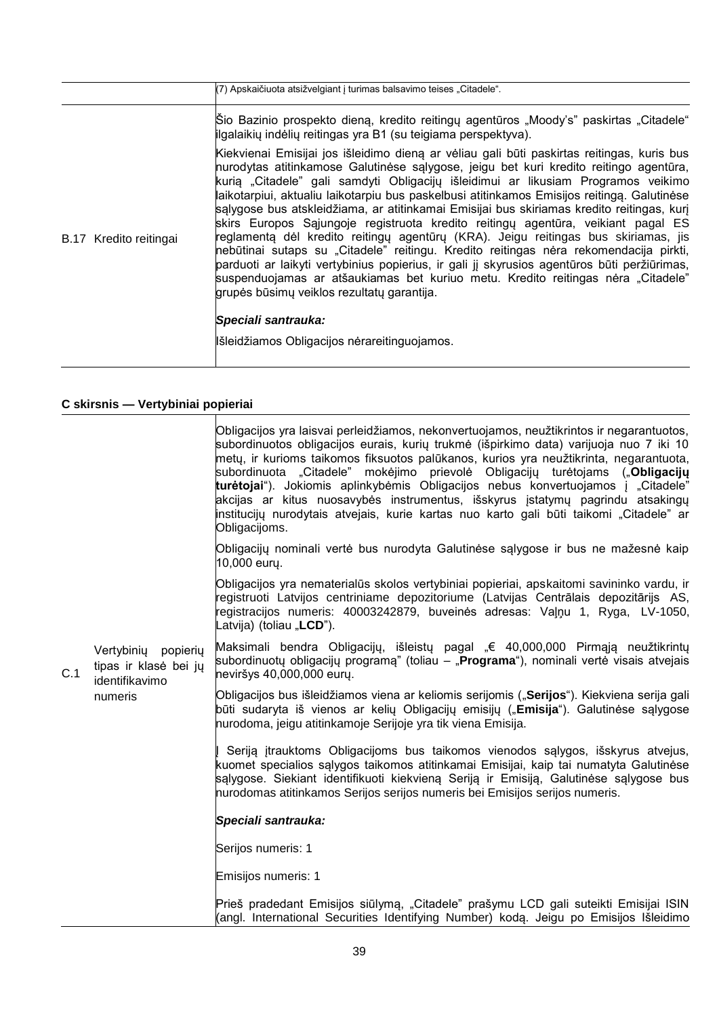|                        | (7) Apskaičiuota atsižvelgiant į turimas balsavimo teises "Citadele".                                                                                                                                                                                                                                                                                                                                                                                                                                                                                                                                                                                                                                                                                                                                                                                                                                                                                                    |
|------------------------|--------------------------------------------------------------------------------------------------------------------------------------------------------------------------------------------------------------------------------------------------------------------------------------------------------------------------------------------------------------------------------------------------------------------------------------------------------------------------------------------------------------------------------------------------------------------------------------------------------------------------------------------------------------------------------------------------------------------------------------------------------------------------------------------------------------------------------------------------------------------------------------------------------------------------------------------------------------------------|
|                        | Sio Bazinio prospekto dieną, kredito reitingų agentūros "Moody's" paskirtas "Citadele"<br>ilgalaikių indėlių reitingas yra B1 (su teigiama perspektyva).                                                                                                                                                                                                                                                                                                                                                                                                                                                                                                                                                                                                                                                                                                                                                                                                                 |
| B.17 Kredito reitingai | Kiekvienai Emisijai jos išleidimo dieną ar vėliau gali būti paskirtas reitingas, kuris bus<br>nurodytas atitinkamose Galutinėse sąlygose, jeigu bet kuri kredito reitingo agentūra,<br>kurią "Citadele" gali samdyti Obligacijų išleidimui ar likusiam Programos veikimo<br>laikotarpiui, aktualiu laikotarpiu bus paskelbusi atitinkamos Emisijos reitingą. Galutinėse<br>salygose bus atskleidžiama, ar atitinkamai Emisijai bus skiriamas kredito reitingas, kurj<br>skirs Europos Sąjungoje registruota kredito reitingų agentūra, veikiant pagal ES<br>reglamentą dėl kredito reitingų agentūrų (KRA). Jeigu reitingas bus skiriamas, jis<br>nebūtinai sutaps su "Citadele" reitingu. Kredito reitingas nėra rekomendacija pirkti,<br>parduoti ar laikyti vertybinius popierius, ir gali jį skyrusios agentūros būti peržiūrimas,<br>suspenduojamas ar atšaukiamas bet kuriuo metu. Kredito reitingas nėra "Citadele"<br>grupės būsimų veiklos rezultatų garantija. |
|                        | Speciali santrauka:                                                                                                                                                                                                                                                                                                                                                                                                                                                                                                                                                                                                                                                                                                                                                                                                                                                                                                                                                      |
|                        | Išleidžiamos Obligacijos nėrareitinguojamos.                                                                                                                                                                                                                                                                                                                                                                                                                                                                                                                                                                                                                                                                                                                                                                                                                                                                                                                             |

## **C skirsnis — Vertybiniai popieriai**

|     |                                                                              | Obligacijos yra laisvai perleidžiamos, nekonvertuojamos, neužtikrintos ir negarantuotos,<br>subordinuotos obligacijos eurais, kurių trukmė (išpirkimo data) varijuoja nuo 7 iki 10<br>metų, ir kurioms taikomos fiksuotos palūkanos, kurios yra neužtikrinta, negarantuota,<br>subordinuota "Citadele" mokėjimo prievolė Obligacijų turėtojams (" <b>Obligacijų</b><br>turėtojai"). Jokiomis aplinkybėmis Obligacijos nebus konvertuojamos į "Citadele"<br>akcijas ar kitus nuosavybės instrumentus, išskyrus įstatymų pagrindu atsakingų<br>institucijų nurodytais atvejais, kurie kartas nuo karto gali būti taikomi "Citadele" ar<br>Obligacijoms. |
|-----|------------------------------------------------------------------------------|-------------------------------------------------------------------------------------------------------------------------------------------------------------------------------------------------------------------------------------------------------------------------------------------------------------------------------------------------------------------------------------------------------------------------------------------------------------------------------------------------------------------------------------------------------------------------------------------------------------------------------------------------------|
|     |                                                                              | Obligacijų nominali vertė bus nurodyta Galutinėse sąlygose ir bus ne mažesnė kaip<br>10,000 eury.                                                                                                                                                                                                                                                                                                                                                                                                                                                                                                                                                     |
|     | Vertybiniy<br>popierių<br>tipas ir klasė bei jų<br>identifikavimo<br>numeris | Obligacijos yra nematerialūs skolos vertybiniai popieriai, apskaitomi savininko vardu, ir<br>registruoti Latvijos centriniame depozitoriume (Latvijas Centrālais depozitārijs AS,<br>registracijos numeris: 40003242879, buveinės adresas: Valnu 1, Ryga, LV-1050,<br>Latvija) (toliau " <b>LCD</b> ").                                                                                                                                                                                                                                                                                                                                               |
| C.1 |                                                                              | Maksimali bendra Obligacijų, išleistų pagal "€ 40,000,000 Pirmąją neužtikrintų<br>subordinuotų obligacijų programą" (toliau – " <b>Programa</b> "), nominali vertė visais atvejais<br>neviršys 40,000,000 eury.                                                                                                                                                                                                                                                                                                                                                                                                                                       |
|     |                                                                              | Obligacijos bus išleidžiamos viena ar keliomis serijomis ("Serijos"). Kiekviena serija gali<br>būti sudaryta iš vienos ar kelių Obligacijų emisijų ("Emisija"). Galutinėse sąlygose<br>nurodoma, jeigu atitinkamoje Serijoje yra tik viena Emisija.                                                                                                                                                                                                                                                                                                                                                                                                   |
|     |                                                                              | Seriją įtrauktoms Obligacijoms bus taikomos vienodos sąlygos, išskyrus atvejus,<br>kuomet specialios sąlygos taikomos atitinkamai Emisijai, kaip tai numatyta Galutinėse<br>salygose. Siekiant identifikuoti kiekvieną Seriją ir Emisiją, Galutinėse sąlygose bus<br>nurodomas atitinkamos Serijos serijos numeris bei Emisijos serijos numeris.                                                                                                                                                                                                                                                                                                      |
|     |                                                                              | Speciali santrauka:                                                                                                                                                                                                                                                                                                                                                                                                                                                                                                                                                                                                                                   |
|     |                                                                              | Serijos numeris: 1                                                                                                                                                                                                                                                                                                                                                                                                                                                                                                                                                                                                                                    |
|     |                                                                              | Emisijos numeris: 1                                                                                                                                                                                                                                                                                                                                                                                                                                                                                                                                                                                                                                   |
|     |                                                                              | Prieš pradedant Emisijos siūlymą, "Citadele" prašymu LCD gali suteikti Emisijai ISIN<br>(angl. International Securities Identifying Number) kodą. Jeigu po Emisijos Išleidimo                                                                                                                                                                                                                                                                                                                                                                                                                                                                         |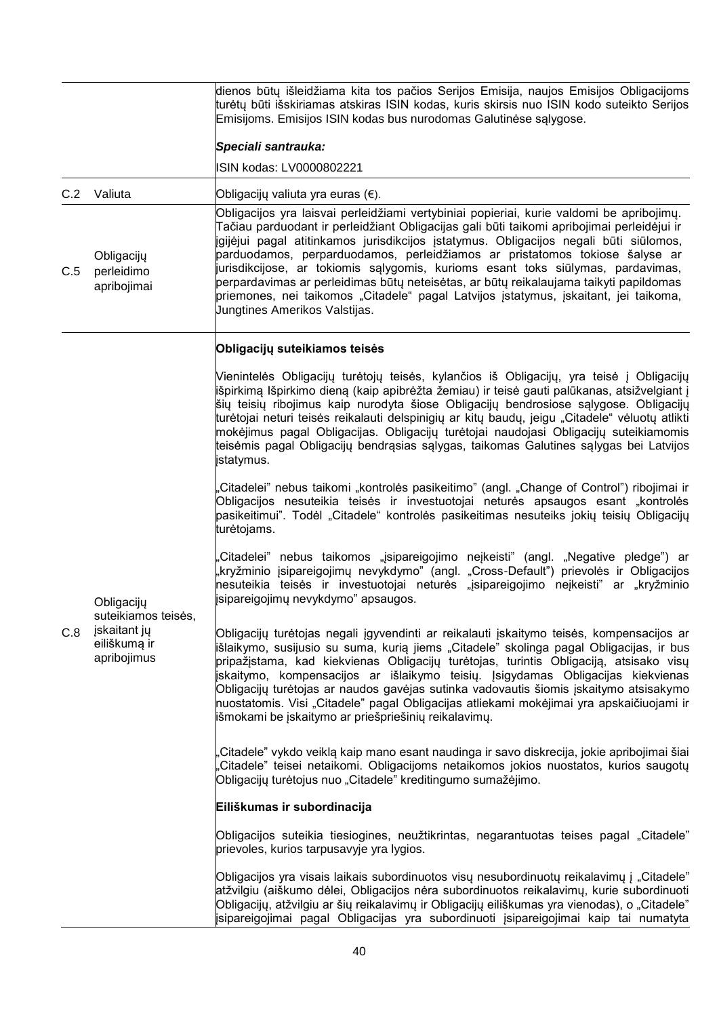|     |                                                                                  | dienos būtų išleidžiama kita tos pačios Serijos Emisija, naujos Emisijos Obligacijoms<br>turėtų būti išskiriamas atskiras ISIN kodas, kuris skirsis nuo ISIN kodo suteikto Serijos<br>Emisijoms. Emisijos ISIN kodas bus nurodomas Galutinėse sąlygose.                                                                                                                                                                                                                                                                                                                                                      |
|-----|----------------------------------------------------------------------------------|--------------------------------------------------------------------------------------------------------------------------------------------------------------------------------------------------------------------------------------------------------------------------------------------------------------------------------------------------------------------------------------------------------------------------------------------------------------------------------------------------------------------------------------------------------------------------------------------------------------|
|     |                                                                                  | Speciali santrauka:                                                                                                                                                                                                                                                                                                                                                                                                                                                                                                                                                                                          |
|     |                                                                                  | ISIN kodas: LV0000802221                                                                                                                                                                                                                                                                                                                                                                                                                                                                                                                                                                                     |
| C.2 | Valiuta                                                                          | Obligacijų valiuta yra euras (€).<br>Obligacijos yra laisvai perleidžiami vertybiniai popieriai, kurie valdomi be apribojimų.<br>Tačiau parduodant ir perleidžiant Obligacijas gali būti taikomi apribojimai perleidėjui ir<br>igijėjui pagal atitinkamos jurisdikcijos įstatymus. Obligacijos negali būti siūlomos,                                                                                                                                                                                                                                                                                         |
| C.5 | Obligacijų<br>perleidimo<br>apribojimai                                          | parduodamos, perparduodamos, perleidžiamos ar pristatomos tokiose šalyse ar<br>jurisdikcijose, ar tokiomis sąlygomis, kurioms esant toks siūlymas, pardavimas,<br>perpardavimas ar perleidimas būtų neteisėtas, ar būtų reikalaujama taikyti papildomas<br>priemones, nei taikomos "Citadele" pagal Latvijos įstatymus, įskaitant, jei taikoma,<br>Jungtines Amerikos Valstijas.                                                                                                                                                                                                                             |
|     |                                                                                  | Obligacijų suteikiamos teisės                                                                                                                                                                                                                                                                                                                                                                                                                                                                                                                                                                                |
|     | Obligacijų<br>suteikiamos teisės,<br>jskaitant jų<br>eiliškumą ir<br>apribojimus | Vienintelės Obligacijų turėtojų teisės, kylančios iš Obligacijų, yra teisė į Obligacijų<br>išpirkimą Išpirkimo dieną (kaip apibrėžta žemiau) ir teisė gauti palūkanas, atsižvelgiant į<br>šių teisių ribojimus kaip nurodyta šiose Obligacijų bendrosiose sąlygose. Obligacijų<br>turėtojai neturi teisės reikalauti delspinigių ar kitų baudų, jeigu "Citadele" vėluotų atlikti<br>mokėjimus pagal Obligacijas. Obligacijų turėtojai naudojasi Obligacijų suteikiamomis<br>teisėmis pagal Obligacijų bendrąsias sąlygas, taikomas Galutines sąlygas bei Latvijos<br>įstatymus.                              |
|     |                                                                                  | Citadelei" nebus taikomi "kontrolės pasikeitimo" (angl. "Change of Control") ribojimai ir<br>Obligacijos nesuteikia teisės ir investuotojai neturės apsaugos esant "kontrolės<br>pasikeitimui". Todėl "Citadele" kontrolės pasikeitimas nesuteiks jokių teisių Obligacijų<br>turėtojams.                                                                                                                                                                                                                                                                                                                     |
|     |                                                                                  | Citadelei" nebus taikomos "jsipareigojimo neįkeisti" (angl. "Negative pledge") ar<br>"kryžminio įsipareigojimų nevykdymo" (angl. "Cross-Default") prievolės ir Obligacijos<br>nesuteikia teisės ir investuotojai neturės "jsipareigojimo nejkeisti" ar "kryžminio<br>įsipareigojimų nevykdymo" apsaugos.                                                                                                                                                                                                                                                                                                     |
| C.8 |                                                                                  | Obligacijų turėtojas negali įgyvendinti ar reikalauti įskaitymo teisės, kompensacijos ar<br>išlaikymo, susijusio su suma, kurią jiems "Citadele" skolinga pagal Obligacijas, ir bus<br>pripažįstama, kad kiekvienas Obligacijų turėtojas, turintis Obligaciją, atsisako visų<br>įskaitymo, kompensacijos ar išlaikymo teisių. Įsigydamas Obligacijas kiekvienas<br>Obligacijų turėtojas ar naudos gavėjas sutinka vadovautis šiomis įskaitymo atsisakymo<br>nuostatomis. Visi "Citadele" pagal Obligacijas atliekami mokėjimai yra apskaičiuojami ir<br>išmokami be įskaitymo ar priešpriešinių reikalavimų. |
|     |                                                                                  | Citadele" vykdo veiklą kaip mano esant naudinga ir savo diskrecija, jokie apribojimai šiai,<br>Citadele" teisei netaikomi. Obligacijoms netaikomos jokios nuostatos, kurios saugotų<br>Obligacijų turėtojus nuo "Citadele" kreditingumo sumažėjimo.                                                                                                                                                                                                                                                                                                                                                          |
|     |                                                                                  | Eiliškumas ir subordinacija                                                                                                                                                                                                                                                                                                                                                                                                                                                                                                                                                                                  |
|     |                                                                                  | Obligacijos suteikia tiesiogines, neužtikrintas, negarantuotas teises pagal "Citadele"<br>prievoles, kurios tarpusavyje yra lygios.                                                                                                                                                                                                                                                                                                                                                                                                                                                                          |
|     |                                                                                  | Obligacijos yra visais laikais subordinuotos visų nesubordinuotų reikalavimų į "Citadele"<br>atžvilgiu (aiškumo dėlei, Obligacijos nėra subordinuotos reikalavimų, kurie subordinuoti<br>Obligacijų, atžvilgiu ar šių reikalavimų ir Obligacijų eiliškumas yra vienodas), o "Citadele"<br>isipareigojimai pagal Obligacijas yra subordinuoti įsipareigojimai kaip tai numatyta                                                                                                                                                                                                                               |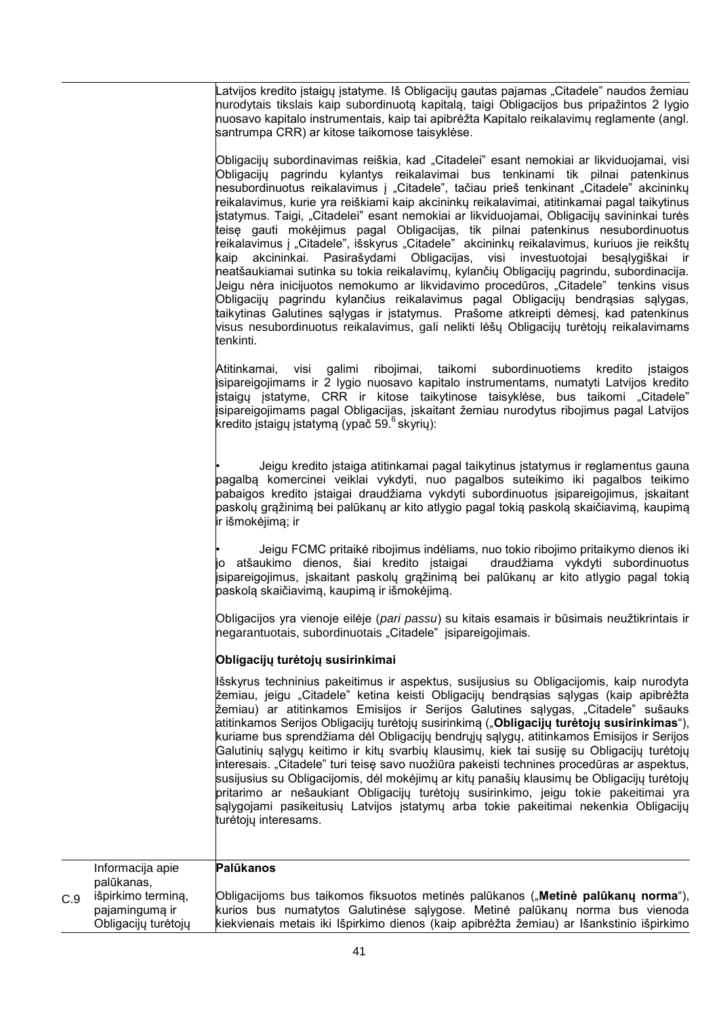Latvijos kredito įstaigų įstatyme. Iš Obligacijų gautas pajamas "Citadele" naudos žemiau nurodytais tikslais kaip subordinuotą kapitalą, taigi Obligacijos bus pripažintos 2 lygio nuosavo kapitalo instrumentais, kaip tai apibrėžta Kapitalo reikalavimų reglamente (angl. santrumpa CRR) ar kitose taikomose taisyklėse.

Obligacijų subordinavimas reiškia, kad "Citadelei" esant nemokiai ar likviduojamai, visi Obligacijų pagrindu kylantys reikalavimai bus tenkinami tik pilnai patenkinus nesubordinuotus reikalavimus į "Citadele", tačiau prieš tenkinant "Citadele" akcininkų reikalavimus, kurie yra reiškiami kaip akcininkų reikalavimai, atitinkamai pagal taikytinus listatymus. Taigi, "Citadelei" esant nemokiai ar likviduojamai, Obligacijų savininkai turės teisę gauti mokėjimus pagal Obligacijas, tik pilnai patenkinus nesubordinuotus reikalavimus į "Citadele", išskyrus "Citadele" akcininkų reikalavimus, kuriuos jie reikštų kaip akcininkai. Pasirašydami Obligacijas, visi investuotojai besąlygiškai ir neatšaukiamai sutinka su tokia reikalavimų, kylančių Obligacijų pagrindu, subordinacija. Jeigu nėra inicijuotos nemokumo ar likvidavimo procedūros, "Citadele" tenkins visus Obligacijų pagrindu kylančius reikalavimus pagal Obligacijų bendrąsias sąlygas, taikytinas Galutines sąlygas ir įstatymus. Prašome atkreipti dėmesį, kad patenkinus visus nesubordinuotus reikalavimus, gali nelikti lėšų Obligacijų turėtojų reikalavimams tenkinti.

Atitinkamai, visi galimi ribojimai, taikomi subordinuotiems kredito įstaigos įsipareigojimams ir 2 lygio nuosavo kapitalo instrumentams, numatyti Latvijos kredito listaigu istatyme. CRR ir kitose taikytinose taisyklėse, bus taikomi "Citadele" įsipareigojimams pagal Obligacijas, įskaitant žemiau nurodytus ribojimus pagal Latvijos kredito įstaigų įstatymą (ypač 59. $\mathrm{6\,$ skyrių):

• Jeigu kredito įstaiga atitinkamai pagal taikytinus įstatymus ir reglamentus gauna pagalbą komercinei veiklai vykdyti, nuo pagalbos suteikimo iki pagalbos teikimo pabaigos kredito įstaigai draudžiama vykdyti subordinuotus įsipareigojimus, įskaitant paskolų grąžinimą bei palūkanų ar kito atlygio pagal tokią paskolą skaičiavimą, kaupimą ir išmokėjimą; ir

• Jeigu FCMC pritaikė ribojimus indėliams, nuo tokio ribojimo pritaikymo dienos iki jo atšaukimo dienos, šiai kredito įstaigai draudžiama vykdyti subordinuotus įsipareigojimus, įskaitant paskolų grąžinimą bei palūkanų ar kito atlygio pagal tokią paskolą skaičiavimą, kaupimą ir išmokėjimą.

Obligacijos yra vienoje eilėje (*pari passu*) su kitais esamais ir būsimais neužtikrintais ir negarantuotais, subordinuotais "Citadele" įsipareigojimais.

## **Obligacijų turėtojų susirinkimai**

Išskyrus techninius pakeitimus ir aspektus, susijusius su Obligacijomis, kaip nurodyta žemiau, jeigu "Citadele" ketina keisti Obligacijų bendrąsias sąlygas (kaip apibrėžta žemiau) ar atitinkamos Emisijos ir Serijos Galutines sąlygas, "Citadele" sušauks atitinkamos Serijos Obligacijų turėtojų susirinkimą ("**Obligacijų turėtojų susirinkimas**"), kuriame bus sprendžiama dėl Obligacijų bendrųjų sąlygų, atitinkamos Emisijos ir Serijos Galutinių sąlygų keitimo ir kitų svarbių klausimų, kiek tai susiję su Obligacijų turėtojų interesais. "Citadele" turi teisę savo nuožiūra pakeisti technines procedūras ar aspektus, susijusius su Obligacijomis, dėl mokėjimų ar kitų panašių klausimų be Obligacijų turėtojų pritarimo ar nešaukiant Obligacijų turėtojų susirinkimo, jeigu tokie pakeitimai yra sąlygojami pasikeitusių Latvijos įstatymų arba tokie pakeitimai nekenkia Obligacijų turėtojų interesams.

|     | Informacija apie<br>palūkanas,                              | Palūkanos                                                                                                                                                                                                                                                   |
|-----|-------------------------------------------------------------|-------------------------------------------------------------------------------------------------------------------------------------------------------------------------------------------------------------------------------------------------------------|
| C.9 | išpirkimo terminą,<br>pajamingumą ir<br>Obligacijų turėtojų | Obligacijoms bus taikomos fiksuotos metinės palūkanos ("Metinė palūkanų norma"),<br>kurios bus numatytos Galutinėse sąlygose. Metinė palūkanų norma bus vienoda<br>kiekvienais metais iki Išpirkimo dienos (kaip apibrėžta žemiau) ar Išankstinio išpirkimo |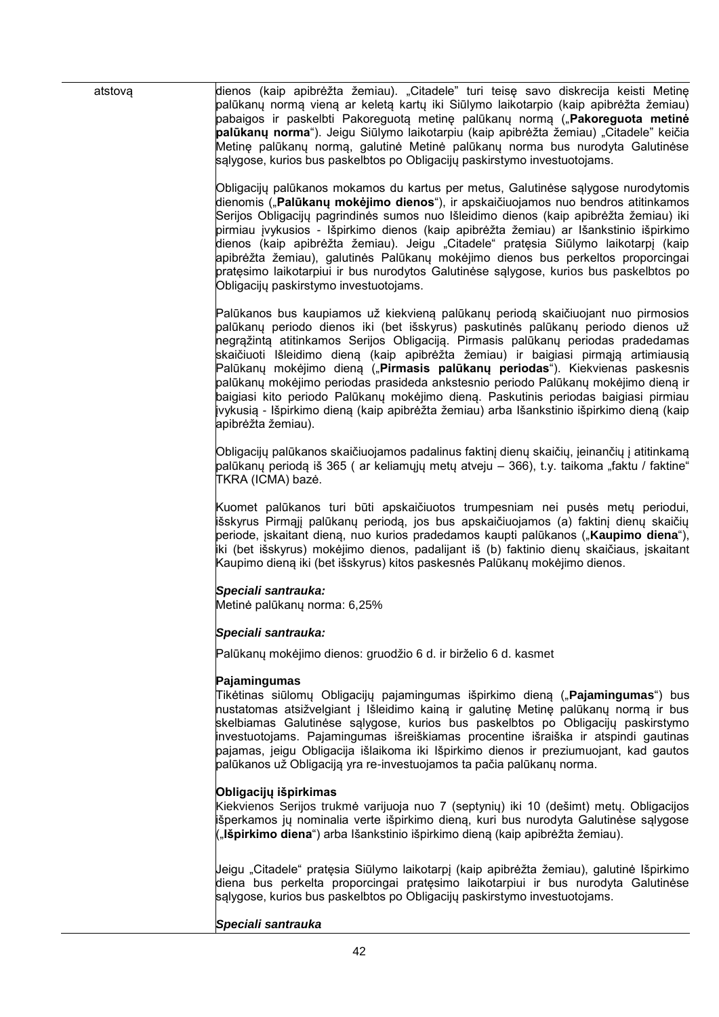42 atstovą dienos (kaip apibrėžta žemiau). "Citadele" turi teisę savo diskrecija keisti Metinę palūkanų normą vieną ar keletą kartų iki Siūlymo laikotarpio (kaip apibrėžta žemiau) pabaigos ir paskelbti Pakoreguotą metinę palūkanų normą ("**Pakoreguota metinė palūkanų norma**"). Jeigu Siūlymo laikotarpiu (kaip apibrėžta žemiau) "Citadele" keičia Metinę palūkanų normą, galutinė Metinė palūkanų norma bus nurodyta Galutinėse sąlygose, kurios bus paskelbtos po Obligacijų paskirstymo investuotojams. Obligacijų palūkanos mokamos du kartus per metus, Galutinėse sąlygose nurodytomis dienomis ("**Palūkanų mokėjimo dienos**"), ir apskaičiuojamos nuo bendros atitinkamos Serijos Obligacijų pagrindinės sumos nuo Išleidimo dienos (kaip apibrėžta žemiau) iki pirmiau įvykusios - Išpirkimo dienos (kaip apibrėžta žemiau) ar Išankstinio išpirkimo dienos (kaip apibrėžta žemiau). Jeigu "Citadele" pratęsia Siūlymo laikotarpį (kaip apibrėžta žemiau), galutinės Palūkanų mokėjimo dienos bus perkeltos proporcingai pratęsimo laikotarpiui ir bus nurodytos Galutinėse sąlygose, kurios bus paskelbtos po Obligacijų paskirstymo investuotojams. Palūkanos bus kaupiamos už kiekvieną palūkanų periodą skaičiuojant nuo pirmosios palūkanų periodo dienos iki (bet išskyrus) paskutinės palūkanų periodo dienos už negrąžintą atitinkamos Serijos Obligaciją. Pirmasis palūkanų periodas pradedamas skaičiuoti Išleidimo dieną (kaip apibrėžta žemiau) ir baigiasi pirmąją artimiausią Palūkanų mokėjimo dieną ("**Pirmasis palūkanų periodas**"). Kiekvienas paskesnis palūkanų mokėjimo periodas prasideda ankstesnio periodo Palūkanų mokėjimo dieną ir baigiasi kito periodo Palūkanų mokėjimo dieną. Paskutinis periodas baigiasi pirmiau įvykusią - Išpirkimo dieną (kaip apibrėžta žemiau) arba Išankstinio išpirkimo dieną (kaip apibrėžta žemiau). Obligacijų palūkanos skaičiuojamos padalinus faktinį dienų skaičių, įeinančių į atitinkamą palūkanų periodą iš 365 (ar keliamųjų metų atveju – 366), t.y. taikoma "faktu / faktine" TKRA (ICMA) bazė. Kuomet palūkanos turi būti apskaičiuotos trumpesniam nei pusės metų periodui, išskyrus Pirmąjį palūkanų periodą, jos bus apskaičiuojamos (a) faktinį dienų skaičių periode, įskaitant dieną, nuo kurios pradedamos kaupti palūkanos ("**Kaupimo diena**"), iki (bet išskyrus) mokėjimo dienos, padalijant iš (b) faktinio dienų skaičiaus, įskaitant Kaupimo dieną iki (bet išskyrus) kitos paskesnės Palūkanų mokėjimo dienos. *Speciali santrauka:* Metinė palūkanų norma: 6,25% *Speciali santrauka:* Palūkanų mokėjimo dienos: gruodžio 6 d. ir birželio 6 d. kasmet **Pajamingumas**  Tikėtinas siūlomų Obligacijų pajamingumas išpirkimo dieną ("**Pajamingumas**") bus nustatomas atsižvelgiant į Išleidimo kainą ir galutinę Metinę palūkanų normą ir bus skelbiamas Galutinėse sąlygose, kurios bus paskelbtos po Obligacijų paskirstymo investuotojams. Pajamingumas išreiškiamas procentine išraiška ir atspindi gautinas pajamas, jeigu Obligacija išlaikoma iki Išpirkimo dienos ir preziumuojant, kad gautos palūkanos už Obligaciją yra re-investuojamos ta pačia palūkanų norma. **Obligacijų išpirkimas** Kiekvienos Serijos trukmė varijuoja nuo 7 (septynių) iki 10 (dešimt) metų. Obligacijos išperkamos jų nominalia verte išpirkimo dieną, kuri bus nurodyta Galutinėse sąlygose ("**Išpirkimo diena**") arba Išankstinio išpirkimo dieną (kaip apibrėžta žemiau). Jeigu "Citadele" pratęsia Siūlymo laikotarpį (kaip apibrėžta žemiau), galutinė Išpirkimo diena bus perkelta proporcingai pratęsimo laikotarpiui ir bus nurodyta Galutinėse sąlygose, kurios bus paskelbtos po Obligacijų paskirstymo investuotojams. *Speciali santrauka*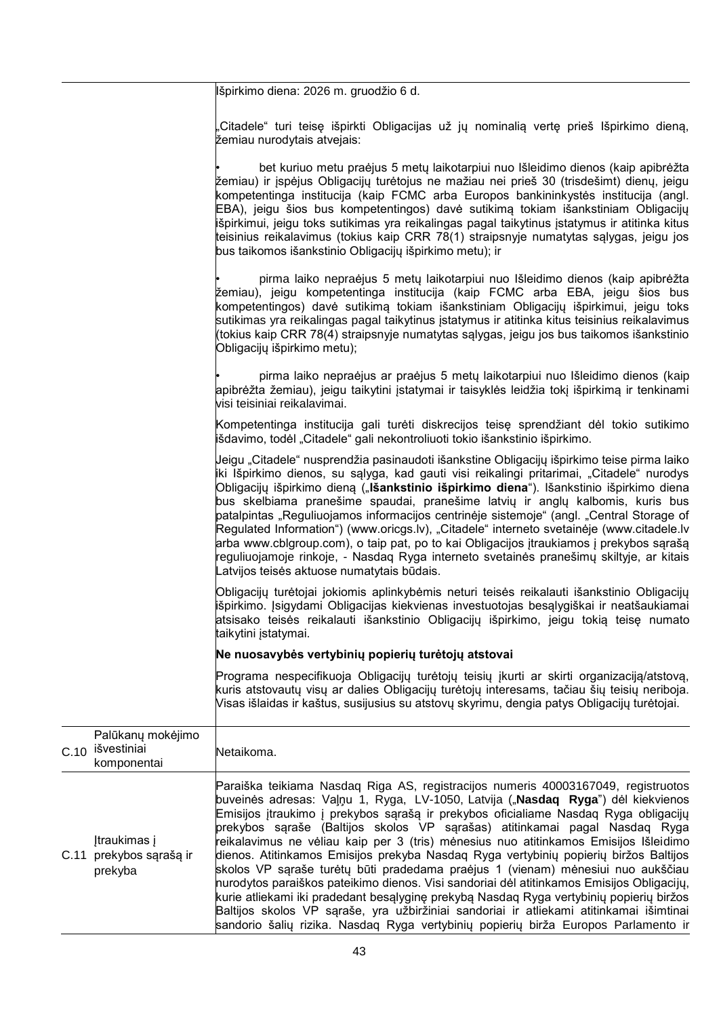|                                                   | lišpirkimo diena: 2026 m. gruodžio 6 d.                                                                                                                                                                                                                                                                                                                                                                                                                                                                                                                                                                                                                                                                                                                                                           |
|---------------------------------------------------|---------------------------------------------------------------------------------------------------------------------------------------------------------------------------------------------------------------------------------------------------------------------------------------------------------------------------------------------------------------------------------------------------------------------------------------------------------------------------------------------------------------------------------------------------------------------------------------------------------------------------------------------------------------------------------------------------------------------------------------------------------------------------------------------------|
|                                                   | Citadele" turi teisę išpirkti Obligacijas už jų nominalią vertę prieš Išpirkimo dieną,<br>žemiau nurodytais atvejais:                                                                                                                                                                                                                                                                                                                                                                                                                                                                                                                                                                                                                                                                             |
|                                                   | bet kuriuo metu praėjus 5 metų laikotarpiui nuo Išleidimo dienos (kaip apibrėžta<br>žemiau) ir įspėjus Obligacijų turėtojus ne mažiau nei prieš 30 (trisdešimt) dienų, jeigu<br>kompetentinga institucija (kaip FCMC arba Europos bankininkystės institucija (angl.<br>EBA), jeigu šios bus kompetentingos) davė sutikimą tokiam išankstiniam Obligacijų<br>išpirkimui, jeigu toks sutikimas yra reikalingas pagal taikytinus įstatymus ir atitinka kitus<br>teisinius reikalavimus (tokius kaip CRR 78(1) straipsnyje numatytas sąlygas, jeigu jos<br>bus taikomos išankstinio Obligacijų išpirkimo metu); ir                                                                                                                                                                                    |
|                                                   | pirma laiko nepraėjus 5 metų laikotarpiui nuo Išleidimo dienos (kaip apibrėžta<br>žemiau), jeigu kompetentinga institucija (kaip FCMC arba EBA, jeigu šios bus<br>kompetentingos) davė sutikimą tokiam išankstiniam Obligacijų išpirkimui, jeigu toks<br>sutikimas yra reikalingas pagal taikytinus įstatymus ir atitinka kitus teisinius reikalavimus<br>(tokius kaip CRR 78(4) straipsnyje numatytas sąlygas, jeigu jos bus taikomos išankstinio<br>Obligacijų išpirkimo metu);                                                                                                                                                                                                                                                                                                                 |
|                                                   | pirma laiko nepraėjus ar praėjus 5 metų laikotarpiui nuo Išleidimo dienos (kaip<br>apibrėžta žemiau), jeigu taikytini įstatymai ir taisyklės leidžia tokį išpirkimą ir tenkinami<br>visi teisiniai reikalavimai.                                                                                                                                                                                                                                                                                                                                                                                                                                                                                                                                                                                  |
|                                                   | Kompetentinga institucija gali turėti diskrecijos teisę sprendžiant dėl tokio sutikimo<br>išdavimo, todėl "Citadele" gali nekontroliuoti tokio išankstinio išpirkimo.                                                                                                                                                                                                                                                                                                                                                                                                                                                                                                                                                                                                                             |
|                                                   | Jeigu "Citadele" nusprendžia pasinaudoti išankstine Obligacijų išpirkimo teise pirma laiko<br>iki Išpirkimo dienos, su sąlyga, kad gauti visi reikalingi pritarimai, "Citadele" nurodys<br>Obligacijų išpirkimo dieną ("Išankstinio išpirkimo diena"). Išankstinio išpirkimo diena<br>bus skelbiama pranešime spaudai, pranešime latvių ir anglų kalbomis, kuris bus<br>patalpintas "Reguliuojamos informacijos centrinėje sistemoje" (angl. "Central Storage of<br>Regulated Information") (www.oricgs.lv), "Citadele" interneto svetainėje (www.citadele.lv<br>arba www.cblgroup.com), o taip pat, po to kai Obligacijos įtraukiamos į prekybos sąrašą<br>reguliuojamoje rinkoje, - Nasdaq Ryga interneto svetainės pranešimų skiltyje, ar kitais<br>Latvijos teisės aktuose numatytais būdais. |
|                                                   | Obligacijų turėtojai jokiomis aplinkybėmis neturi teisės reikalauti išankstinio Obligacijų<br>išpirkimo. Įsigydami Obligacijas kiekvienas investuotojas besąlygiškai ir neatšaukiamai<br>atsisako teisės reikalauti išankstinio Obligacijų išpirkimo, jeigu tokią teisę numato<br>taikytini istatymai.                                                                                                                                                                                                                                                                                                                                                                                                                                                                                            |
|                                                   | Ne nuosavybės vertybinių popierių turėtojų atstovai                                                                                                                                                                                                                                                                                                                                                                                                                                                                                                                                                                                                                                                                                                                                               |
|                                                   | Programa nespecifikuoja Obligacijų turėtojų teisių įkurti ar skirti organizaciją/atstovą,<br>kuris atstovautų visų ar dalies Obligacijų turėtojų interesams, tačiau šių teisių neriboja.<br>Visas išlaidas ir kaštus, susijusius su atstovų skyrimu, dengia patys Obligacijų turėtojai.                                                                                                                                                                                                                                                                                                                                                                                                                                                                                                           |
| Palūkanų mokėjimo<br>0 išvestiniai<br>komponentai | Netaikoma.                                                                                                                                                                                                                                                                                                                                                                                                                                                                                                                                                                                                                                                                                                                                                                                        |
|                                                   | Paraiška teikiama Nasdaq Riga AS, registracijos numeris 40003167049, registruotos<br>buveinės adresas: Vaļņu 1, Ryga, LV-1050, Latvija ("Nasdaq Ryga") dėl kiekvienos<br>Emisijos įtraukimo į prekybos sąrašą ir prekybos oficialiame Nasdaq Ryga obligacijų<br>prekybos sąraše (Baltijos skolos VP sąrašas) atitinkamai pagal Nasdaq Ryga                                                                                                                                                                                                                                                                                                                                                                                                                                                        |

C.11 prekybos sąrašą ir Įtraukimas į prekyba reikalavimus ne vėliau kaip per 3 (tris) mėnesius nuo atitinkamos Emisijos Išleidimo dienos. Atitinkamos Emisijos prekyba Nasdaq Ryga vertybinių popierių biržos Baltijos skolos VP sąraše turėtų būti pradedama praėjus 1 (vienam) mėnesiui nuo aukščiau nurodytos paraiškos pateikimo dienos. Visi sandoriai dėl atitinkamos Emisijos Obligacijų, kurie atliekami iki pradedant besąlyginę prekybą Nasdaq Ryga vertybinių popierių biržos Baltijos skolos VP sąraše, yra užbiržiniai sandoriai ir atliekami atitinkamai išimtinai sandorio šalių rizika. Nasdaq Ryga vertybinių popierių birža Europos Parlamento ir

C.1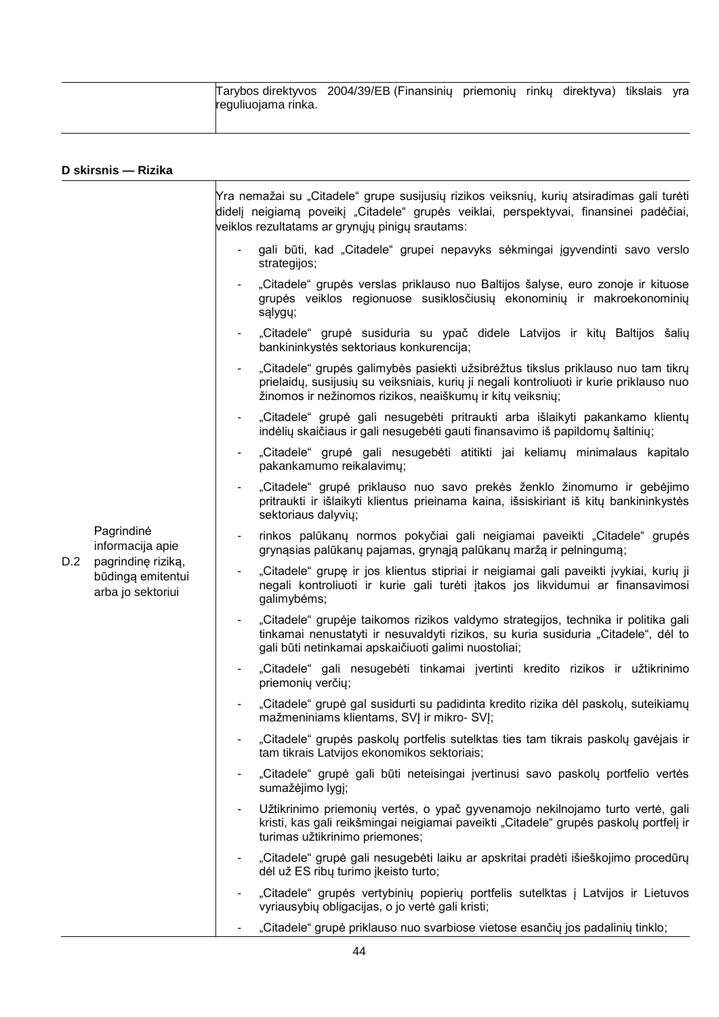| reguliuojama rinka. | Tarybos direktyvos 2004/39/EB (Finansinių priemonių rinkų direktyva) tikslais yra |  |  |  |
|---------------------|-----------------------------------------------------------------------------------|--|--|--|
|                     |                                                                                   |  |  |  |

|     | D skirsnis - Rizika                                                                            |                                                                                                                                                                                                                                          |
|-----|------------------------------------------------------------------------------------------------|------------------------------------------------------------------------------------------------------------------------------------------------------------------------------------------------------------------------------------------|
|     |                                                                                                | Yra nemažai su "Citadele" grupe susijusių rizikos veiksnių, kurių atsiradimas gali turėti<br>didelj neigiamą poveikį "Citadele" grupės veiklai, perspektyvai, finansinei padėčiai,<br>veiklos rezultatams ar grynųjų pinigų srautams:    |
|     |                                                                                                | gali būti, kad "Citadele" grupei nepavyks sėkmingai įgyvendinti savo verslo<br>strategijos;                                                                                                                                              |
|     |                                                                                                | "Citadele" grupės verslas priklauso nuo Baltijos šalyse, euro zonoje ir kituose<br>grupės veiklos regionuose susiklosčiusių ekonominių ir makroekonominių<br>sąlygų;                                                                     |
|     |                                                                                                | "Citadele" grupė susiduria su ypač didele Latvijos ir kitų Baltijos šalių<br>bankininkystės sektoriaus konkurencija;                                                                                                                     |
|     |                                                                                                | "Citadele" grupės galimybės pasiekti užsibrėžtus tikslus priklauso nuo tam tikrų<br>prielaidų, susijusių su veiksniais, kurių ji negali kontroliuoti ir kurie priklauso nuo<br>žinomos ir nežinomos rizikos, neaiškumų ir kitų veiksnių; |
|     |                                                                                                | "Citadele" grupė gali nesugebėti pritraukti arba išlaikyti pakankamo klientų<br>indėlių skaičiaus ir gali nesugebėti gauti finansavimo iš papildomų šaltinių;                                                                            |
|     |                                                                                                | "Citadele" grupė gali nesugebėti atitikti jai keliamų minimalaus kapitalo<br>pakankamumo reikalavimų;                                                                                                                                    |
|     |                                                                                                | "Citadele" grupė priklauso nuo savo prekės ženklo žinomumo ir gebėjimo<br>pritraukti ir išlaikyti klientus prieinama kaina, išsiskiriant iš kitų bankininkystės<br>sektoriaus dalyvių;                                                   |
|     | Pagrindinė<br>informacija apie<br>pagrindinę riziką,<br>būdingą emitentui<br>arba jo sektoriui | rinkos palūkanų normos pokyčiai gali neigiamai paveikti "Citadele" grupės<br>grynąsias palūkanų pajamas, grynąją palūkanų maržą ir pelningumą;                                                                                           |
| D.2 |                                                                                                | "Citadele" grupę ir jos klientus stipriai ir neigiamai gali paveikti įvykiai, kurių ji<br>negali kontroliuoti ir kurie gali turėti įtakos jos likvidumui ar finansavimosi<br>galimybėms;                                                 |
|     |                                                                                                | "Citadele" grupėje taikomos rizikos valdymo strategijos, technika ir politika gali<br>tinkamai nenustatyti ir nesuvaldyti rizikos, su kuria susiduria "Citadele", dėl to<br>gali būti netinkamai apskaičiuoti galimi nuostoliai;         |
|     |                                                                                                | "Citadele" gali nesugebėti tinkamai įvertinti kredito rizikos ir užtikrinimo<br>priemonių verčių;                                                                                                                                        |
|     |                                                                                                | "Citadele" grupė gal susidurti su padidinta kredito rizika dėl paskolų, suteikiamų<br>mažmeniniams klientams, SVJ ir mikro- SVJ;                                                                                                         |
|     |                                                                                                | "Citadele" grupės paskolų portfelis sutelktas ties tam tikrais paskolų gavėjais ir<br>tam tikrais Latvijos ekonomikos sektoriais;                                                                                                        |
|     |                                                                                                | "Citadele" grupė gali būti neteisingai įvertinusi savo paskolų portfelio vertės<br>sumažėjimo lygį;                                                                                                                                      |
|     |                                                                                                | Užtikrinimo priemonių vertės, o ypač gyvenamojo nekilnojamo turto vertė, gali<br>kristi, kas gali reikšmingai neigiamai paveikti "Citadele" grupės paskolų portfelį ir<br>turimas užtikrinimo priemones;                                 |
|     |                                                                                                | "Citadele" grupė gali nesugebėti laiku ar apskritai pradėti išieškojimo procedūrų<br>dėl už ES ribų turimo įkeisto turto;                                                                                                                |
|     |                                                                                                | "Citadele" grupės vertybinių popierių portfelis sutelktas į Latvijos ir Lietuvos<br>vyriausybių obligacijas, o jo vertė gali kristi;                                                                                                     |
|     |                                                                                                | "Citadele" grupė priklauso nuo svarbiose vietose esančių jos padalinių tinklo;                                                                                                                                                           |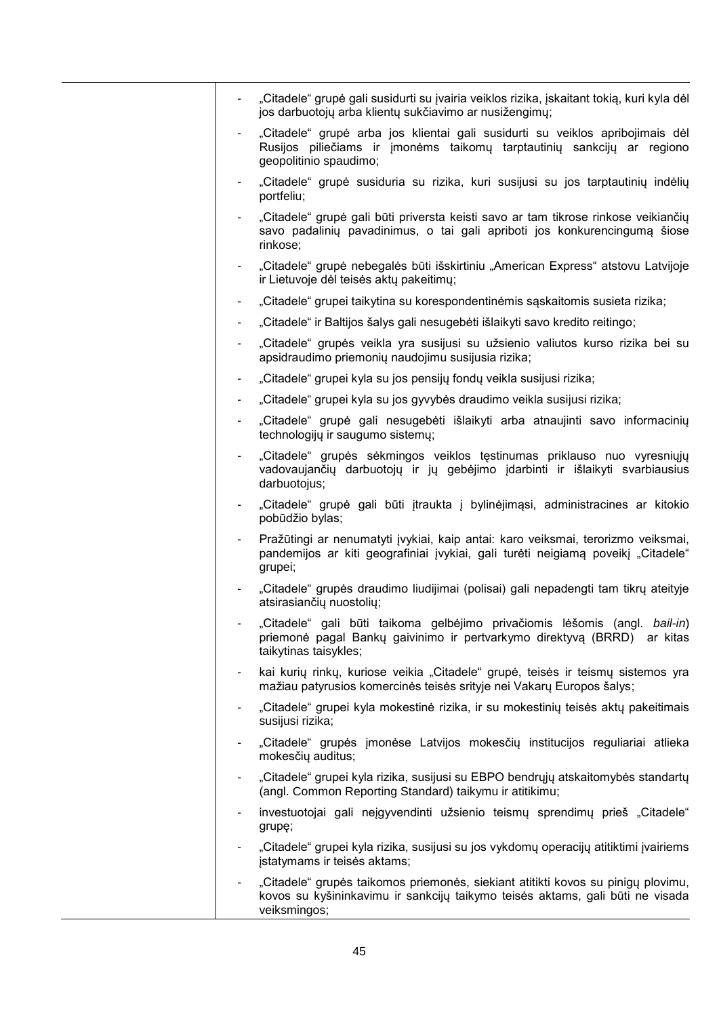|                          | "Citadele" grupė gali susidurti su įvairia veiklos rizika, įskaitant tokią, kuri kyla dėl<br>jos darbuotojų arba klientų sukčiavimo ar nusižengimų;                               |
|--------------------------|-----------------------------------------------------------------------------------------------------------------------------------------------------------------------------------|
|                          | "Citadele" grupė arba jos klientai gali susidurti su veiklos apribojimais dėl<br>Rusijos piliečiams ir įmonėms taikomų tarptautinių sankcijų ar regiono<br>geopolitinio spaudimo; |
|                          | "Citadele" grupė susiduria su rizika, kuri susijusi su jos tarptautinių indėlių<br>portfeliu;                                                                                     |
|                          | "Citadele" grupė gali būti priversta keisti savo ar tam tikrose rinkose veikiančių<br>savo padalinių pavadinimus, o tai gali apriboti jos konkurencingumą šiose<br>rinkose;       |
|                          | "Citadele" grupė nebegalės būti išskirtiniu "American Express" atstovu Latvijoje<br>ir Lietuvoje dėl teisės aktų pakeitimų;                                                       |
|                          | "Citadele" grupei taikytina su korespondentinėmis sąskaitomis susieta rizika;                                                                                                     |
|                          | "Citadele" ir Baltijos šalys gali nesugebėti išlaikyti savo kredito reitingo;                                                                                                     |
|                          | "Citadele" grupės veikla yra susijusi su užsienio valiutos kurso rizika bei su<br>apsidraudimo priemonių naudojimu susijusia rizika;                                              |
|                          | "Citadele" grupei kyla su jos pensijų fondų veikla susijusi rizika;                                                                                                               |
|                          | "Citadele" grupei kyla su jos gyvybės draudimo veikla susijusi rizika;                                                                                                            |
|                          | "Citadele" grupė gali nesugebėti išlaikyti arba atnaujinti savo informacinių<br>technologijų ir saugumo sistemų;                                                                  |
|                          | "Citadele" grupės sėkmingos veiklos tęstinumas priklauso nuo vyresniųjų<br>vadovaujančių darbuotojų ir jų gebėjimo įdarbinti ir išlaikyti svarbiausius<br>darbuotojus;            |
|                          | "Citadele" grupė gali būti įtraukta į bylinėjimąsi, administracines ar kitokio<br>pobūdžio bylas;                                                                                 |
|                          | Pražūtingi ar nenumatyti įvykiai, kaip antai: karo veiksmai, terorizmo veiksmai,<br>pandemijos ar kiti geografiniai įvykiai, gali turėti neigiamą poveikį "Citadele"<br>grupei;   |
|                          | "Citadele" grupės draudimo liudijimai (polisai) gali nepadengti tam tikrų ateityje<br>atsirasiančių nuostolių;                                                                    |
|                          | "Citadele" gali būti taikoma gelbėjimo privačiomis lėšomis (angl. bail-in)<br>priemonė pagal Bankų gaivinimo ir pertvarkymo direktyvą (BRRD) ar kitas<br>taikytinas taisykles;    |
| $\blacksquare$           | kai kurių rinkų, kuriose veikia "Citadele" grupė, teisės ir teismų sistemos yra<br>mažiau patyrusios komercinės teisės srityje nei Vakarų Europos šalys;                          |
| $\overline{\phantom{a}}$ | "Citadele" grupei kyla mokestinė rizika, ir su mokestinių teisės aktų pakeitimais<br>susijusi rizika;                                                                             |
|                          | "Citadele" grupės įmonėse Latvijos mokesčių institucijos reguliariai atlieka<br>mokesčių auditus;                                                                                 |
|                          | "Citadele" grupei kyla rizika, susijusi su EBPO bendrųjų atskaitomybės standartų<br>(angl. Common Reporting Standard) taikymu ir atitikimu;                                       |
| $\blacksquare$           | investuotojai gali neįgyvendinti užsienio teismų sprendimų prieš "Citadele"<br>grupę;                                                                                             |
|                          | "Citadele" grupei kyla rizika, susijusi su jos vykdomų operacijų atitiktimi įvairiems<br>jstatymams ir teisės aktams;                                                             |
| $\overline{\phantom{a}}$ | "Citadele" grupės taikomos priemonės, siekiant atitikti kovos su pinigų plovimu,<br>kovos su kyšininkavimu ir sankcijų taikymo teisės aktams, gali būti ne visada<br>veiksmingos; |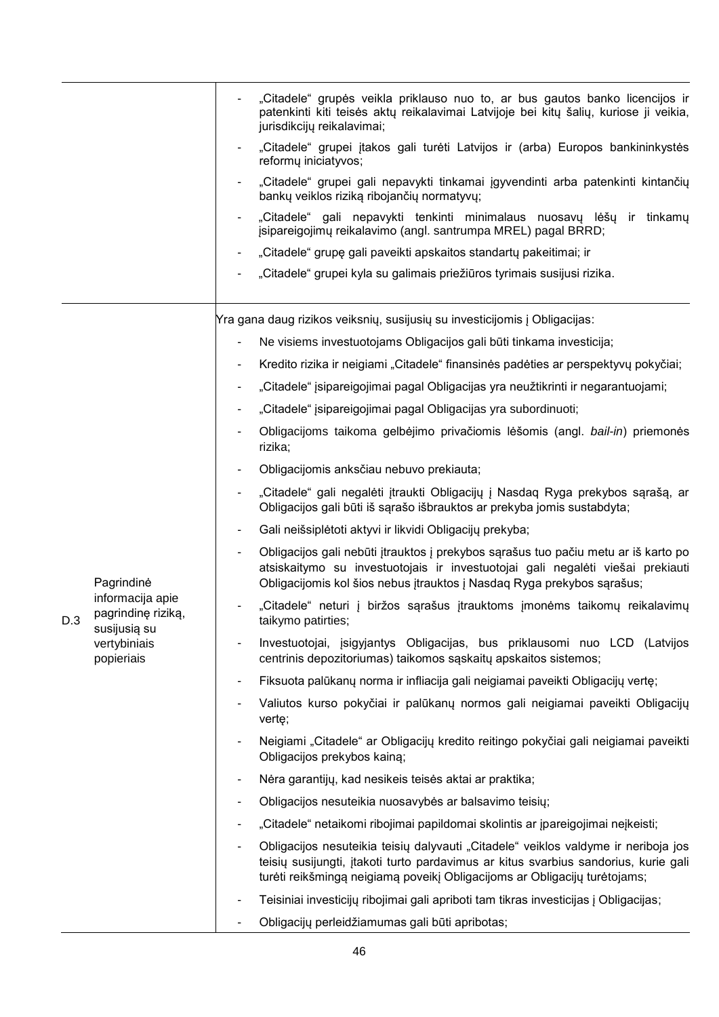|     |                                            |                          | "Citadele" grupės veikla priklauso nuo to, ar bus gautos banko licencijos ir<br>patenkinti kiti teisės aktų reikalavimai Latvijoje bei kitų šalių, kuriose ji veikia,<br>jurisdikcijų reikalavimai;                                                    |
|-----|--------------------------------------------|--------------------------|--------------------------------------------------------------------------------------------------------------------------------------------------------------------------------------------------------------------------------------------------------|
|     |                                            |                          | "Citadele" grupei įtakos gali turėti Latvijos ir (arba) Europos bankininkystės<br>reformu iniciatyvos;                                                                                                                                                 |
|     |                                            |                          | "Citadele" grupei gali nepavykti tinkamai jgyvendinti arba patenkinti kintančių<br>bankų veiklos riziką ribojančių normatyvų;                                                                                                                          |
|     |                                            |                          | "Citadele" gali nepavykti tenkinti minimalaus nuosavų lėšų ir tinkamų<br>jsipareigojimų reikalavimo (angl. santrumpa MREL) pagal BRRD;                                                                                                                 |
|     |                                            |                          | "Citadele" grupę gali paveikti apskaitos standartų pakeitimai; ir                                                                                                                                                                                      |
|     |                                            |                          | "Citadele" grupei kyla su galimais priežiūros tyrimais susijusi rizika.                                                                                                                                                                                |
|     |                                            |                          | Yra gana daug rizikos veiksnių, susijusių su investicijomis į Obligacijas:                                                                                                                                                                             |
|     |                                            |                          | Ne visiems investuotojams Obligacijos gali būti tinkama investicija;                                                                                                                                                                                   |
|     |                                            | $\overline{\phantom{a}}$ | Kredito rizika ir neigiami "Citadele" finansinės padėties ar perspektyvų pokyčiai;                                                                                                                                                                     |
|     |                                            |                          | "Citadele" įsipareigojimai pagal Obligacijas yra neužtikrinti ir negarantuojami;                                                                                                                                                                       |
|     |                                            | $\blacksquare$           | "Citadele" įsipareigojimai pagal Obligacijas yra subordinuoti;                                                                                                                                                                                         |
|     |                                            | $\blacksquare$           | Obligacijoms taikoma gelbėjimo privačiomis lėšomis (angl. bail-in) priemonės<br>rizika;                                                                                                                                                                |
|     |                                            |                          | Obligacijomis anksčiau nebuvo prekiauta;                                                                                                                                                                                                               |
|     |                                            |                          | "Citadele" gali negalėti įtraukti Obligacijų į Nasdaq Ryga prekybos sąrašą, ar<br>Obligacijos gali būti iš sąrašo išbrauktos ar prekyba jomis sustabdyta;                                                                                              |
|     |                                            | ۰                        | Gali neišsiplėtoti aktyvi ir likvidi Obligacijų prekyba;                                                                                                                                                                                               |
|     | Pagrindinė                                 |                          | Obligacijos gali nebūti įtrauktos į prekybos sąrašus tuo pačiu metu ar iš karto po<br>atsiskaitymo su investuotojais ir investuotojai gali negalėti viešai prekiauti<br>Obligacijomis kol šios nebus įtrauktos į Nasdaq Ryga prekybos sąrašus;         |
| D.3 | informacija apie<br>pagrindinę riziką,     |                          | "Citadele" neturi į biržos sąrašus įtrauktoms įmonėms taikomų reikalavimų<br>taikymo patirties;                                                                                                                                                        |
|     | susijusią su<br>vertybiniais<br>popieriais |                          | Investuotojai, įsigyjantys Obligacijas, bus priklausomi nuo LCD (Latvijos<br>centrinis depozitoriumas) taikomos sąskaitų apskaitos sistemos;                                                                                                           |
|     |                                            | ٠                        | Fiksuota palūkanų norma ir infliacija gali neigiamai paveikti Obligacijų vertę;                                                                                                                                                                        |
|     |                                            |                          | Valiutos kurso pokyčiai ir palūkanų normos gali neigiamai paveikti Obligacijų<br>vertę;                                                                                                                                                                |
|     |                                            |                          | Neigiami "Citadele" ar Obligacijų kredito reitingo pokyčiai gali neigiamai paveikti<br>Obligacijos prekybos kainą;                                                                                                                                     |
|     |                                            | ٠                        | Nėra garantijų, kad nesikeis teisės aktai ar praktika;                                                                                                                                                                                                 |
|     |                                            |                          | Obligacijos nesuteikia nuosavybės ar balsavimo teisių;                                                                                                                                                                                                 |
|     |                                            |                          | "Citadele" netaikomi ribojimai papildomai skolintis ar įpareigojimai neįkeisti;                                                                                                                                                                        |
|     |                                            |                          | Obligacijos nesuteikia teisių dalyvauti "Citadele" veiklos valdyme ir neriboja jos<br>teisių susijungti, įtakoti turto pardavimus ar kitus svarbius sandorius, kurie gali<br>turėti reikšmingą neigiamą poveikį Obligacijoms ar Obligacijų turėtojams; |
|     |                                            |                          | Teisiniai investicijų ribojimai gali apriboti tam tikras investicijas į Obligacijas;                                                                                                                                                                   |
|     |                                            |                          | Obligacijų perleidžiamumas gali būti apribotas;                                                                                                                                                                                                        |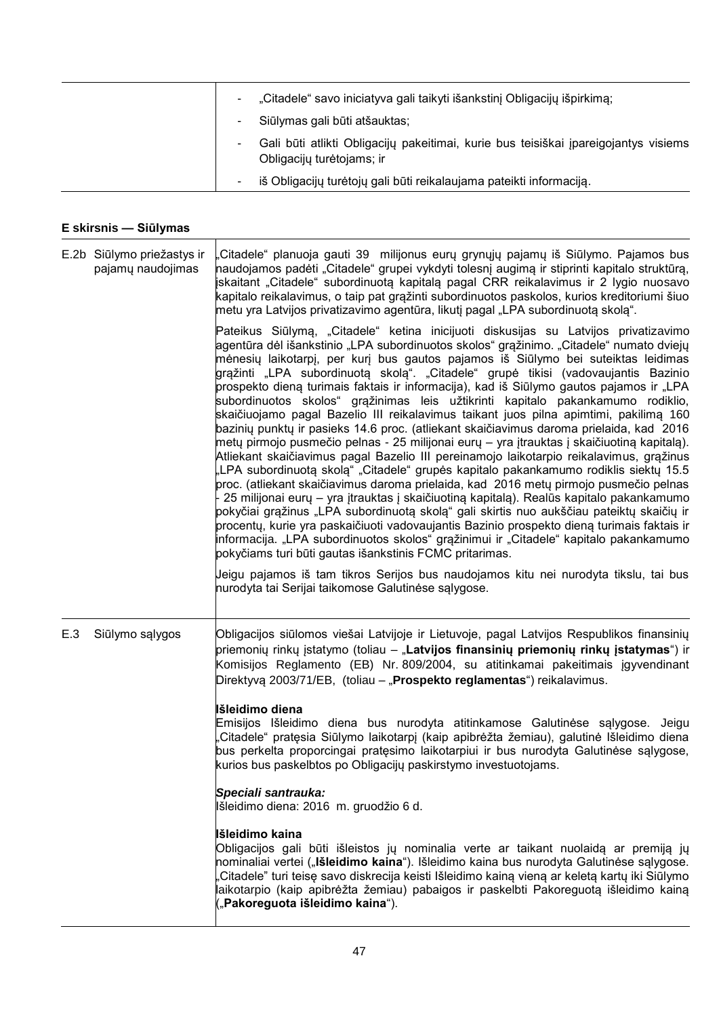|        | "Citadele" savo iniciatyva gali taikyti išankstinį Obligacijų išpirkimą;                                         |
|--------|------------------------------------------------------------------------------------------------------------------|
|        | Siūlymas gali būti atšauktas;                                                                                    |
|        | Gali būti atlikti Obligacijų pakeitimai, kurie bus teisiškai įpareigojantys visiems<br>Obligacijų turėtojams; ir |
| $\sim$ | iš Obligacijų turėtojų gali būti reikalaujama pateikti informaciją.                                              |

## **E skirsnis — Siūlymas**

Τ

|     | E.2b Siūlymo priežastys ir<br>pajamų naudojimas | Citadele" planuoja gauti 39 milijonus eurų grynųjų pajamų iš Siūlymo. Pajamos bus<br>naudojamos padėti "Citadele" grupei vykdyti tolesnį augimą ir stiprinti kapitalo struktūrą,<br>iskaitant "Citadele" subordinuotą kapitalą pagal CRR reikalavimus ir 2 lygio nuosavo<br>kapitalo reikalavimus, o taip pat grąžinti subordinuotos paskolos, kurios kreditoriumi šiuo<br>metu yra Latvijos privatizavimo agentūra, likutį pagal "LPA subordinuotą skolą".                                                                                                                                                                                                                                                                                                                                                                                                                                                                                                                                                                                                                                                                                                                                                                                                                                                                                                                                                                                                                                                                                    |
|-----|-------------------------------------------------|------------------------------------------------------------------------------------------------------------------------------------------------------------------------------------------------------------------------------------------------------------------------------------------------------------------------------------------------------------------------------------------------------------------------------------------------------------------------------------------------------------------------------------------------------------------------------------------------------------------------------------------------------------------------------------------------------------------------------------------------------------------------------------------------------------------------------------------------------------------------------------------------------------------------------------------------------------------------------------------------------------------------------------------------------------------------------------------------------------------------------------------------------------------------------------------------------------------------------------------------------------------------------------------------------------------------------------------------------------------------------------------------------------------------------------------------------------------------------------------------------------------------------------------------|
|     |                                                 | Pateikus Siūlymą, "Citadele" ketina inicijuoti diskusijas su Latvijos privatizavimo<br>agentūra dėl išankstinio "LPA subordinuotos skolos" grąžinimo. "Citadele" numato dviejų<br>mėnesių laikotarpį, per kurį bus gautos pajamos iš Siūlymo bei suteiktas leidimas<br>grąžinti "LPA subordinuotą skolą". "Citadele" grupė tikisi (vadovaujantis Bazinio<br>prospekto dieną turimais faktais ir informacija), kad iš Siūlymo gautos pajamos ir "LPA<br>subordinuotos skolos" grąžinimas leis užtikrinti kapitalo pakankamumo rodiklio,<br>skaičiuojamo pagal Bazelio III reikalavimus taikant juos pilna apimtimi, pakilimą 160<br>bazinių punktų ir pasieks 14.6 proc. (atliekant skaičiavimus daroma prielaida, kad 2016<br> metų pirmojo pusmečio pelnas - 25 milijonai eurų – yra įtrauktas į skaičiuotiną kapitalą).<br>Atliekant skaičiavimus pagal Bazelio III pereinamojo laikotarpio reikalavimus, grąžinus<br>"LPA subordinuotą skolą" "Citadele" grupės kapitalo pakankamumo rodiklis siektų 15.5<br>proc. (atliekant skaičiavimus daroma prielaida, kad 2016 metų pirmojo pusmečio pelnas<br>25 milijonai eurų – yra įtrauktas į skaičiuotiną kapitalą). Realūs kapitalo pakankamumo<br>pokyčiai grąžinus "LPA subordinuotą skolą" gali skirtis nuo aukščiau pateiktų skaičių ir<br>procentų, kurie yra paskaičiuoti vadovaujantis Bazinio prospekto dieną turimais faktais ir<br>informacija. "LPA subordinuotos skolos" grąžinimui ir "Citadele" kapitalo pakankamumo<br>pokyčiams turi būti gautas išankstinis FCMC pritarimas. |
|     |                                                 | Jeigu pajamos iš tam tikros Serijos bus naudojamos kitu nei nurodyta tikslu, tai bus<br>nurodyta tai Serijai taikomose Galutinėse sąlygose.                                                                                                                                                                                                                                                                                                                                                                                                                                                                                                                                                                                                                                                                                                                                                                                                                                                                                                                                                                                                                                                                                                                                                                                                                                                                                                                                                                                                    |
| E.3 | Siūlymo sąlygos                                 | Obligacijos siūlomos viešai Latvijoje ir Lietuvoje, pagal Latvijos Respublikos finansinių<br>priemonių rinkų įstatymo (toliau – "Latvijos finansinių priemonių rinkų įstatymas") ir<br>Komisijos Reglamento (EB) Nr. 809/2004, su atitinkamai pakeitimais įgyvendinant<br>Direktyvą 2003/71/EB, (toliau – "Prospekto reglamentas") reikalavimus.                                                                                                                                                                                                                                                                                                                                                                                                                                                                                                                                                                                                                                                                                                                                                                                                                                                                                                                                                                                                                                                                                                                                                                                               |
|     |                                                 | Išleidimo diena<br>Emisijos Išleidimo diena bus nurodyta atitinkamose Galutinėse sąlygose. Jeigu<br>Citadele" pratęsia Siūlymo laikotarpį (kaip apibrėžta žemiau), galutinė Išleidimo diena<br>bus perkelta proporcingai pratesimo laikotarpiui ir bus nurodyta Galutinėse sąlygose,<br>kurios bus paskelbtos po Obligacijų paskirstymo investuotojams.                                                                                                                                                                                                                                                                                                                                                                                                                                                                                                                                                                                                                                                                                                                                                                                                                                                                                                                                                                                                                                                                                                                                                                                        |
|     |                                                 | Speciali santrauka:<br>Išleidimo diena: 2016 m. gruodžio 6 d.                                                                                                                                                                                                                                                                                                                                                                                                                                                                                                                                                                                                                                                                                                                                                                                                                                                                                                                                                                                                                                                                                                                                                                                                                                                                                                                                                                                                                                                                                  |
|     |                                                 | Išleidimo kaina<br>Obligacijos gali būti išleistos jų nominalia verte ar taikant nuolaidą ar premiją jų<br>nominaliai vertei (" <b>Išleidimo kaina</b> "). Išleidimo kaina bus nurodyta Galutinėse sąlygose.<br>Citadele" turi teisę savo diskrecija keisti Išleidimo kainą vieną ar keletą kartų iki Siūlymo,<br>laikotarpio (kaip apibrėžta žemiau) pabaigos ir paskelbti Pakoreguotą išleidimo kainą<br>("Pakoreguota išleidimo kaina").                                                                                                                                                                                                                                                                                                                                                                                                                                                                                                                                                                                                                                                                                                                                                                                                                                                                                                                                                                                                                                                                                                    |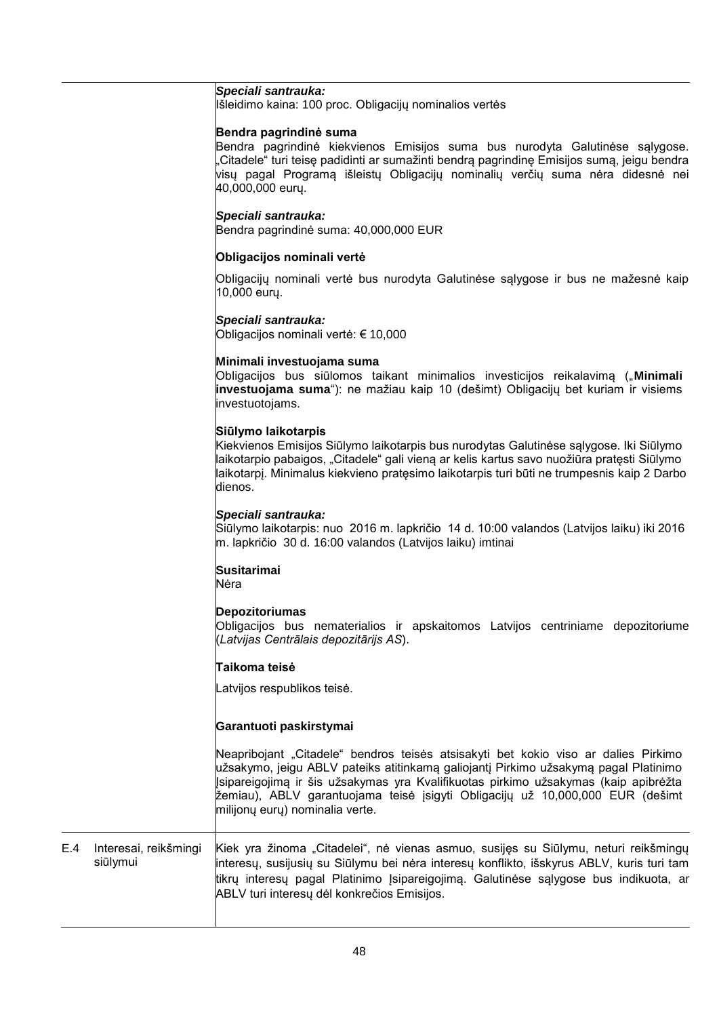## *Speciali santrauka:*

Išleidimo kaina: 100 proc. Obligacijų nominalios vertės

#### **Bendra pagrindinė suma**

Bendra pagrindinė kiekvienos Emisijos suma bus nurodyta Galutinėse sąlygose. "Citadele" turi teisę padidinti ar sumažinti bendrą pagrindinę Emisijos sumą, jeigu bendra visų pagal Programą išleistų Obligacijų nominalių verčių suma nėra didesnė nei 40,000,000 eurų.

#### *Speciali santrauka:*

Bendra pagrindinė suma: 40,000,000 EUR

#### **Obligacijos nominali vertė**

Obligacijų nominali vertė bus nurodyta Galutinėse sąlygose ir bus ne mažesnė kaip 10,000 eurų.

#### *Speciali santrauka:*

Obligacijos nominali vertė: € 10,000

#### **Minimali investuojama suma**

Obligacijos bus siūlomos taikant minimalios investicijos reikalavimą ("**Minimali investuojama suma**"): ne mažiau kaip 10 (dešimt) Obligacijų bet kuriam ir visiems investuotojams.

#### **Siūlymo laikotarpis**

Kiekvienos Emisijos Siūlymo laikotarpis bus nurodytas Galutinėse sąlygose. Iki Siūlymo laikotarpio pabaigos, "Citadele" gali vieną ar kelis kartus savo nuožiūra pratęsti Siūlymo laikotarpį. Minimalus kiekvieno pratęsimo laikotarpis turi būti ne trumpesnis kaip 2 Darbo dienos.

#### *Speciali santrauka:*

Siūlymo laikotarpis: nuo 2016 m. lapkričio 14 d. 10:00 valandos (Latvijos laiku) iki 2016 m. lapkričio 30 d. 16:00 valandos (Latvijos laiku) imtinai

## **Susitarimai**

Nėra

## **Depozitoriumas**

Obligacijos bus nematerialios ir apskaitomos Latvijos centriniame depozitoriume (*Latvijas Centrālais depozitārijs AS*).

## **Taikoma teisė**

Latvijos respublikos teisė.

#### **Garantuoti paskirstymai**

Neapribojant "Citadele" bendros teisės atsisakyti bet kokio viso ar dalies Pirkimo užsakymo, jeigu ABLV pateiks atitinkamą galiojantį Pirkimo užsakymą pagal Platinimo Įsipareigojimą ir šis užsakymas yra Kvalifikuotas pirkimo užsakymas (kaip apibrėžta žemiau), ABLV garantuojama teisė įsigyti Obligacijų už 10,000,000 EUR (dešimt milijonų eurų) nominalia verte.

E.4 Interesai, reikšmingi siūlymui Kiek yra žinoma "Citadelei", nė vienas asmuo, susijęs su Siūlymu, neturi reikšmingų interesų, susijusių su Siūlymu bei nėra interesų konflikto, išskyrus ABLV, kuris turi tam tikrų interesų pagal Platinimo Įsipareigojimą. Galutinėse sąlygose bus indikuota, ar ABLV turi interesų dėl konkrečios Emisijos.